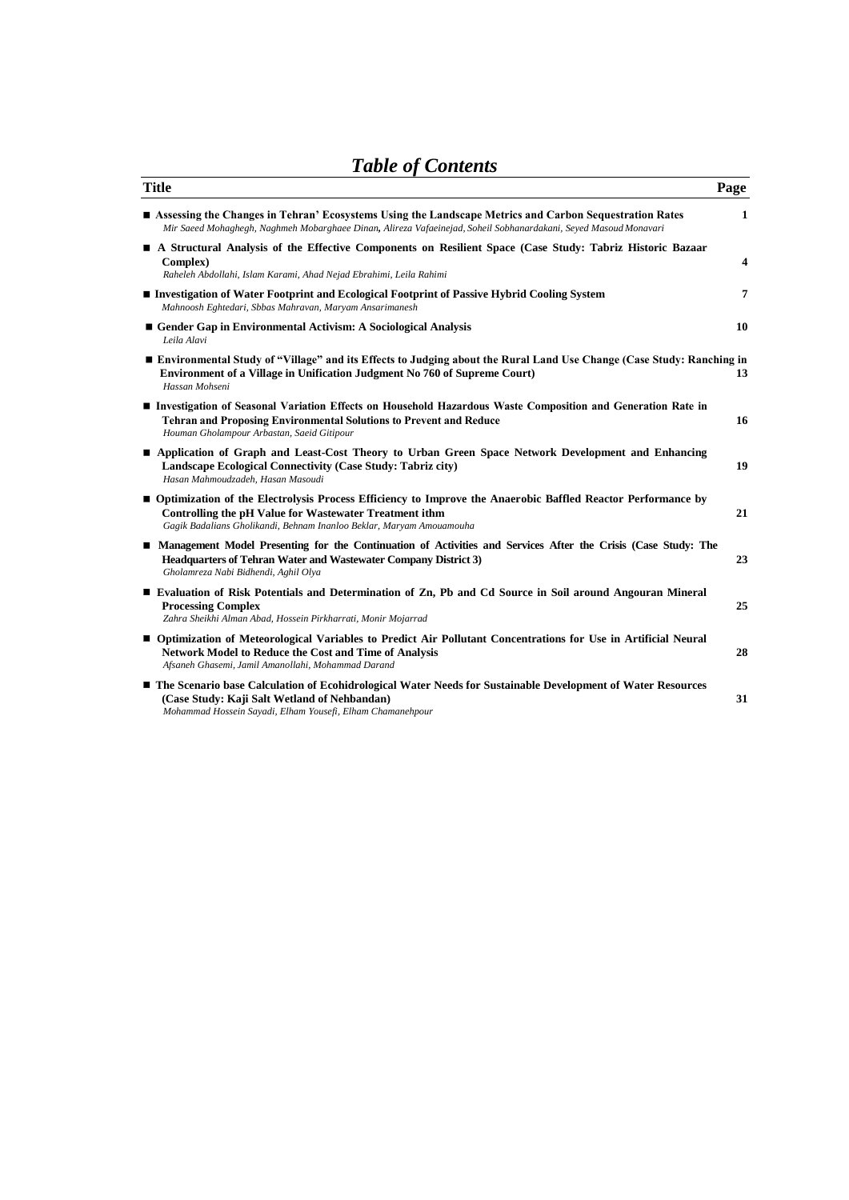# *Table of Contents*

| <b>Title</b>                                                                                                                                                                                                                                    | Page         |
|-------------------------------------------------------------------------------------------------------------------------------------------------------------------------------------------------------------------------------------------------|--------------|
| Assessing the Changes in Tehran' Ecosystems Using the Landscape Metrics and Carbon Sequestration Rates<br>Mir Saeed Mohaghegh, Naghmeh Mobarghaee Dinan, Alireza Vafaeinejad, Soheil Sobhanardakani, Seyed Masoud Monavari                      | $\mathbf{1}$ |
| A Structural Analysis of the Effective Components on Resilient Space (Case Study: Tabriz Historic Bazaar<br>Complex)<br>Raheleh Abdollahi, Islam Karami, Ahad Nejad Ebrahimi, Leila Rahimi                                                      | 4            |
| ■ Investigation of Water Footprint and Ecological Footprint of Passive Hybrid Cooling System<br>Mahnoosh Eghtedari, Sbbas Mahravan, Maryam Ansarimanesh                                                                                         | 7            |
| Gender Gap in Environmental Activism: A Sociological Analysis<br>Leila Alavi                                                                                                                                                                    | 10           |
| ■ Environmental Study of "Village" and its Effects to Judging about the Rural Land Use Change (Case Study: Ranching in<br>Environment of a Village in Unification Judgment No 760 of Supreme Court)<br>Hassan Mohseni                           | 13           |
| Investigation of Seasonal Variation Effects on Household Hazardous Waste Composition and Generation Rate in<br><b>Tehran and Proposing Environmental Solutions to Prevent and Reduce</b><br>Houman Gholampour Arbastan, Saeid Gitipour          | 16           |
| ■ Application of Graph and Least-Cost Theory to Urban Green Space Network Development and Enhancing<br>Landscape Ecological Connectivity (Case Study: Tabriz city)<br>Hasan Mahmoudzadeh, Hasan Masoudi                                         | 19           |
| ■ Optimization of the Electrolysis Process Efficiency to Improve the Anaerobic Baffled Reactor Performance by<br>Controlling the pH Value for Wastewater Treatment ithm<br>Gagik Badalians Gholikandi, Behnam Inanloo Beklar, Maryam Amouamouha | 21           |
| ■ Management Model Presenting for the Continuation of Activities and Services After the Crisis (Case Study: The<br>Headquarters of Tehran Water and Wastewater Company District 3)<br>Gholamreza Nabi Bidhendi, Aghil Olya                      | 23           |
| ■ Evaluation of Risk Potentials and Determination of Zn, Pb and Cd Source in Soil around Angouran Mineral<br><b>Processing Complex</b><br>Zahra Sheikhi Alman Abad, Hossein Pirkharrati, Monir Mojarrad                                         | 25           |
| ■ Optimization of Meteorological Variables to Predict Air Pollutant Concentrations for Use in Artificial Neural<br><b>Network Model to Reduce the Cost and Time of Analysis</b><br>Afsaneh Ghasemi, Jamil Amanollahi, Mohammad Darand           | 28           |
| ■ The Scenario base Calculation of Ecohidrological Water Needs for Sustainable Development of Water Resources<br>(Case Study: Kaji Salt Wetland of Nehbandan)<br>Mohammad Hossein Sayadi, Elham Yousefi, Elham Chamanehpour                     | 31           |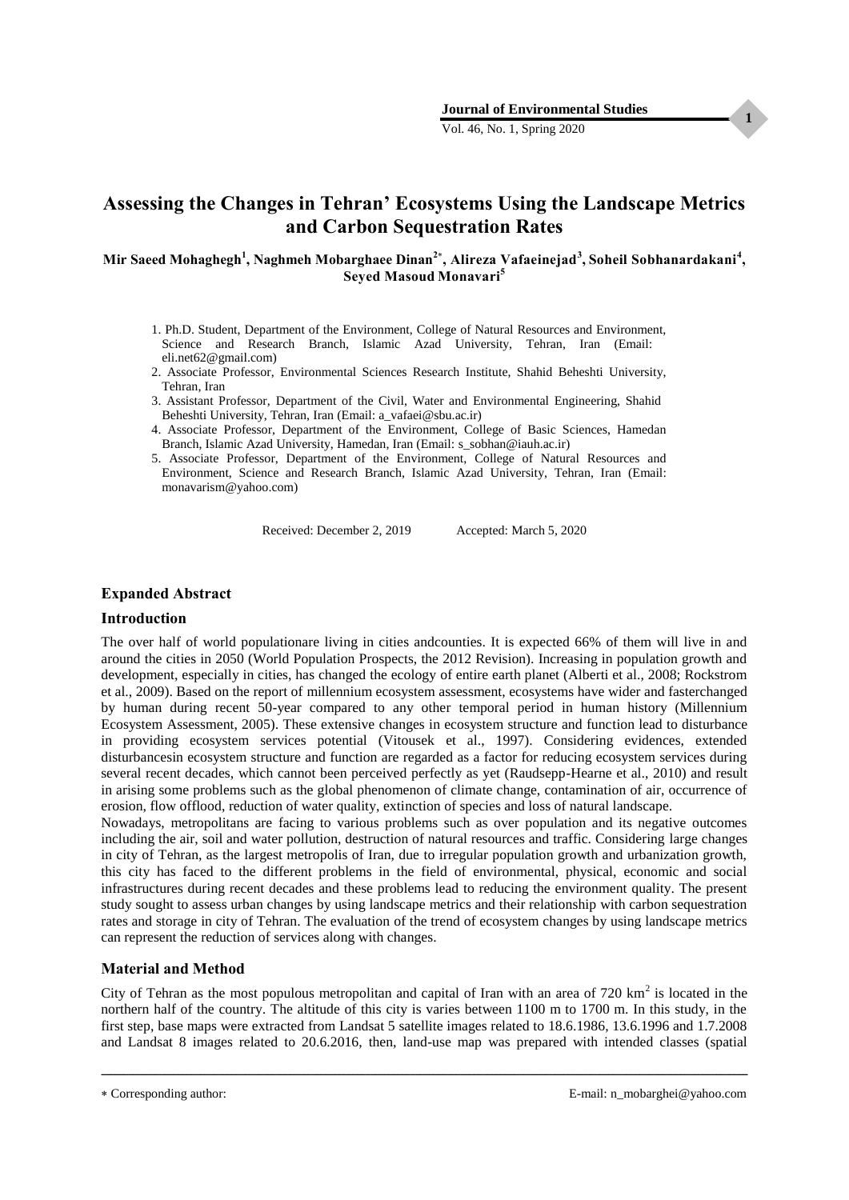**1**

Vol. 46, No. 1, Spring 2020

## **Assessing the Changes in Tehran' Ecosystems Using the Landscape Metrics and Carbon Sequestration Rates**

#### **Mir Saeed Mohaghegh<sup>1</sup> , Naghmeh Mobarghaee Dinan<sup>2</sup> , Alireza Vafaeinejad<sup>3</sup> , Soheil Sobhanardakani<sup>4</sup> , Seyed Masoud Monavari<sup>5</sup>**

- 1. Ph.D. Student, Department of the Environment, College of Natural Resources and Environment, Science and Research Branch, Islamic Azad University, Tehran, Iran (Email: eli.net62@gmail.com)
- 2. Associate Professor, Environmental Sciences Research Institute, Shahid Beheshti University, Tehran, Iran
- 3. Assistant Professor, Department of the Civil, Water and Environmental Engineering, Shahid Beheshti University, Tehran, Iran (Email: a\_vafaei@sbu.ac.ir)
- 4. Associate Professor, Department of the Environment, College of Basic Sciences, Hamedan Branch, Islamic Azad University, Hamedan, Iran (Email: s\_sobhan@iauh.ac.ir)
- 5. Associate Professor, Department of the Environment, College of Natural Resources and Environment, Science and Research Branch, Islamic Azad University, Tehran, Iran (Email: monavarism@yahoo.com)

Received: December 2, 2019 Accepted: March 5, 2020

#### **Expanded Abstract**

#### **Introduction**

The over half of world populationare living in cities andcounties. It is expected 66% of them will live in and around the cities in 2050 (World Population Prospects, the 2012 Revision). Increasing in population growth and development, especially in cities, has changed the ecology of entire earth planet (Alberti et al., 2008; Rockstrom et al., 2009). Based on the report of millennium ecosystem assessment, ecosystems have wider and fasterchanged by human during recent 50-year compared to any other temporal period in human history (Millennium Ecosystem Assessment, 2005). These extensive changes in ecosystem structure and function lead to disturbance in providing ecosystem services potential (Vitousek et al., 1997). Considering evidences, extended disturbancesin ecosystem structure and function are regarded as a factor for reducing ecosystem services during several recent decades, which cannot been perceived perfectly as yet (Raudsepp-Hearne et al., 2010) and result in arising some problems such as the global phenomenon of climate change, contamination of air, occurrence of erosion, flow offlood, reduction of water quality, extinction of species and loss of natural landscape.

Nowadays, metropolitans are facing to various problems such as over population and its negative outcomes including the air, soil and water pollution, destruction of natural resources and traffic. Considering large changes in city of Tehran, as the largest metropolis of Iran, due to irregular population growth and urbanization growth, this city has faced to the different problems in the field of environmental, physical, economic and social infrastructures during recent decades and these problems lead to reducing the environment quality. The present study sought to assess urban changes by using landscape metrics and their relationship with carbon sequestration rates and storage in city of Tehran. The evaluation of the trend of ecosystem changes by using landscape metrics can represent the reduction of services along with changes.

#### **Material and Method**

City of Tehran as the most populous metropolitan and capital of Iran with an area of  $720 \text{ km}^2$  is located in the northern half of the country. The altitude of this city is varies between 1100 m to 1700 m. In this study, in the first step, base maps were extracted from Landsat 5 satellite images related to 18.6.1986, 13.6.1996 and 1.7.2008 and Landsat 8 images related to 20.6.2016, then, land-use map was prepared with intended classes (spatial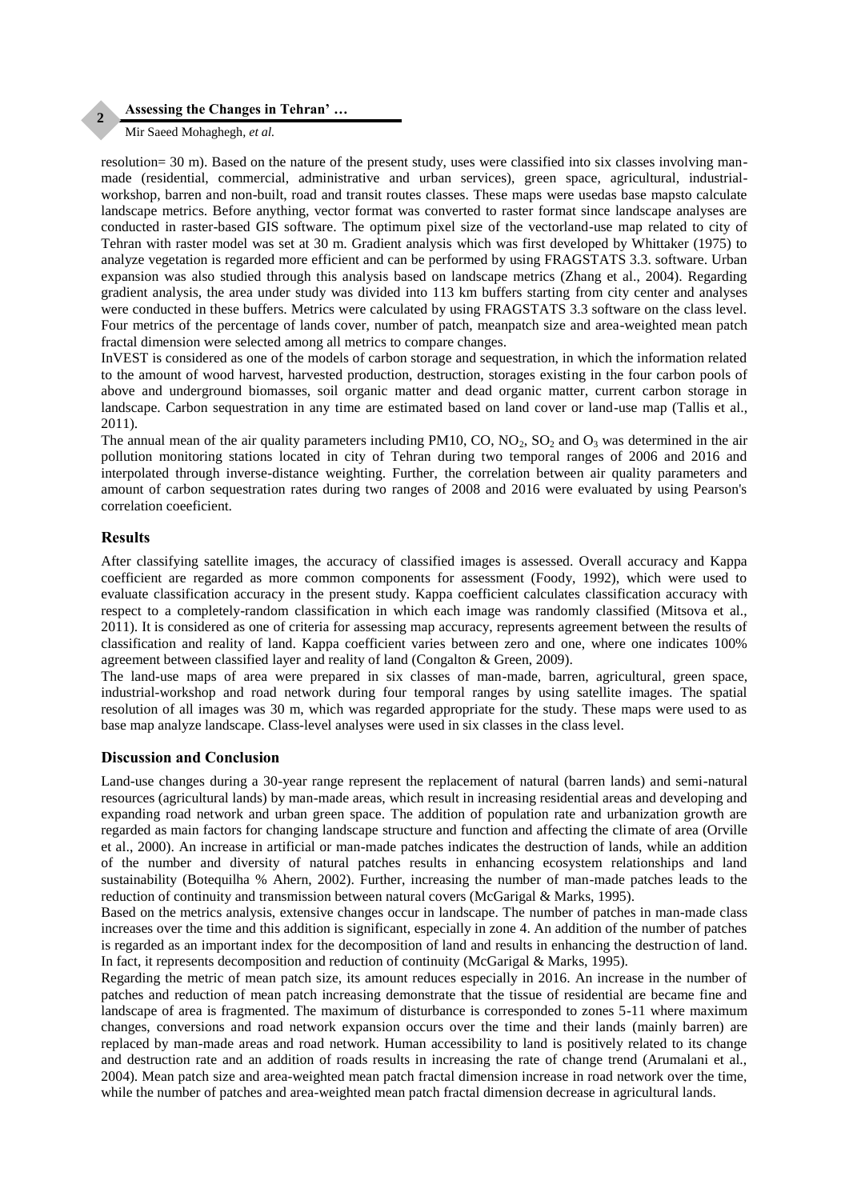#### **Assessing the Changes in Tehran' …**

Mir Saeed Mohaghegh*, et al.*

**2**

resolution= 30 m). Based on the nature of the present study, uses were classified into six classes involving manmade (residential, commercial, administrative and urban services), green space, agricultural, industrialworkshop, barren and non-built, road and transit routes classes. These maps were usedas base mapsto calculate landscape metrics. Before anything, vector format was converted to raster format since landscape analyses are conducted in raster-based GIS software. The optimum pixel size of the vectorland-use map related to city of Tehran with raster model was set at 30 m. Gradient analysis which was first developed by Whittaker (1975) to analyze vegetation is regarded more efficient and can be performed by using FRAGSTATS 3.3. software. Urban expansion was also studied through this analysis based on landscape metrics (Zhang et al., 2004). Regarding gradient analysis, the area under study was divided into 113 km buffers starting from city center and analyses were conducted in these buffers. Metrics were calculated by using FRAGSTATS 3.3 software on the class level. Four metrics of the percentage of lands cover, number of patch, meanpatch size and area-weighted mean patch fractal dimension were selected among all metrics to compare changes.

InVEST is considered as one of the models of carbon storage and sequestration, in which the information related to the amount of wood harvest, harvested production, destruction, storages existing in the four carbon pools of above and underground biomasses, soil organic matter and dead organic matter, current carbon storage in landscape. Carbon sequestration in any time are estimated based on land cover or land-use map (Tallis et al., 2011).

The annual mean of the air quality parameters including PM10, CO,  $NO_2$ ,  $SO_2$  and  $O_3$  was determined in the air pollution monitoring stations located in city of Tehran during two temporal ranges of 2006 and 2016 and interpolated through inverse-distance weighting. Further, the correlation between air quality parameters and amount of carbon sequestration rates during two ranges of 2008 and 2016 were evaluated by using Pearson's correlation coeeficient.

#### **Results**

After classifying satellite images, the accuracy of classified images is assessed. Overall accuracy and Kappa coefficient are regarded as more common components for assessment (Foody, 1992), which were used to evaluate classification accuracy in the present study. Kappa coefficient calculates classification accuracy with respect to a completely-random classification in which each image was randomly classified (Mitsova et al., 2011). It is considered as one of criteria for assessing map accuracy, represents agreement between the results of classification and reality of land. Kappa coefficient varies between zero and one, where one indicates 100% agreement between classified layer and reality of land (Congalton & Green, 2009).

The land-use maps of area were prepared in six classes of man-made, barren, agricultural, green space, industrial-workshop and road network during four temporal ranges by using satellite images. The spatial resolution of all images was 30 m, which was regarded appropriate for the study. These maps were used to as base map analyze landscape. Class-level analyses were used in six classes in the class level.

#### **Discussion and Conclusion**

Land-use changes during a 30-year range represent the replacement of natural (barren lands) and semi-natural resources (agricultural lands) by man-made areas, which result in increasing residential areas and developing and expanding road network and urban green space. The addition of population rate and urbanization growth are regarded as main factors for changing landscape structure and function and affecting the climate of area (Orville et al., 2000). An increase in artificial or man-made patches indicates the destruction of lands, while an addition of the number and diversity of natural patches results in enhancing ecosystem relationships and land sustainability (Botequilha % Ahern, 2002). Further, increasing the number of man-made patches leads to the reduction of continuity and transmission between natural covers (McGarigal & Marks, 1995).

Based on the metrics analysis, extensive changes occur in landscape. The number of patches in man-made class increases over the time and this addition is significant, especially in zone 4. An addition of the number of patches is regarded as an important index for the decomposition of land and results in enhancing the destruction of land. In fact, it represents decomposition and reduction of continuity (McGarigal & Marks, 1995).

Regarding the metric of mean patch size, its amount reduces especially in 2016. An increase in the number of patches and reduction of mean patch increasing demonstrate that the tissue of residential are became fine and landscape of area is fragmented. The maximum of disturbance is corresponded to zones 5-11 where maximum changes, conversions and road network expansion occurs over the time and their lands (mainly barren) are replaced by man-made areas and road network. Human accessibility to land is positively related to its change and destruction rate and an addition of roads results in increasing the rate of change trend (Arumalani et al., 2004). Mean patch size and area-weighted mean patch fractal dimension increase in road network over the time, while the number of patches and area-weighted mean patch fractal dimension decrease in agricultural lands.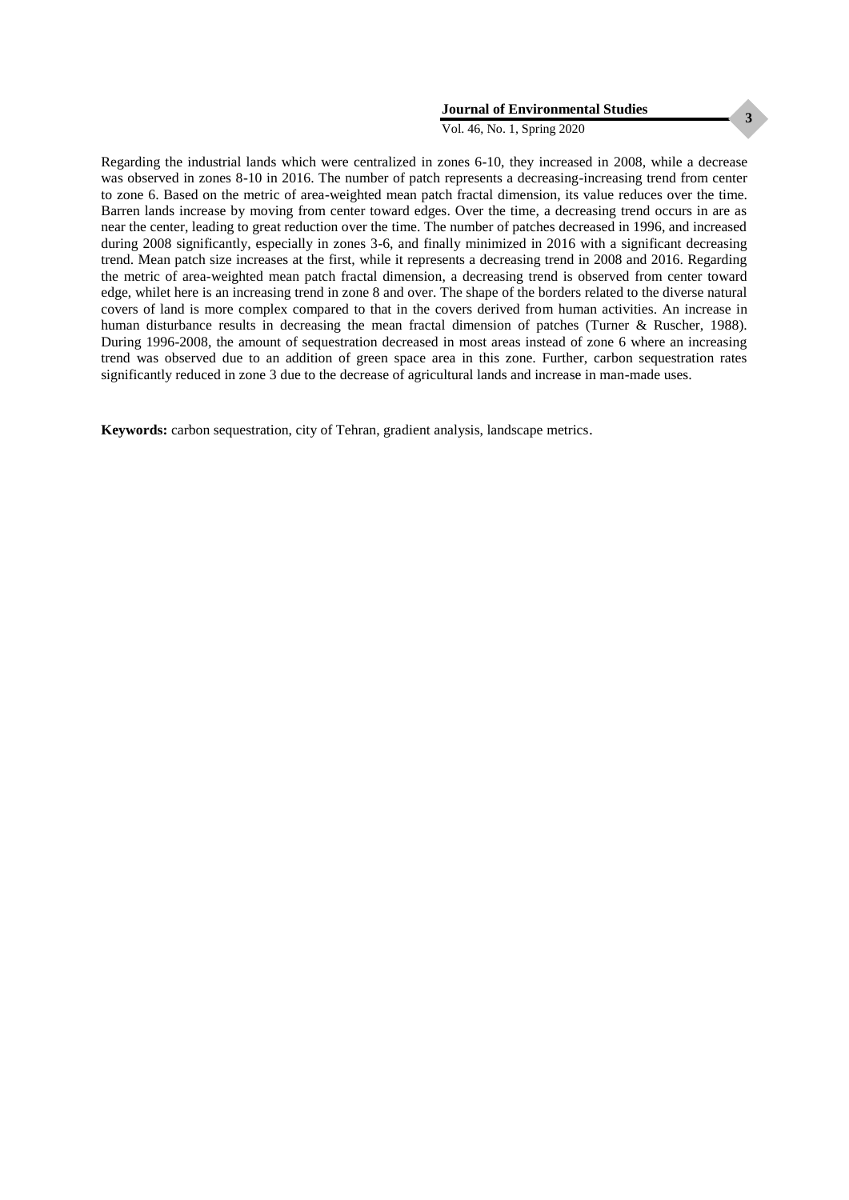#### Vol. 46, No. 1, Spring 2020

Regarding the industrial lands which were centralized in zones 6-10, they increased in 2008, while a decrease was observed in zones 8-10 in 2016. The number of patch represents a decreasing-increasing trend from center to zone 6. Based on the metric of area-weighted mean patch fractal dimension, its value reduces over the time. Barren lands increase by moving from center toward edges. Over the time, a decreasing trend occurs in are as near the center, leading to great reduction over the time. The number of patches decreased in 1996, and increased during 2008 significantly, especially in zones 3-6, and finally minimized in 2016 with a significant decreasing trend. Mean patch size increases at the first, while it represents a decreasing trend in 2008 and 2016. Regarding the metric of area-weighted mean patch fractal dimension, a decreasing trend is observed from center toward edge, whilet here is an increasing trend in zone 8 and over. The shape of the borders related to the diverse natural covers of land is more complex compared to that in the covers derived from human activities. An increase in human disturbance results in decreasing the mean fractal dimension of patches (Turner & Ruscher, 1988). During 1996-2008, the amount of sequestration decreased in most areas instead of zone 6 where an increasing trend was observed due to an addition of green space area in this zone. Further, carbon sequestration rates significantly reduced in zone 3 due to the decrease of agricultural lands and increase in man-made uses.

**Keywords:** carbon sequestration, city of Tehran, gradient analysis, landscape metrics.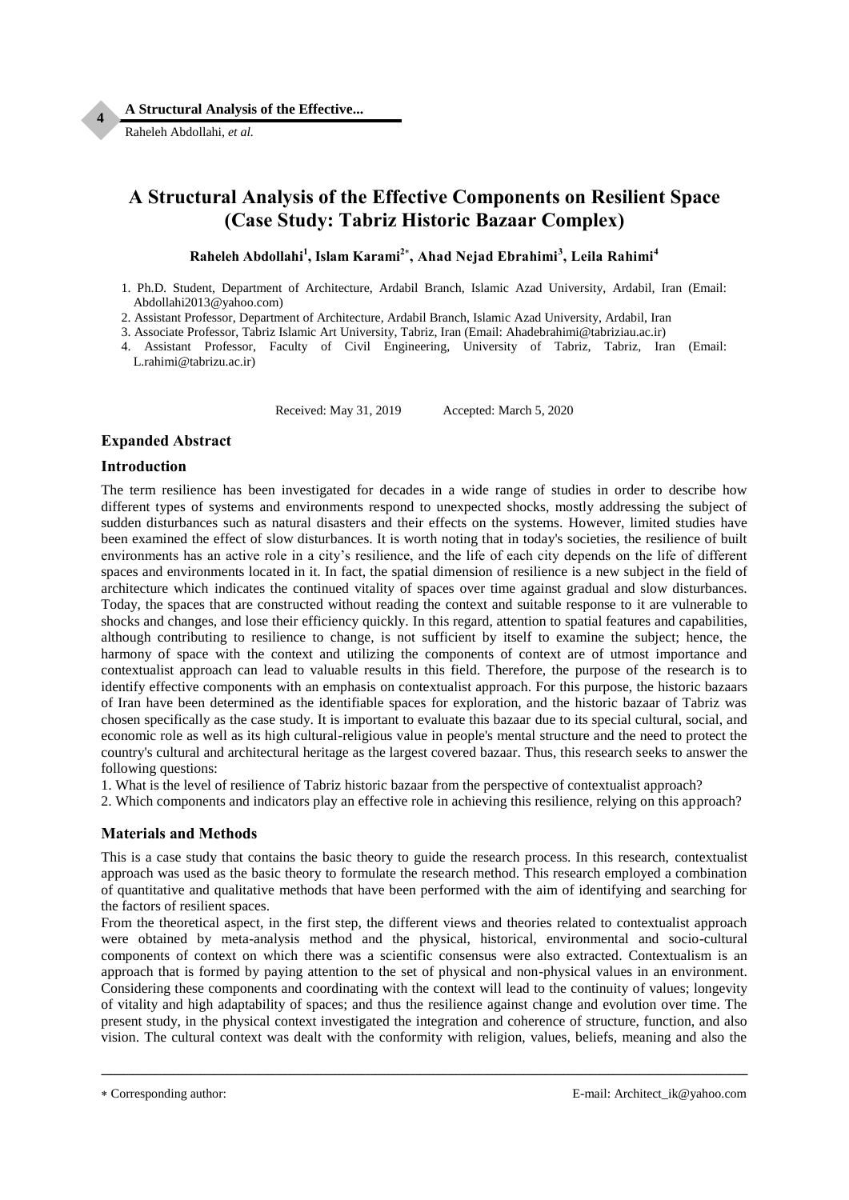Raheleh Abdollahi*, et al.*

**4**

## **A Structural Analysis of the Effective Components on Resilient Space (Case Study: Tabriz Historic Bazaar Complex)**

**Raheleh Abdollahi<sup>1</sup> , Islam Karami<sup>2</sup> , Ahad Nejad Ebrahimi<sup>3</sup> , Leila Rahimi<sup>4</sup>**

- 1. Ph.D. Student, Department of Architecture, Ardabil Branch, Islamic Azad University, Ardabil, Iran (Email: Abdollahi2013@yahoo.com)
- 2. Assistant Professor, Department of Architecture, Ardabil Branch, Islamic Azad University, Ardabil, Iran
- 3. Associate Professor, Tabriz Islamic Art University, Tabriz, Iran (Email: Ahadebrahimi@tabriziau.ac.ir)
- 4. Assistant Professor, Faculty of Civil Engineering, University of Tabriz, Tabriz, Iran (Email: L.rahimi@tabrizu.ac.ir)

Received: May 31, 2019 Accepted: March 5, 2020

#### **Expanded Abstract**

#### **Introduction**

The term resilience has been investigated for decades in a wide range of studies in order to describe how different types of systems and environments respond to unexpected shocks, mostly addressing the subject of sudden disturbances such as natural disasters and their effects on the systems. However, limited studies have been examined the effect of slow disturbances. It is worth noting that in today's societies, the resilience of built environments has an active role in a city's resilience, and the life of each city depends on the life of different spaces and environments located in it. In fact, the spatial dimension of resilience is a new subject in the field of architecture which indicates the continued vitality of spaces over time against gradual and slow disturbances. Today, the spaces that are constructed without reading the context and suitable response to it are vulnerable to shocks and changes, and lose their efficiency quickly. In this regard, attention to spatial features and capabilities, although contributing to resilience to change, is not sufficient by itself to examine the subject; hence, the harmony of space with the context and utilizing the components of context are of utmost importance and contextualist approach can lead to valuable results in this field. Therefore, the purpose of the research is to identify effective components with an emphasis on contextualist approach. For this purpose, the historic bazaars of Iran have been determined as the identifiable spaces for exploration, and the historic bazaar of Tabriz was chosen specifically as the case study. It is important to evaluate this bazaar due to its special cultural, social, and economic role as well as its high cultural-religious value in people's mental structure and the need to protect the country's cultural and architectural heritage as the largest covered bazaar. Thus, this research seeks to answer the following questions:

1. What is the level of resilience of Tabriz historic bazaar from the perspective of contextualist approach?

2. Which components and indicators play an effective role in achieving this resilience, relying on this approach?

#### **Materials and Methods**

This is a case study that contains the basic theory to guide the research process. In this research, contextualist approach was used as the basic theory to formulate the research method. This research employed a combination of quantitative and qualitative methods that have been performed with the aim of identifying and searching for the factors of resilient spaces.

From the theoretical aspect, in the first step, the different views and theories related to contextualist approach were obtained by meta-analysis method and the physical, historical, environmental and socio-cultural components of context on which there was a scientific consensus were also extracted. Contextualism is an approach that is formed by paying attention to the set of physical and non-physical values in an environment. Considering these components and coordinating with the context will lead to the continuity of values; longevity of vitality and high adaptability of spaces; and thus the resilience against change and evolution over time. The present study, in the physical context investigated the integration and coherence of structure, function, and also vision. The cultural context was dealt with the conformity with religion, values, beliefs, meaning and also the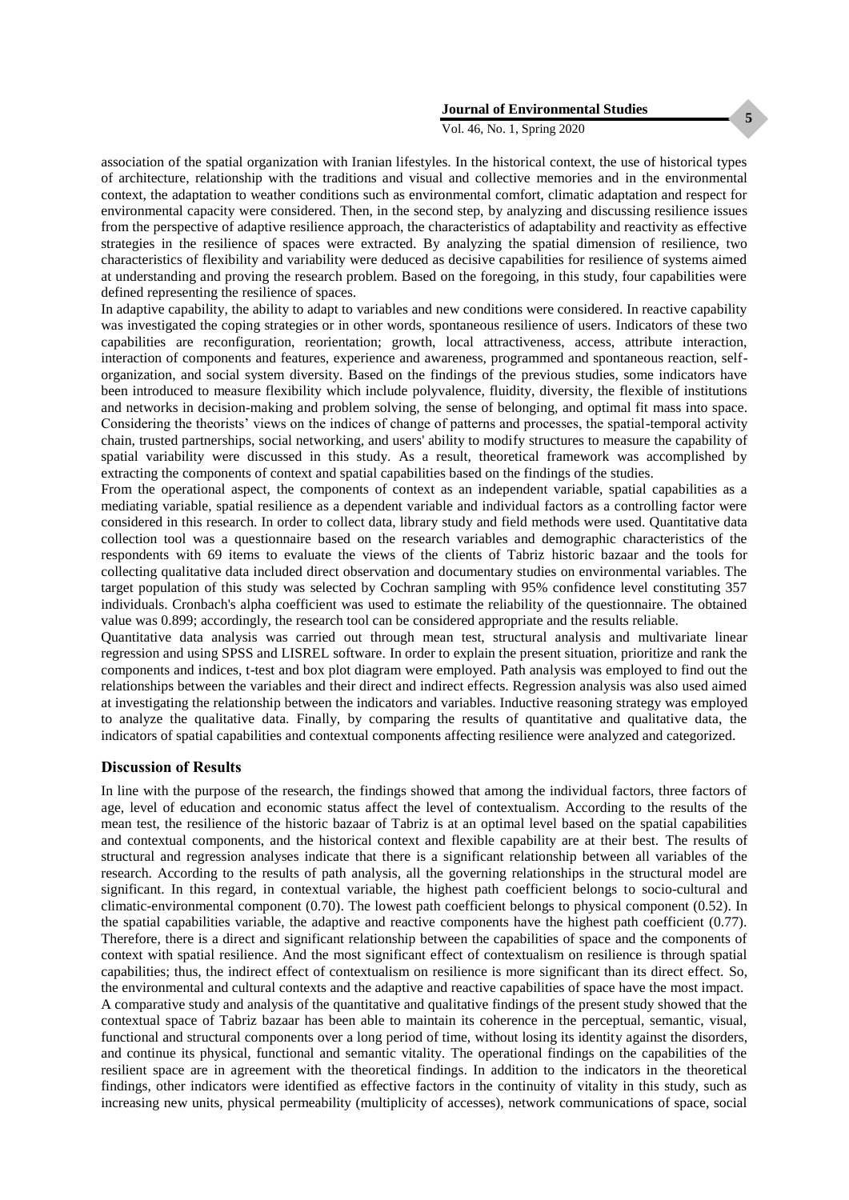#### Vol. 46, No. 1, Spring 2020

association of the spatial organization with Iranian lifestyles. In the historical context, the use of historical types of architecture, relationship with the traditions and visual and collective memories and in the environmental context, the adaptation to weather conditions such as environmental comfort, climatic adaptation and respect for environmental capacity were considered. Then, in the second step, by analyzing and discussing resilience issues from the perspective of adaptive resilience approach, the characteristics of adaptability and reactivity as effective strategies in the resilience of spaces were extracted. By analyzing the spatial dimension of resilience, two characteristics of flexibility and variability were deduced as decisive capabilities for resilience of systems aimed at understanding and proving the research problem. Based on the foregoing, in this study, four capabilities were defined representing the resilience of spaces.

In adaptive capability, the ability to adapt to variables and new conditions were considered. In reactive capability was investigated the coping strategies or in other words, spontaneous resilience of users. Indicators of these two capabilities are reconfiguration, reorientation; growth, local attractiveness, access, attribute interaction, interaction of components and features, experience and awareness, programmed and spontaneous reaction, selforganization, and social system diversity. Based on the findings of the previous studies, some indicators have been introduced to measure flexibility which include polyvalence, fluidity, diversity, the flexible of institutions and networks in decision-making and problem solving, the sense of belonging, and optimal fit mass into space. Considering the theorists' views on the indices of change of patterns and processes, the spatial-temporal activity chain, trusted partnerships, social networking, and users' ability to modify structures to measure the capability of spatial variability were discussed in this study. As a result, theoretical framework was accomplished by extracting the components of context and spatial capabilities based on the findings of the studies.

From the operational aspect, the components of context as an independent variable, spatial capabilities as a mediating variable, spatial resilience as a dependent variable and individual factors as a controlling factor were considered in this research. In order to collect data, library study and field methods were used. Quantitative data collection tool was a questionnaire based on the research variables and demographic characteristics of the respondents with 69 items to evaluate the views of the clients of Tabriz historic bazaar and the tools for collecting qualitative data included direct observation and documentary studies on environmental variables. The target population of this study was selected by Cochran sampling with 95% confidence level constituting 357 individuals. Cronbach's alpha coefficient was used to estimate the reliability of the questionnaire. The obtained value was 0.899; accordingly, the research tool can be considered appropriate and the results reliable.

Quantitative data analysis was carried out through mean test, structural analysis and multivariate linear regression and using SPSS and LISREL software. In order to explain the present situation, prioritize and rank the components and indices, t-test and box plot diagram were employed. Path analysis was employed to find out the relationships between the variables and their direct and indirect effects. Regression analysis was also used aimed at investigating the relationship between the indicators and variables. Inductive reasoning strategy was employed to analyze the qualitative data. Finally, by comparing the results of quantitative and qualitative data, the indicators of spatial capabilities and contextual components affecting resilience were analyzed and categorized.

#### **Discussion of Results**

In line with the purpose of the research, the findings showed that among the individual factors, three factors of age, level of education and economic status affect the level of contextualism. According to the results of the mean test, the resilience of the historic bazaar of Tabriz is at an optimal level based on the spatial capabilities and contextual components, and the historical context and flexible capability are at their best. The results of structural and regression analyses indicate that there is a significant relationship between all variables of the research. According to the results of path analysis, all the governing relationships in the structural model are significant. In this regard, in contextual variable, the highest path coefficient belongs to socio-cultural and climatic-environmental component (0.70). The lowest path coefficient belongs to physical component (0.52). In the spatial capabilities variable, the adaptive and reactive components have the highest path coefficient (0.77). Therefore, there is a direct and significant relationship between the capabilities of space and the components of context with spatial resilience. And the most significant effect of contextualism on resilience is through spatial capabilities; thus, the indirect effect of contextualism on resilience is more significant than its direct effect. So, the environmental and cultural contexts and the adaptive and reactive capabilities of space have the most impact. A comparative study and analysis of the quantitative and qualitative findings of the present study showed that the contextual space of Tabriz bazaar has been able to maintain its coherence in the perceptual, semantic, visual, functional and structural components over a long period of time, without losing its identity against the disorders, and continue its physical, functional and semantic vitality. The operational findings on the capabilities of the resilient space are in agreement with the theoretical findings. In addition to the indicators in the theoretical findings, other indicators were identified as effective factors in the continuity of vitality in this study, such as increasing new units, physical permeability (multiplicity of accesses), network communications of space, social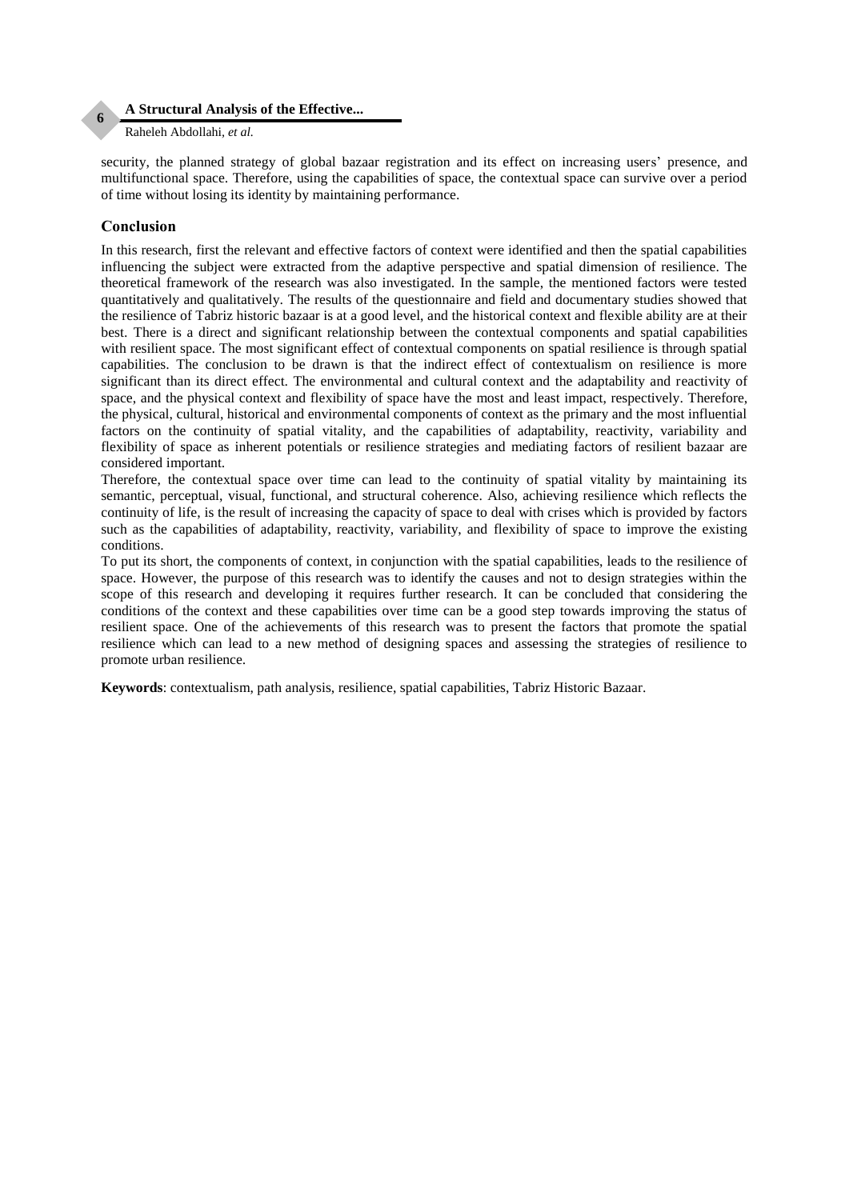#### **A Structural Analysis of the Effective...**

Raheleh Abdollahi*, et al.*

security, the planned strategy of global bazaar registration and its effect on increasing users' presence, and multifunctional space. Therefore, using the capabilities of space, the contextual space can survive over a period of time without losing its identity by maintaining performance.

#### **Conclusion**

**6**

In this research, first the relevant and effective factors of context were identified and then the spatial capabilities influencing the subject were extracted from the adaptive perspective and spatial dimension of resilience. The theoretical framework of the research was also investigated. In the sample, the mentioned factors were tested quantitatively and qualitatively. The results of the questionnaire and field and documentary studies showed that the resilience of Tabriz historic bazaar is at a good level, and the historical context and flexible ability are at their best. There is a direct and significant relationship between the contextual components and spatial capabilities with resilient space. The most significant effect of contextual components on spatial resilience is through spatial capabilities. The conclusion to be drawn is that the indirect effect of contextualism on resilience is more significant than its direct effect. The environmental and cultural context and the adaptability and reactivity of space, and the physical context and flexibility of space have the most and least impact, respectively. Therefore, the physical, cultural, historical and environmental components of context as the primary and the most influential factors on the continuity of spatial vitality, and the capabilities of adaptability, reactivity, variability and flexibility of space as inherent potentials or resilience strategies and mediating factors of resilient bazaar are considered important.

Therefore, the contextual space over time can lead to the continuity of spatial vitality by maintaining its semantic, perceptual, visual, functional, and structural coherence. Also, achieving resilience which reflects the continuity of life, is the result of increasing the capacity of space to deal with crises which is provided by factors such as the capabilities of adaptability, reactivity, variability, and flexibility of space to improve the existing conditions.

To put its short, the components of context, in conjunction with the spatial capabilities, leads to the resilience of space. However, the purpose of this research was to identify the causes and not to design strategies within the scope of this research and developing it requires further research. It can be concluded that considering the conditions of the context and these capabilities over time can be a good step towards improving the status of resilient space. One of the achievements of this research was to present the factors that promote the spatial resilience which can lead to a new method of designing spaces and assessing the strategies of resilience to promote urban resilience.

**Keywords**: contextualism, path analysis, resilience, spatial capabilities, Tabriz Historic Bazaar.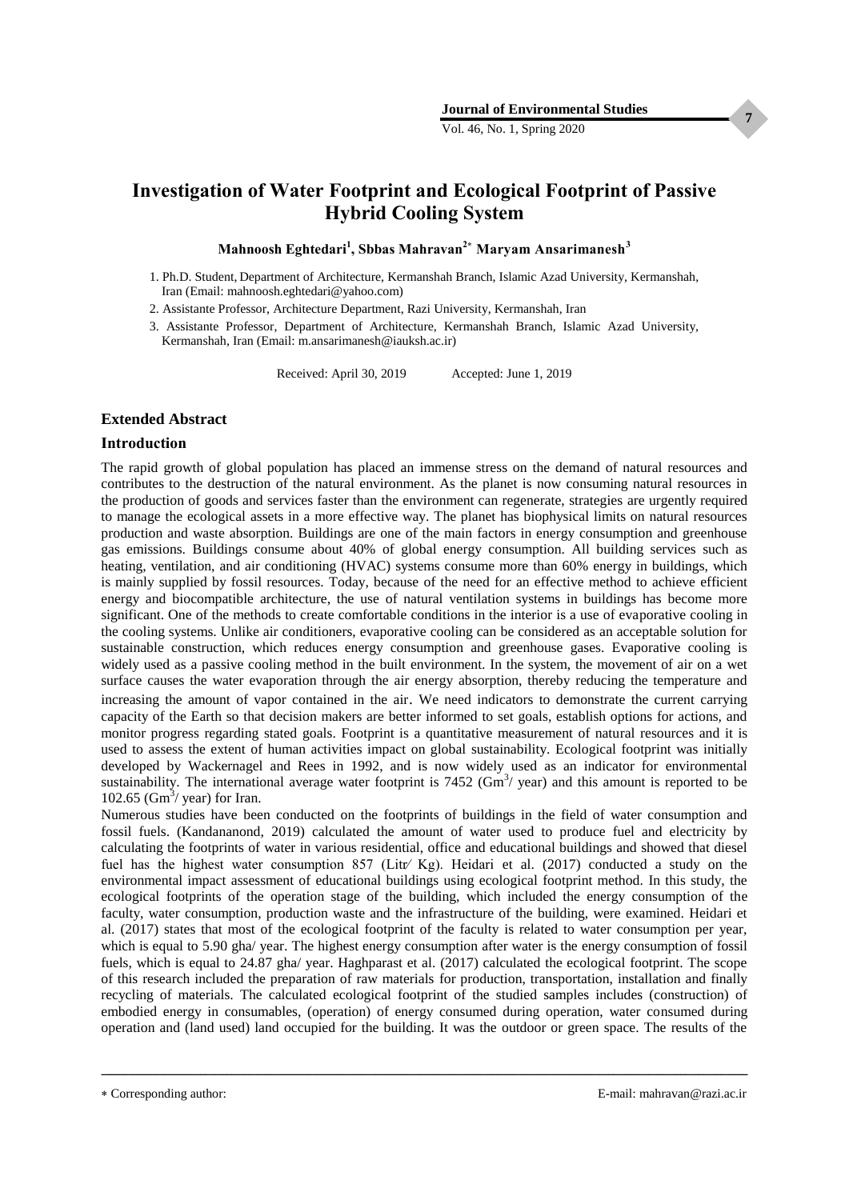**7**

Vol. 46, No. 1, Spring 2020

## **Investigation of Water Footprint and Ecological Footprint of Passive Hybrid Cooling System**

**Mahnoosh Eghtedari<sup>1</sup> , Sbbas Mahravan<sup>2</sup> Maryam Ansarimanesh<sup>3</sup>**

- 1. Ph.D. Student, Department of Architecture, Kermanshah Branch, Islamic Azad University, Kermanshah, Iran (Email: mahnoosh.eghtedari@yahoo.com)
- 2. Assistante Professor, Architecture Department, Razi University, Kermanshah, Iran
- 3. Assistante Professor, Department of Architecture, Kermanshah Branch, Islamic Azad University, Kermanshah, Iran (Email: m.ansarimanesh@iauksh.ac.ir)

Received: April 30, 2019 Accepted: June 1, 2019

#### **Extended Abstract**

#### **Introduction**

The rapid growth of global population has placed an immense stress on the demand of natural resources and contributes to the destruction of the natural environment. As the planet is now consuming natural resources in the production of goods and services faster than the environment can regenerate, strategies are urgently required to manage the ecological assets in a more effective way. The planet has biophysical limits on natural resources production and waste absorption. Buildings are one of the main factors in energy consumption and greenhouse gas emissions. Buildings consume about 40% of global energy consumption. All building services such as heating, ventilation, and air conditioning (HVAC) systems consume more than 60% energy in buildings, which is mainly supplied by fossil resources. Today, because of the need for an effective method to achieve efficient energy and biocompatible architecture, the use of natural ventilation systems in buildings has become more significant. One of the methods to create comfortable conditions in the interior is a use of evaporative cooling in the cooling systems. Unlike air conditioners, evaporative cooling can be considered as an acceptable solution for sustainable construction, which reduces energy consumption and greenhouse gases. Evaporative cooling is widely used as a passive cooling method in the built environment. In the system, the movement of air on a wet surface causes the water evaporation through the air energy absorption, thereby reducing the temperature and increasing the amount of vapor contained in the air. We need indicators to demonstrate the current carrying capacity of the Earth so that decision makers are better informed to set goals, establish options for actions, and monitor progress regarding stated goals. Footprint is a quantitative measurement of natural resources and it is used to assess the extent of human activities impact on global sustainability. Ecological footprint was initially developed by Wackernagel and Rees in 1992, and is now widely used as an indicator for environmental sustainability. The international average water footprint is 7452 ( $\text{Gm}^3$ ) year) and this amount is reported to be 102.65 ( $\text{Gm}^3$ / year) for Iran.

Numerous studies have been conducted on the footprints of buildings in the field of water consumption and fossil fuels. (Kandananond, 2019) calculated the amount of water used to produce fuel and electricity by calculating the footprints of water in various residential, office and educational buildings and showed that diesel fuel has the highest water consumption 857 (Litr/ Kg). Heidari et al. (2017) conducted a study on the environmental impact assessment of educational buildings using ecological footprint method. In this study, the ecological footprints of the operation stage of the building, which included the energy consumption of the faculty, water consumption, production waste and the infrastructure of the building, were examined. Heidari et al. (2017) states that most of the ecological footprint of the faculty is related to water consumption per year, which is equal to 5.90 gha/ year. The highest energy consumption after water is the energy consumption of fossil fuels, which is equal to 24.87 gha/ year. Haghparast et al. (2017) calculated the ecological footprint. The scope of this research included the preparation of raw materials for production, transportation, installation and finally recycling of materials. The calculated ecological footprint of the studied samples includes (construction) of embodied energy in consumables, (operation) of energy consumed during operation, water consumed during operation and (land used) land occupied for the building. It was the outdoor or green space. The results of the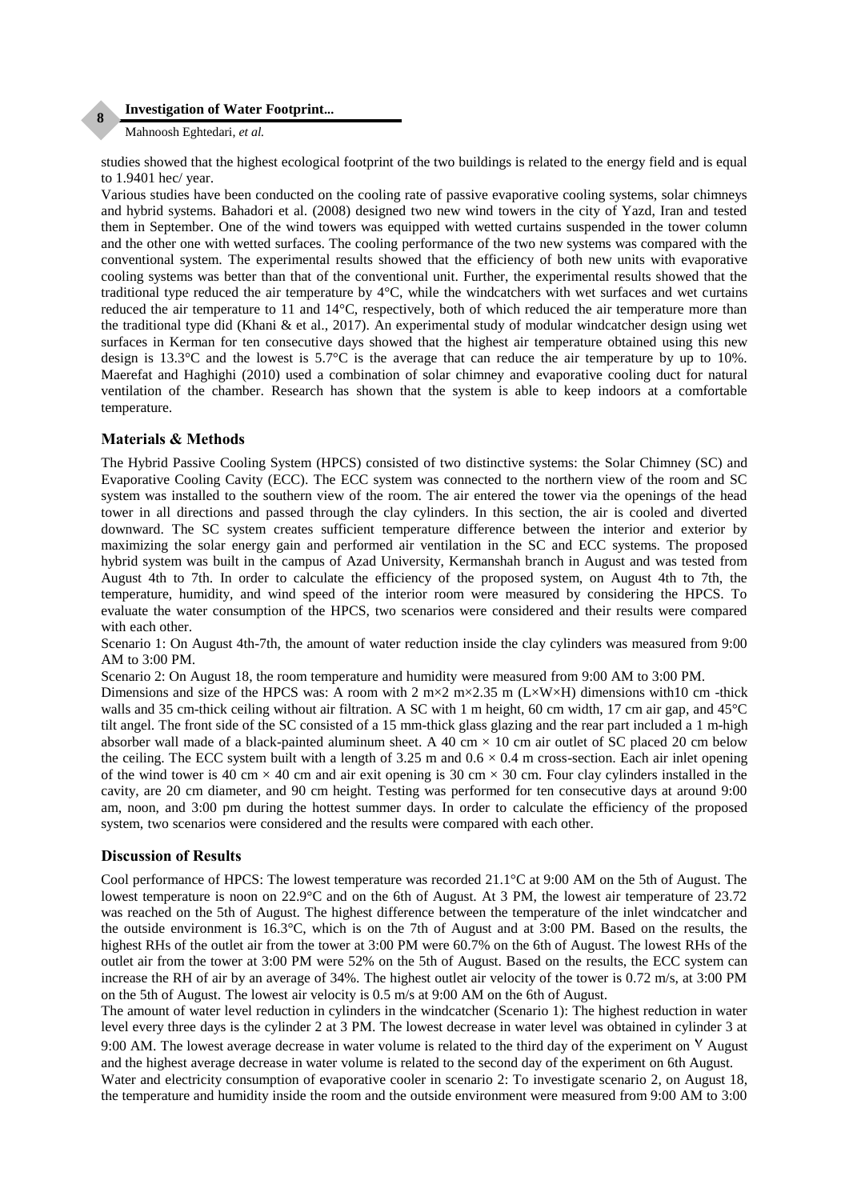#### **Investigation of Water Footprint...**

Mahnoosh Eghtedari, *et al.*

**8**

studies showed that the highest ecological footprint of the two buildings is related to the energy field and is equal to 1.9401 hec/ year.

Various studies have been conducted on the cooling rate of passive evaporative cooling systems, solar chimneys and hybrid systems. Bahadori et al. (2008) designed two new wind towers in the city of Yazd, Iran and tested them in September. One of the wind towers was equipped with wetted curtains suspended in the tower column and the other one with wetted surfaces. The cooling performance of the two new systems was compared with the conventional system. The experimental results showed that the efficiency of both new units with evaporative cooling systems was better than that of the conventional unit. Further, the experimental results showed that the traditional type reduced the air temperature by  $4^{\circ}$ C, while the windcatchers with wet surfaces and wet curtains reduced the air temperature to 11 and 14°C, respectively, both of which reduced the air temperature more than the traditional type did (Khani & et al., 2017). An experimental study of modular windcatcher design using wet surfaces in Kerman for ten consecutive days showed that the highest air temperature obtained using this new design is 13.3°C and the lowest is 5.7°C is the average that can reduce the air temperature by up to 10%. Maerefat and Haghighi (2010) used a combination of solar chimney and evaporative cooling duct for natural ventilation of the chamber. Research has shown that the system is able to keep indoors at a comfortable temperature.

#### **Materials & Methods**

The Hybrid Passive Cooling System (HPCS) consisted of two distinctive systems: the Solar Chimney (SC) and Evaporative Cooling Cavity (ECC). The ECC system was connected to the northern view of the room and SC system was installed to the southern view of the room. The air entered the tower via the openings of the head tower in all directions and passed through the clay cylinders. In this section, the air is cooled and diverted downward. The SC system creates sufficient temperature difference between the interior and exterior by maximizing the solar energy gain and performed air ventilation in the SC and ECC systems. The proposed hybrid system was built in the campus of Azad University, Kermanshah branch in August and was tested from August 4th to 7th. In order to calculate the efficiency of the proposed system, on August 4th to 7th, the temperature, humidity, and wind speed of the interior room were measured by considering the HPCS. To evaluate the water consumption of the HPCS, two scenarios were considered and their results were compared with each other.

Scenario 1: On August 4th-7th, the amount of water reduction inside the clay cylinders was measured from 9:00 AM to 3:00 PM.

Scenario 2: On August 18, the room temperature and humidity were measured from 9:00 AM to 3:00 PM.

Dimensions and size of the HPCS was: A room with  $2 \text{ m} \times 2 \text{ m} \times 2.35 \text{ m}$  (L $\times$ W $\times$ H) dimensions with10 cm -thick walls and 35 cm-thick ceiling without air filtration. A SC with 1 m height, 60 cm width, 17 cm air gap, and 45°C tilt angel. The front side of the SC consisted of a 15 mm-thick glass glazing and the rear part included a 1 m-high absorber wall made of a black-painted aluminum sheet. A 40 cm  $\times$  10 cm air outlet of SC placed 20 cm below the ceiling. The ECC system built with a length of  $3.25$  m and  $0.6 \times 0.4$  m cross-section. Each air inlet opening of the wind tower is 40 cm  $\times$  40 cm and air exit opening is 30 cm  $\times$  30 cm. Four clay cylinders installed in the cavity, are 20 cm diameter, and 90 cm height. Testing was performed for ten consecutive days at around 9:00 am, noon, and 3:00 pm during the hottest summer days. In order to calculate the efficiency of the proposed system, two scenarios were considered and the results were compared with each other.

#### **Discussion of Results**

Cool performance of HPCS: The lowest temperature was recorded 21.1°C at 9:00 AM on the 5th of August. The lowest temperature is noon on 22.9°C and on the 6th of August. At 3 PM, the lowest air temperature of 23.72 was reached on the 5th of August. The highest difference between the temperature of the inlet windcatcher and the outside environment is 16.3°C, which is on the 7th of August and at 3:00 PM. Based on the results, the highest RHs of the outlet air from the tower at 3:00 PM were 60.7% on the 6th of August. The lowest RHs of the outlet air from the tower at 3:00 PM were 52% on the 5th of August. Based on the results, the ECC system can increase the RH of air by an average of 34%. The highest outlet air velocity of the tower is 0.72 m/s, at 3:00 PM on the 5th of August. The lowest air velocity is 0.5 m/s at 9:00 AM on the 6th of August.

The amount of water level reduction in cylinders in the windcatcher (Scenario 1): The highest reduction in water level every three days is the cylinder 2 at 3 PM. The lowest decrease in water level was obtained in cylinder 3 at 9:00 AM. The lowest average decrease in water volume is related to the third day of the experiment on  $\vee$  August and the highest average decrease in water volume is related to the second day of the experiment on 6th August.

Water and electricity consumption of evaporative cooler in scenario 2: To investigate scenario 2, on August 18, the temperature and humidity inside the room and the outside environment were measured from 9:00 AM to 3:00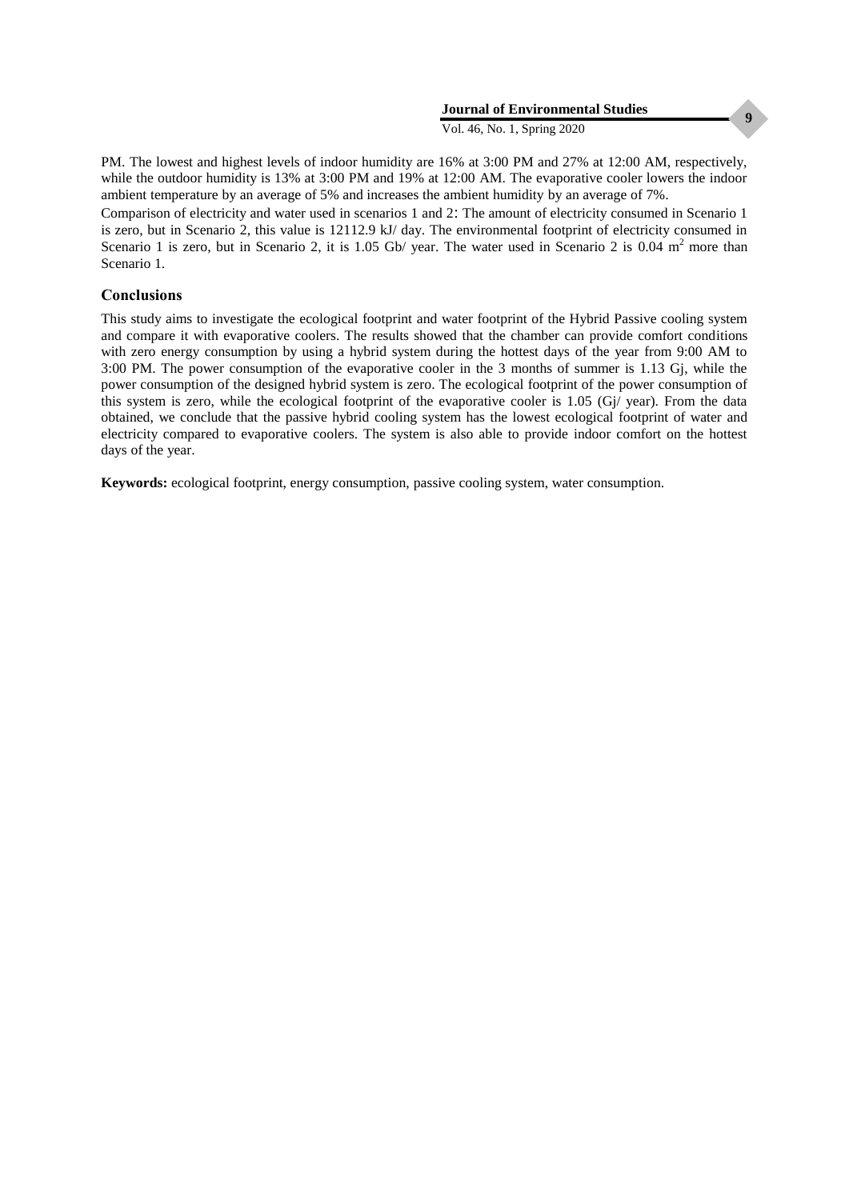**9**

PM. The lowest and highest levels of indoor humidity are 16% at 3:00 PM and 27% at 12:00 AM, respectively, while the outdoor humidity is 13% at 3:00 PM and 19% at 12:00 AM. The evaporative cooler lowers the indoor ambient temperature by an average of 5% and increases the ambient humidity by an average of 7%.

Comparison of electricity and water used in scenarios 1 and 2: The amount of electricity consumed in Scenario 1 is zero, but in Scenario 2, this value is 12112.9 kJ/ day. The environmental footprint of electricity consumed in Scenario 1 is zero, but in Scenario 2, it is 1.05 Gb/ year. The water used in Scenario 2 is 0.04  $m<sup>2</sup>$  more than Scenario 1.

#### **Conclusions**

This study aims to investigate the ecological footprint and water footprint of the Hybrid Passive cooling system and compare it with evaporative coolers. The results showed that the chamber can provide comfort conditions with zero energy consumption by using a hybrid system during the hottest days of the year from 9:00 AM to 3:00 PM. The power consumption of the evaporative cooler in the 3 months of summer is 1.13 Gj, while the power consumption of the designed hybrid system is zero. The ecological footprint of the power consumption of this system is zero, while the ecological footprint of the evaporative cooler is 1.05 (Gj/ year). From the data obtained, we conclude that the passive hybrid cooling system has the lowest ecological footprint of water and electricity compared to evaporative coolers. The system is also able to provide indoor comfort on the hottest days of the year.

**Keywords:** ecological footprint, energy consumption, passive cooling system, water consumption.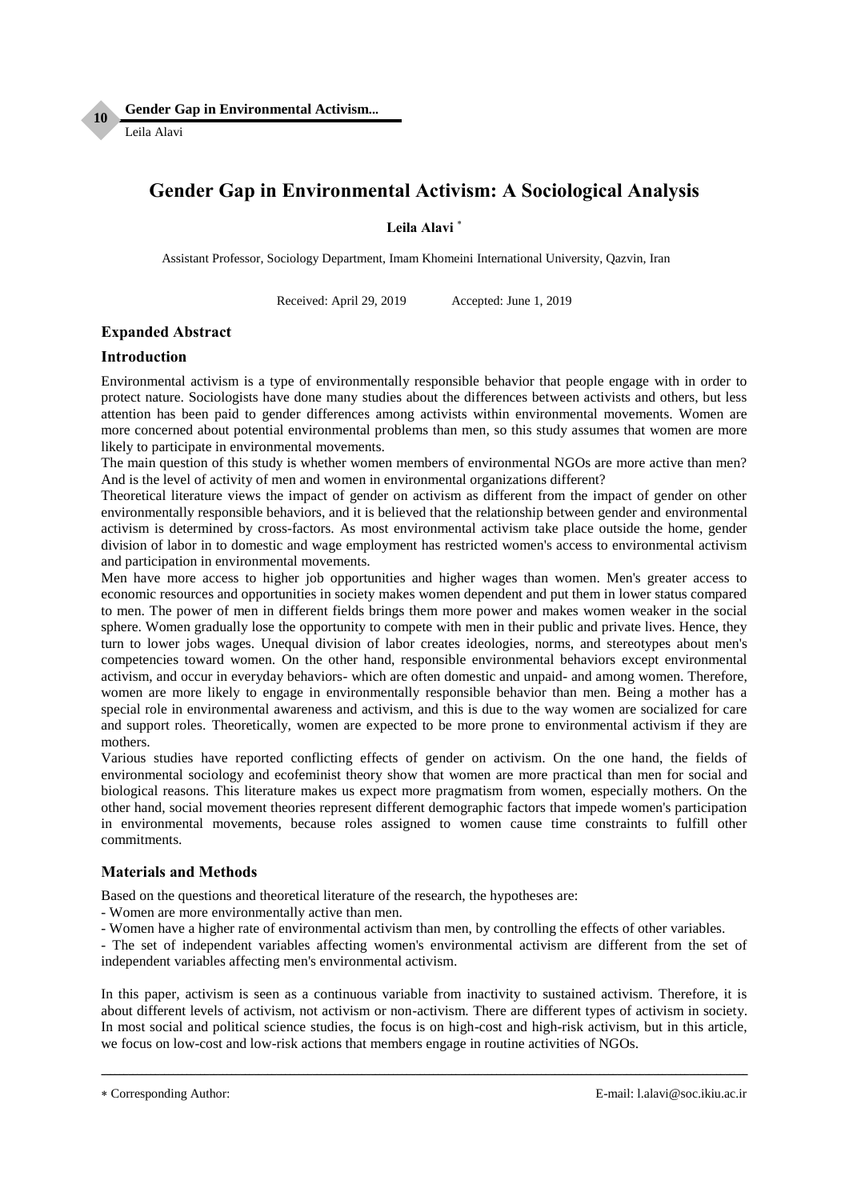**Gender Gap in Environmental Activism...**

Leila Alavi

**10**

## **Gender Gap in Environmental Activism: A Sociological Analysis**

#### **Leila Alavi**

Assistant Professor, Sociology Department, Imam Khomeini International University, Qazvin, Iran

Received: April 29, 2019 Accepted: June 1, 2019

### **Expanded Abstract**

#### **Introduction**

Environmental activism is a type of environmentally responsible behavior that people engage with in order to protect nature. Sociologists have done many studies about the differences between activists and others, but less attention has been paid to gender differences among activists within environmental movements. Women are more concerned about potential environmental problems than men, so this study assumes that women are more likely to participate in environmental movements.

The main question of this study is whether women members of environmental NGOs are more active than men? And is the level of activity of men and women in environmental organizations different?

Theoretical literature views the impact of gender on activism as different from the impact of gender on other environmentally responsible behaviors, and it is believed that the relationship between gender and environmental activism is determined by cross-factors. As most environmental activism take place outside the home, gender division of labor in to domestic and wage employment has restricted women's access to environmental activism and participation in environmental movements.

Men have more access to higher job opportunities and higher wages than women. Men's greater access to economic resources and opportunities in society makes women dependent and put them in lower status compared to men. The power of men in different fields brings them more power and makes women weaker in the social sphere. Women gradually lose the opportunity to compete with men in their public and private lives. Hence, they turn to lower jobs wages. Unequal division of labor creates ideologies, norms, and stereotypes about men's competencies toward women. On the other hand, responsible environmental behaviors except environmental activism, and occur in everyday behaviors- which are often domestic and unpaid- and among women. Therefore, women are more likely to engage in environmentally responsible behavior than men. Being a mother has a special role in environmental awareness and activism, and this is due to the way women are socialized for care and support roles. Theoretically, women are expected to be more prone to environmental activism if they are mothers.

Various studies have reported conflicting effects of gender on activism. On the one hand, the fields of environmental sociology and ecofeminist theory show that women are more practical than men for social and biological reasons. This literature makes us expect more pragmatism from women, especially mothers. On the other hand, social movement theories represent different demographic factors that impede women's participation in environmental movements, because roles assigned to women cause time constraints to fulfill other commitments.

#### **Materials and Methods**

Based on the questions and theoretical literature of the research, the hypotheses are:

- Women are more environmentally active than men.

- Women have a higher rate of environmental activism than men, by controlling the effects of other variables.

- The set of independent variables affecting women's environmental activism are different from the set of independent variables affecting men's environmental activism.

In this paper, activism is seen as a continuous variable from inactivity to sustained activism. Therefore, it is about different levels of activism, not activism or non-activism. There are different types of activism in society. In most social and political science studies, the focus is on high-cost and high-risk activism, but in this article, we focus on low-cost and low-risk actions that members engage in routine activities of NGOs.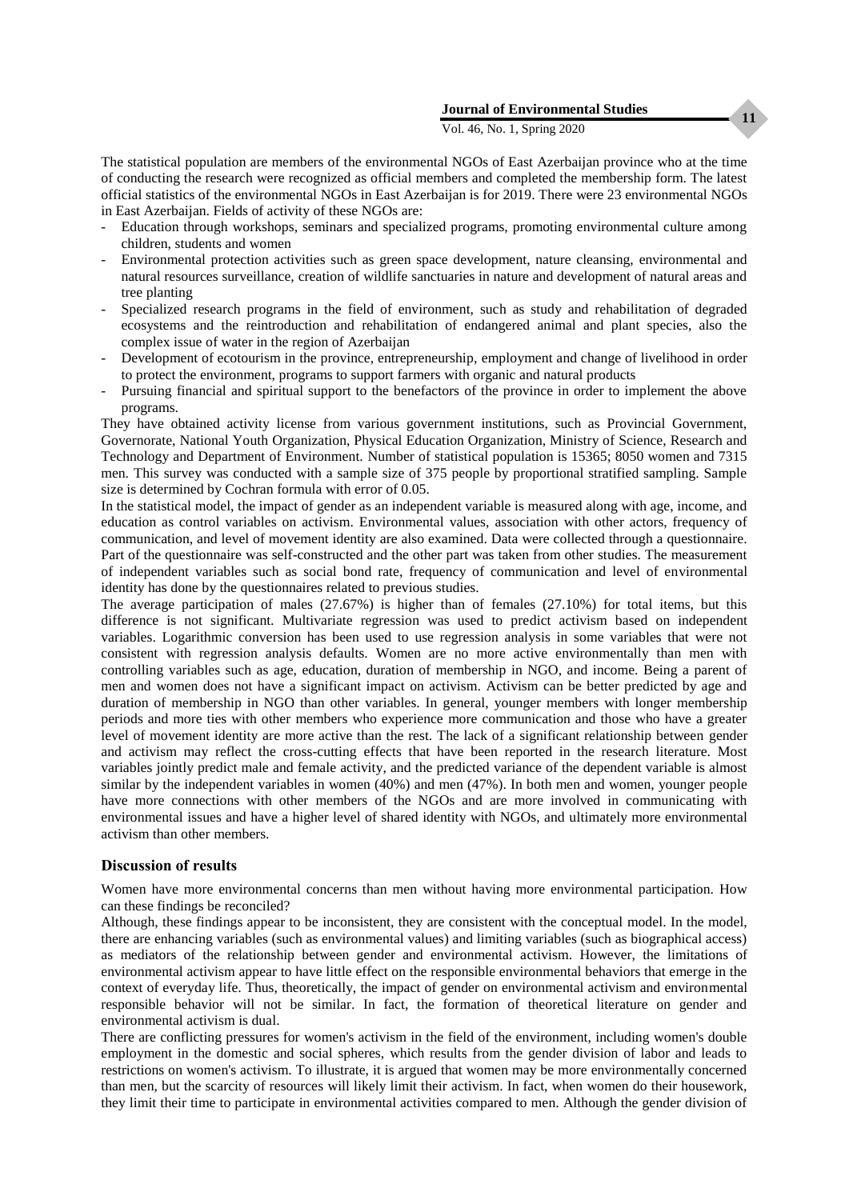#### Vol. 46, No. 1, Spring 2020

The statistical population are members of the environmental NGOs of East Azerbaijan province who at the time of conducting the research were recognized as official members and completed the membership form. The latest official statistics of the environmental NGOs in East Azerbaijan is for 2019. There were 23 environmental NGOs in East Azerbaijan. Fields of activity of these NGOs are:

- Education through workshops, seminars and specialized programs, promoting environmental culture among children, students and women
- Environmental protection activities such as green space development, nature cleansing, environmental and natural resources surveillance, creation of wildlife sanctuaries in nature and development of natural areas and tree planting
- Specialized research programs in the field of environment, such as study and rehabilitation of degraded ecosystems and the reintroduction and rehabilitation of endangered animal and plant species, also the complex issue of water in the region of Azerbaijan
- Development of ecotourism in the province, entrepreneurship, employment and change of livelihood in order to protect the environment, programs to support farmers with organic and natural products
- Pursuing financial and spiritual support to the benefactors of the province in order to implement the above programs.

They have obtained activity license from various government institutions, such as Provincial Government, Governorate, National Youth Organization, Physical Education Organization, Ministry of Science, Research and Technology and Department of Environment. Number of statistical population is 15365; 8050 women and 7315 men. This survey was conducted with a sample size of 375 people by proportional stratified sampling. Sample size is determined by Cochran formula with error of 0.05.

In the statistical model, the impact of gender as an independent variable is measured along with age, income, and education as control variables on activism. Environmental values, association with other actors, frequency of communication, and level of movement identity are also examined. Data were collected through a questionnaire. Part of the questionnaire was self-constructed and the other part was taken from other studies. The measurement of independent variables such as social bond rate, frequency of communication and level of environmental identity has done by the questionnaires related to previous studies.

The average participation of males (27.67%) is higher than of females (27.10%) for total items, but this difference is not significant. Multivariate regression was used to predict activism based on independent variables. Logarithmic conversion has been used to use regression analysis in some variables that were not consistent with regression analysis defaults. Women are no more active environmentally than men with controlling variables such as age, education, duration of membership in NGO, and income. Being a parent of men and women does not have a significant impact on activism. Activism can be better predicted by age and duration of membership in NGO than other variables. In general, younger members with longer membership periods and more ties with other members who experience more communication and those who have a greater level of movement identity are more active than the rest. The lack of a significant relationship between gender and activism may reflect the cross-cutting effects that have been reported in the research literature. Most variables jointly predict male and female activity, and the predicted variance of the dependent variable is almost similar by the independent variables in women (40%) and men (47%). In both men and women, younger people have more connections with other members of the NGOs and are more involved in communicating with environmental issues and have a higher level of shared identity with NGOs, and ultimately more environmental activism than other members.

#### **Discussion of results**

Women have more environmental concerns than men without having more environmental participation. How can these findings be reconciled?

Although, these findings appear to be inconsistent, they are consistent with the conceptual model. In the model, there are enhancing variables (such as environmental values) and limiting variables (such as biographical access) as mediators of the relationship between gender and environmental activism. However, the limitations of environmental activism appear to have little effect on the responsible environmental behaviors that emerge in the context of everyday life. Thus, theoretically, the impact of gender on environmental activism and environmental responsible behavior will not be similar. In fact, the formation of theoretical literature on gender and environmental activism is dual.

There are conflicting pressures for women's activism in the field of the environment, including women's double employment in the domestic and social spheres, which results from the gender division of labor and leads to restrictions on women's activism. To illustrate, it is argued that women may be more environmentally concerned than men, but the scarcity of resources will likely limit their activism. In fact, when women do their housework, they limit their time to participate in environmental activities compared to men. Although the gender division of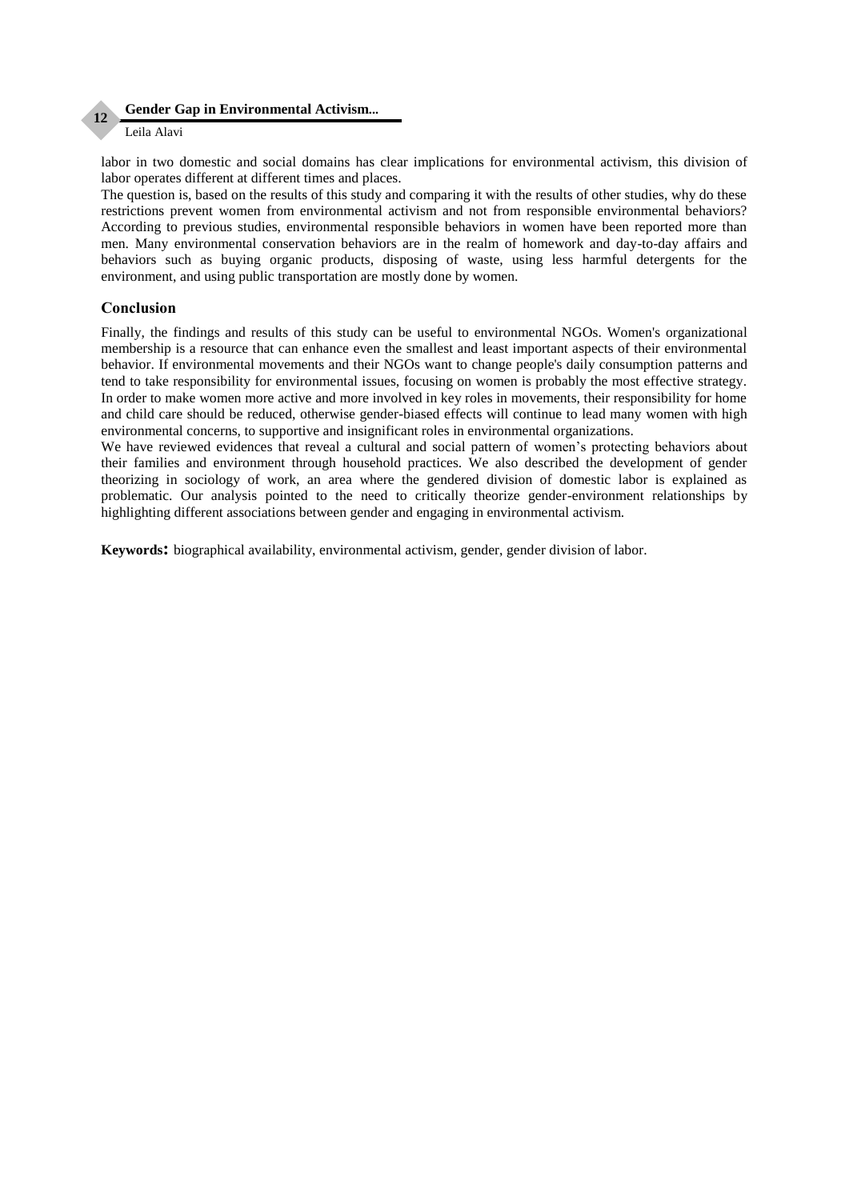#### **Gender Gap in Environmental Activism... 12**

#### Leila Alavi

labor in two domestic and social domains has clear implications for environmental activism, this division of labor operates different at different times and places.

The question is, based on the results of this study and comparing it with the results of other studies, why do these restrictions prevent women from environmental activism and not from responsible environmental behaviors? According to previous studies, environmental responsible behaviors in women have been reported more than men. Many environmental conservation behaviors are in the realm of homework and day-to-day affairs and behaviors such as buying organic products, disposing of waste, using less harmful detergents for the environment, and using public transportation are mostly done by women.

#### **Conclusion**

Finally, the findings and results of this study can be useful to environmental NGOs. Women's organizational membership is a resource that can enhance even the smallest and least important aspects of their environmental behavior. If environmental movements and their NGOs want to change people's daily consumption patterns and tend to take responsibility for environmental issues, focusing on women is probably the most effective strategy. In order to make women more active and more involved in key roles in movements, their responsibility for home and child care should be reduced, otherwise gender-biased effects will continue to lead many women with high environmental concerns, to supportive and insignificant roles in environmental organizations.

We have reviewed evidences that reveal a cultural and social pattern of women's protecting behaviors about their families and environment through household practices. We also described the development of gender theorizing in sociology of work, an area where the gendered division of domestic labor is explained as problematic. Our analysis pointed to the need to critically theorize gender-environment relationships by highlighting different associations between gender and engaging in environmental activism.

**Keywords:** biographical availability, environmental activism, gender, gender division of labor.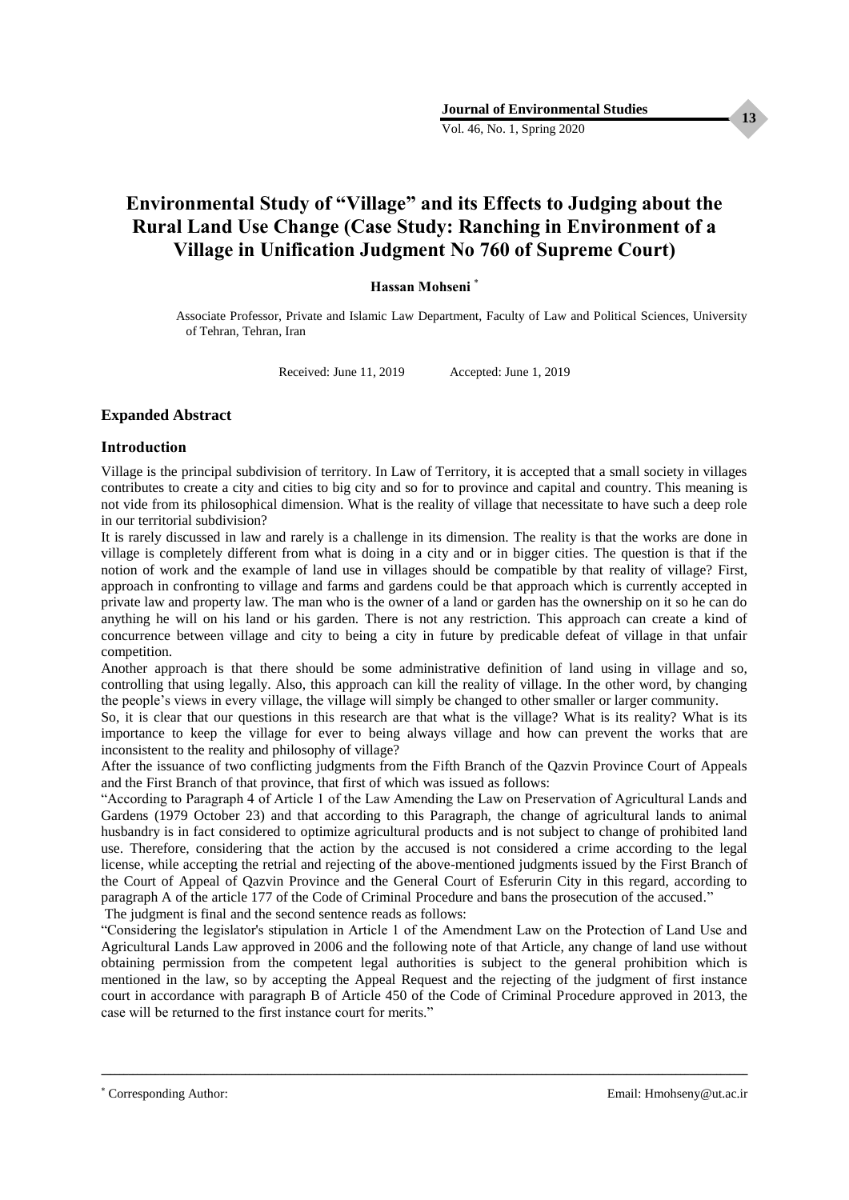**13**

Vol. 46, No. 1, Spring 2020

## **Environmental Study of "Village" and its Effects to Judging about the Rural Land Use Change (Case Study: Ranching in Environment of a Village in Unification Judgment No 760 of Supreme Court)**

## **Hassan Mohseni**

Associate Professor, Private and Islamic Law Department, Faculty of Law and Political Sciences, University of Tehran, Tehran, Iran

Received: June 11, 2019 Accepted: June 1, 2019

#### **Expanded Abstract**

#### **Introduction**

Village is the principal subdivision of territory. In Law of Territory, it is accepted that a small society in villages contributes to create a city and cities to big city and so for to province and capital and country. This meaning is not vide from its philosophical dimension. What is the reality of village that necessitate to have such a deep role in our territorial subdivision?

It is rarely discussed in law and rarely is a challenge in its dimension. The reality is that the works are done in village is completely different from what is doing in a city and or in bigger cities. The question is that if the notion of work and the example of land use in villages should be compatible by that reality of village? First, approach in confronting to village and farms and gardens could be that approach which is currently accepted in private law and property law. The man who is the owner of a land or garden has the ownership on it so he can do anything he will on his land or his garden. There is not any restriction. This approach can create a kind of concurrence between village and city to being a city in future by predicable defeat of village in that unfair competition.

Another approach is that there should be some administrative definition of land using in village and so, controlling that using legally. Also, this approach can kill the reality of village. In the other word, by changing the people's views in every village, the village will simply be changed to other smaller or larger community.

So, it is clear that our questions in this research are that what is the village? What is its reality? What is its importance to keep the village for ever to being always village and how can prevent the works that are inconsistent to the reality and philosophy of village?

After the issuance of two conflicting judgments from the Fifth Branch of the Qazvin Province Court of Appeals and the First Branch of that province, that first of which was issued as follows:

"According to Paragraph 4 of Article 1 of the Law Amending the Law on Preservation of Agricultural Lands and Gardens (1979 October 23) and that according to this Paragraph, the change of agricultural lands to animal husbandry is in fact considered to optimize agricultural products and is not subject to change of prohibited land use. Therefore, considering that the action by the accused is not considered a crime according to the legal license, while accepting the retrial and rejecting of the above-mentioned judgments issued by the First Branch of the Court of Appeal of Qazvin Province and the General Court of Esferurin City in this regard, according to paragraph A of the article 177 of the Code of Criminal Procedure and bans the prosecution of the accused*.*"

The judgment is final and the second sentence reads as follows:

"Considering the legislator's stipulation in Article 1 of the Amendment Law on the Protection of Land Use and Agricultural Lands Law approved in 2006 and the following note of that Article, any change of land use without obtaining permission from the competent legal authorities is subject to the general prohibition which is mentioned in the law, so by accepting the Appeal Request and the rejecting of the judgment of first instance court in accordance with paragraph B of Article 450 of the Code of Criminal Procedure approved in 2013, the case will be returned to the first instance court for merits."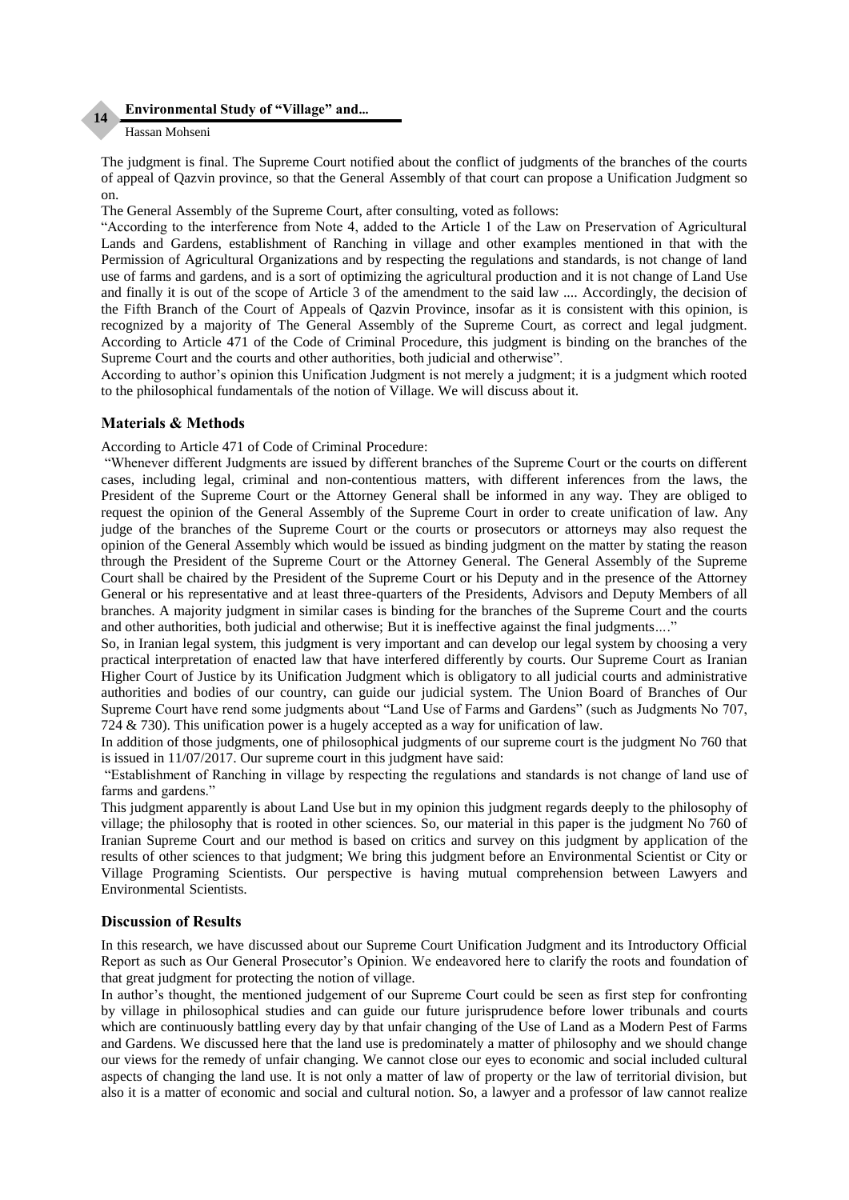#### **Environmental Study of "Village" and...**

#### Hassan Mohseni

The judgment is final. The Supreme Court notified about the conflict of judgments of the branches of the courts of appeal of Qazvin province, so that the General Assembly of that court can propose a Unification Judgment so on.

The General Assembly of the Supreme Court, after consulting, voted as follows:

"According to the interference from Note 4, added to the Article 1 of the Law on Preservation of Agricultural Lands and Gardens, establishment of Ranching in village and other examples mentioned in that with the Permission of Agricultural Organizations and by respecting the regulations and standards, is not change of land use of farms and gardens, and is a sort of optimizing the agricultural production and it is not change of Land Use and finally it is out of the scope of Article 3 of the amendment to the said law .... Accordingly, the decision of the Fifth Branch of the Court of Appeals of Qazvin Province, insofar as it is consistent with this opinion, is recognized by a majority of The General Assembly of the Supreme Court, as correct and legal judgment. According to Article 471 of the Code of Criminal Procedure, this judgment is binding on the branches of the Supreme Court and the courts and other authorities, both judicial and otherwise".

According to author's opinion this Unification Judgment is not merely a judgment; it is a judgment which rooted to the philosophical fundamentals of the notion of Village. We will discuss about it.

#### **Materials & Methods**

According to Article 471 of Code of Criminal Procedure:

"Whenever different Judgments are issued by different branches of the Supreme Court or the courts on different cases, including legal, criminal and non-contentious matters, with different inferences from the laws, the President of the Supreme Court or the Attorney General shall be informed in any way. They are obliged to request the opinion of the General Assembly of the Supreme Court in order to create unification of law. Any judge of the branches of the Supreme Court or the courts or prosecutors or attorneys may also request the opinion of the General Assembly which would be issued as binding judgment on the matter by stating the reason through the President of the Supreme Court or the Attorney General. The General Assembly of the Supreme Court shall be chaired by the President of the Supreme Court or his Deputy and in the presence of the Attorney General or his representative and at least three-quarters of the Presidents, Advisors and Deputy Members of all branches. A majority judgment in similar cases is binding for the branches of the Supreme Court and the courts and other authorities, both judicial and otherwise; But it is ineffective against the final judgments*…*."

So, in Iranian legal system, this judgment is very important and can develop our legal system by choosing a very practical interpretation of enacted law that have interfered differently by courts. Our Supreme Court as Iranian Higher Court of Justice by its Unification Judgment which is obligatory to all judicial courts and administrative authorities and bodies of our country, can guide our judicial system. The Union Board of Branches of Our Supreme Court have rend some judgments about "Land Use of Farms and Gardens" (such as Judgments No 707, 724 & 730). This unification power is a hugely accepted as a way for unification of law.

In addition of those judgments, one of philosophical judgments of our supreme court is the judgment No 760 that is issued in 11/07/2017. Our supreme court in this judgment have said:

"Establishment of Ranching in village by respecting the regulations and standards is not change of land use of farms and gardens."

This judgment apparently is about Land Use but in my opinion this judgment regards deeply to the philosophy of village; the philosophy that is rooted in other sciences. So, our material in this paper is the judgment No 760 of Iranian Supreme Court and our method is based on critics and survey on this judgment by application of the results of other sciences to that judgment; We bring this judgment before an Environmental Scientist or City or Village Programing Scientists. Our perspective is having mutual comprehension between Lawyers and Environmental Scientists.

#### **Discussion of Results**

In this research, we have discussed about our Supreme Court Unification Judgment and its Introductory Official Report as such as Our General Prosecutor's Opinion. We endeavored here to clarify the roots and foundation of that great judgment for protecting the notion of village.

In author's thought, the mentioned judgement of our Supreme Court could be seen as first step for confronting by village in philosophical studies and can guide our future jurisprudence before lower tribunals and courts which are continuously battling every day by that unfair changing of the Use of Land as a Modern Pest of Farms and Gardens. We discussed here that the land use is predominately a matter of philosophy and we should change our views for the remedy of unfair changing. We cannot close our eyes to economic and social included cultural aspects of changing the land use. It is not only a matter of law of property or the law of territorial division, but also it is a matter of economic and social and cultural notion. So, a lawyer and a professor of law cannot realize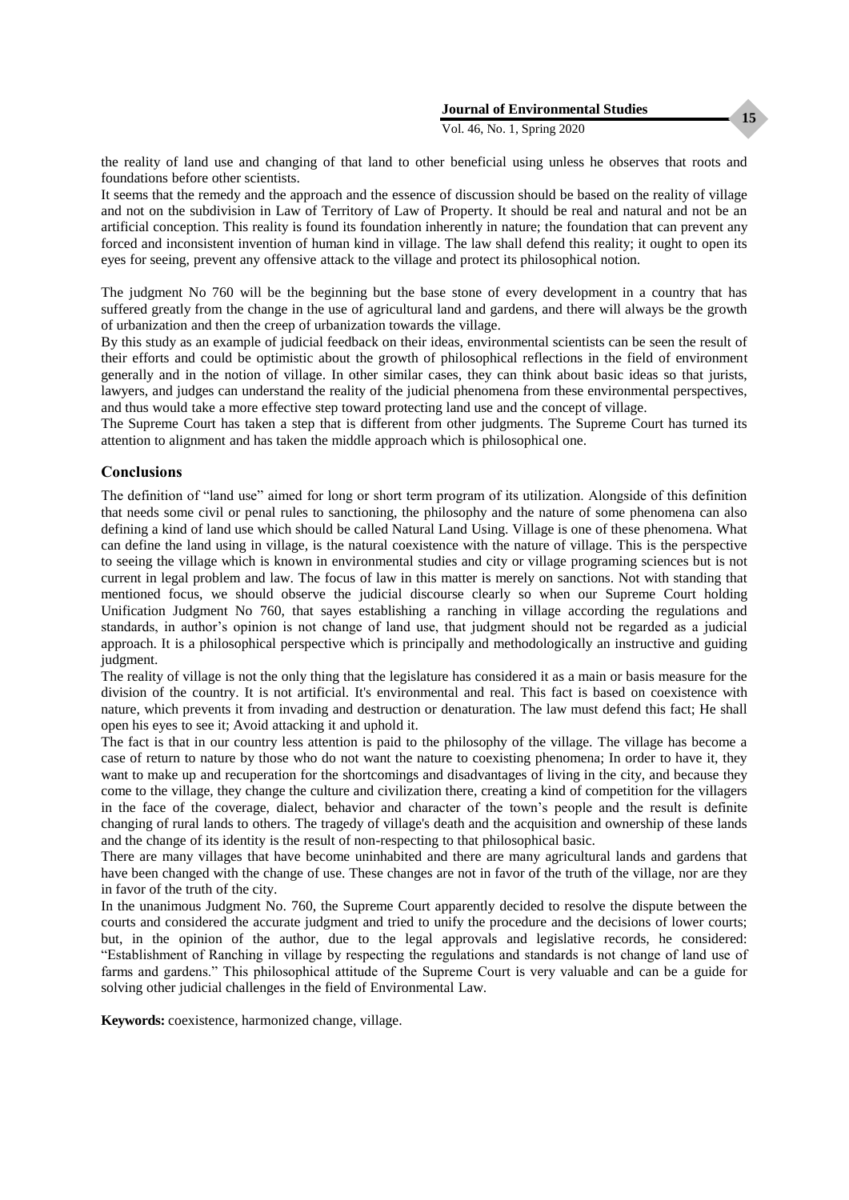the reality of land use and changing of that land to other beneficial using unless he observes that roots and foundations before other scientists.

It seems that the remedy and the approach and the essence of discussion should be based on the reality of village and not on the subdivision in Law of Territory of Law of Property. It should be real and natural and not be an artificial conception. This reality is found its foundation inherently in nature; the foundation that can prevent any forced and inconsistent invention of human kind in village. The law shall defend this reality; it ought to open its eyes for seeing, prevent any offensive attack to the village and protect its philosophical notion.

The judgment No 760 will be the beginning but the base stone of every development in a country that has suffered greatly from the change in the use of agricultural land and gardens, and there will always be the growth of urbanization and then the creep of urbanization towards the village.

By this study as an example of judicial feedback on their ideas, environmental scientists can be seen the result of their efforts and could be optimistic about the growth of philosophical reflections in the field of environment generally and in the notion of village. In other similar cases, they can think about basic ideas so that jurists, lawyers, and judges can understand the reality of the judicial phenomena from these environmental perspectives, and thus would take a more effective step toward protecting land use and the concept of village.

The Supreme Court has taken a step that is different from other judgments. The Supreme Court has turned its attention to alignment and has taken the middle approach which is philosophical one.

#### **Conclusions**

The definition of "land use" aimed for long or short term program of its utilization. Alongside of this definition that needs some civil or penal rules to sanctioning, the philosophy and the nature of some phenomena can also defining a kind of land use which should be called Natural Land Using. Village is one of these phenomena. What can define the land using in village, is the natural coexistence with the nature of village. This is the perspective to seeing the village which is known in environmental studies and city or village programing sciences but is not current in legal problem and law. The focus of law in this matter is merely on sanctions. Not with standing that mentioned focus, we should observe the judicial discourse clearly so when our Supreme Court holding Unification Judgment No 760, that sayes establishing a ranching in village according the regulations and standards, in author's opinion is not change of land use, that judgment should not be regarded as a judicial approach. It is a philosophical perspective which is principally and methodologically an instructive and guiding judgment.

The reality of village is not the only thing that the legislature has considered it as a main or basis measure for the division of the country. It is not artificial. It's environmental and real. This fact is based on coexistence with nature, which prevents it from invading and destruction or denaturation. The law must defend this fact; He shall open his eyes to see it; Avoid attacking it and uphold it.

The fact is that in our country less attention is paid to the philosophy of the village. The village has become a case of return to nature by those who do not want the nature to coexisting phenomena; In order to have it, they want to make up and recuperation for the shortcomings and disadvantages of living in the city, and because they come to the village, they change the culture and civilization there, creating a kind of competition for the villagers in the face of the coverage, dialect, behavior and character of the town's people and the result is definite changing of rural lands to others. The tragedy of village's death and the acquisition and ownership of these lands and the change of its identity is the result of non-respecting to that philosophical basic.

There are many villages that have become uninhabited and there are many agricultural lands and gardens that have been changed with the change of use. These changes are not in favor of the truth of the village, nor are they in favor of the truth of the city.

In the unanimous Judgment No. 760, the Supreme Court apparently decided to resolve the dispute between the courts and considered the accurate judgment and tried to unify the procedure and the decisions of lower courts; but, in the opinion of the author, due to the legal approvals and legislative records, he considered: "Establishment of Ranching in village by respecting the regulations and standards is not change of land use of farms and gardens." This philosophical attitude of the Supreme Court is very valuable and can be a guide for solving other judicial challenges in the field of Environmental Law.

**Keywords:** coexistence, harmonized change, village.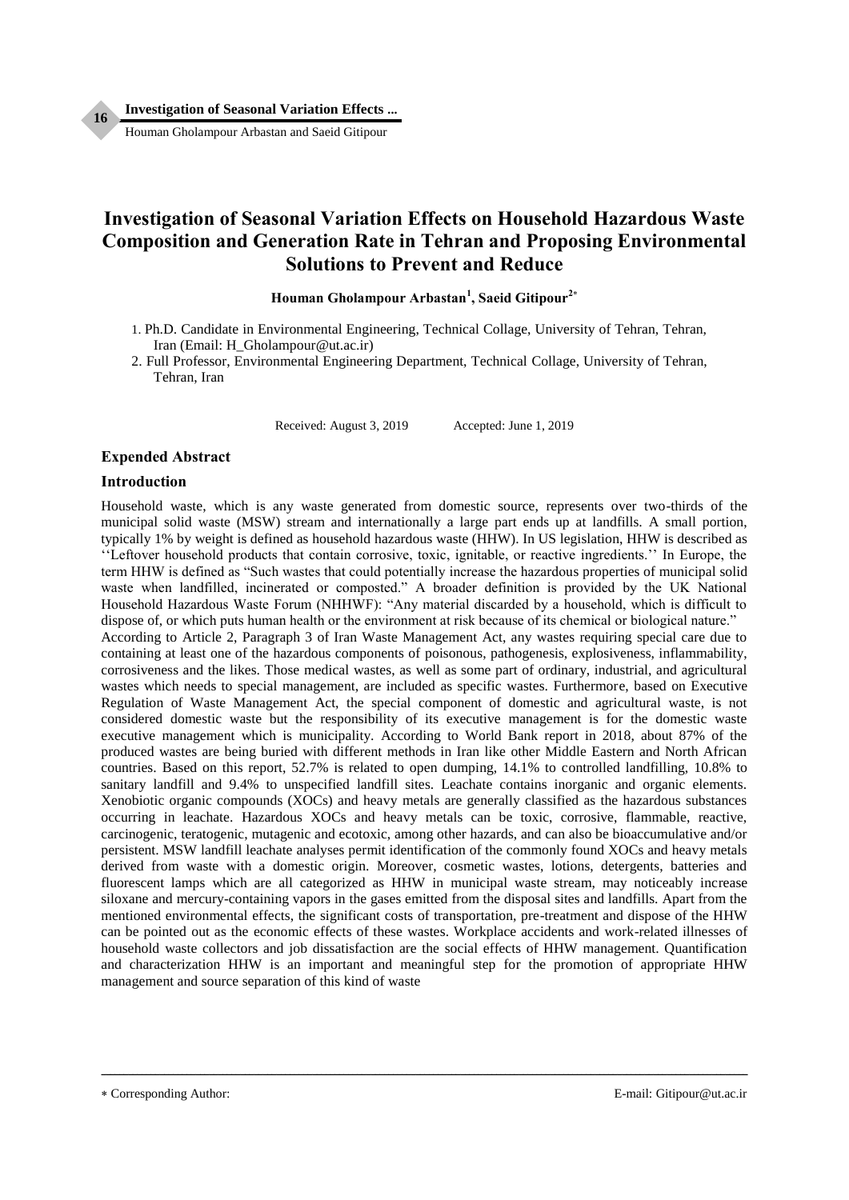**Investigation of Seasonal Variation Effects ...**

Houman Gholampour Arbastan and Saeid Gitipour

## **Investigation of Seasonal Variation Effects on Household Hazardous Waste Composition and Generation Rate in Tehran and Proposing Environmental Solutions to Prevent and Reduce**

**Houman Gholampour Arbastan<sup>1</sup> , Saeid Gitipour<sup>2</sup>**

- 1. Ph.D. Candidate in Environmental Engineering, Technical Collage, University of Tehran, Tehran, Iran (Email: H\_Gholampour@ut.ac.ir)
- 2. Full Professor, Environmental Engineering Department, Technical Collage, University of Tehran, Tehran, Iran

Received: August 3, 2019 Accepted: June 1, 2019

#### **Expended Abstract**

#### **Introduction**

**16**

Household waste, which is any waste generated from domestic source, represents over two-thirds of the municipal solid waste (MSW) stream and internationally a large part ends up at landfills. A small portion, typically 1% by weight is defined as household hazardous waste (HHW). In US legislation, HHW is described as ''Leftover household products that contain corrosive, toxic, ignitable, or reactive ingredients.'' In Europe, the term HHW is defined as "Such wastes that could potentially increase the hazardous properties of municipal solid waste when landfilled, incinerated or composted." A broader definition is provided by the UK National Household Hazardous Waste Forum (NHHWF): "Any material discarded by a household, which is difficult to dispose of, or which puts human health or the environment at risk because of its chemical or biological nature." According to Article 2, Paragraph 3 of Iran Waste Management Act, any wastes requiring special care due to containing at least one of the hazardous components of poisonous, pathogenesis, explosiveness, inflammability, corrosiveness and the likes. Those medical wastes, as well as some part of ordinary, industrial, and agricultural wastes which needs to special management, are included as specific wastes. Furthermore, based on Executive Regulation of Waste Management Act, the special component of domestic and agricultural waste, is not considered domestic waste but the responsibility of its executive management is for the domestic waste executive management which is municipality. According to World Bank report in 2018, about 87% of the produced wastes are being buried with different methods in Iran like other Middle Eastern and North African countries. Based on this report, 52.7% is related to open dumping, 14.1% to controlled landfilling, 10.8% to sanitary landfill and 9.4% to unspecified landfill sites. Leachate contains inorganic and organic elements. Xenobiotic organic compounds (XOCs) and heavy metals are generally classified as the hazardous substances occurring in leachate. Hazardous XOCs and heavy metals can be toxic, corrosive, flammable, reactive, carcinogenic, teratogenic, mutagenic and ecotoxic, among other hazards, and can also be bioaccumulative and/or persistent. MSW landfill leachate analyses permit identification of the commonly found XOCs and heavy metals derived from waste with a domestic origin. Moreover, cosmetic wastes, lotions, detergents, batteries and fluorescent lamps which are all categorized as HHW in municipal waste stream, may noticeably increase siloxane and mercury-containing vapors in the gases emitted from the disposal sites and landfills. Apart from the mentioned environmental effects, the significant costs of transportation, pre-treatment and dispose of the HHW can be pointed out as the economic effects of these wastes. Workplace accidents and work-related illnesses of household waste collectors and job dissatisfaction are the social effects of HHW management. Quantification and characterization HHW is an important and meaningful step for the promotion of appropriate HHW management and source separation of this kind of waste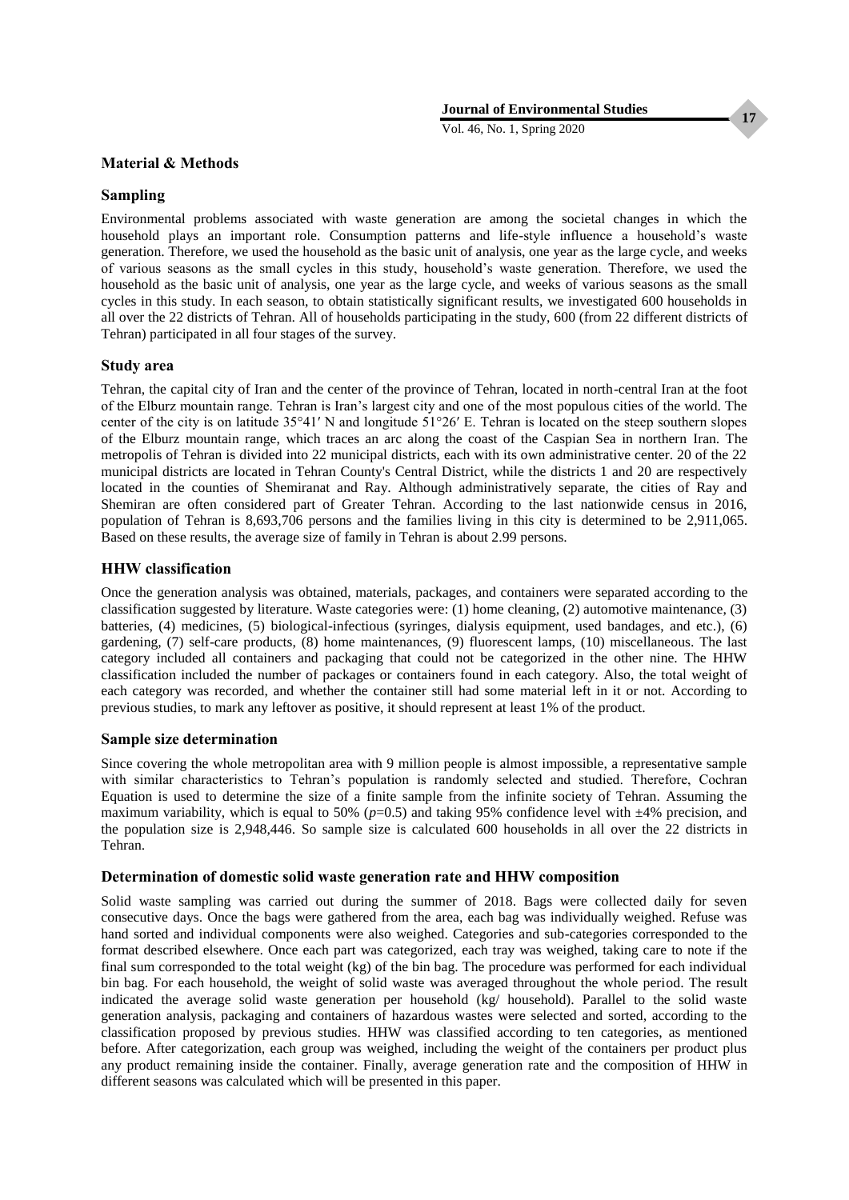Vol. 46, No. 1, Spring 2020

#### **Material & Methods**

#### **Sampling**

Environmental problems associated with waste generation are among the societal changes in which the household plays an important role. Consumption patterns and life-style influence a household's waste generation. Therefore, we used the household as the basic unit of analysis, one year as the large cycle, and weeks of various seasons as the small cycles in this study, household's waste generation. Therefore, we used the household as the basic unit of analysis, one year as the large cycle, and weeks of various seasons as the small cycles in this study. In each season, to obtain statistically significant results, we investigated 600 households in all over the 22 districts of Tehran. All of households participating in the study, 600 (from 22 different districts of Tehran) participated in all four stages of the survey.

#### **Study area**

Tehran, the capital city of Iran and the center of the province of Tehran, located in north-central Iran at the foot of the Elburz mountain range. Tehran is Iran's largest city and one of the most populous cities of the world. The center of the city is on latitude 35°41′ N and longitude 51°26′ E. Tehran is located on the steep southern slopes of the Elburz mountain range, which traces an arc along the coast of the Caspian Sea in northern Iran. The metropolis of Tehran is divided into 22 municipal districts, each with its own administrative center. 20 of the 22 municipal districts are located in Tehran County's Central District, while the districts 1 and 20 are respectively located in the counties of Shemiranat and Ray. Although administratively separate, the cities of Ray and Shemiran are often considered part of Greater Tehran. According to the last nationwide census in 2016, population of Tehran is 8,693,706 persons and the families living in this city is determined to be 2,911,065. Based on these results, the average size of family in Tehran is about 2.99 persons.

#### **HHW classification**

Once the generation analysis was obtained, materials, packages, and containers were separated according to the classification suggested by literature. Waste categories were: (1) home cleaning, (2) automotive maintenance, (3) batteries, (4) medicines, (5) biological-infectious (syringes, dialysis equipment, used bandages, and etc.), (6) gardening, (7) self-care products, (8) home maintenances, (9) fluorescent lamps, (10) miscellaneous. The last category included all containers and packaging that could not be categorized in the other nine. The HHW classification included the number of packages or containers found in each category. Also, the total weight of each category was recorded, and whether the container still had some material left in it or not. According to previous studies, to mark any leftover as positive, it should represent at least 1% of the product.

#### **Sample size determination**

Since covering the whole metropolitan area with 9 million people is almost impossible, a representative sample with similar characteristics to Tehran's population is randomly selected and studied. Therefore, Cochran Equation is used to determine the size of a finite sample from the infinite society of Tehran. Assuming the maximum variability, which is equal to 50% ( $p=0.5$ ) and taking 95% confidence level with  $\pm 4\%$  precision, and the population size is 2,948,446. So sample size is calculated 600 households in all over the 22 districts in Tehran.

#### **Determination of domestic solid waste generation rate and HHW composition**

Solid waste sampling was carried out during the summer of 2018. Bags were collected daily for seven consecutive days. Once the bags were gathered from the area, each bag was individually weighed. Refuse was hand sorted and individual components were also weighed. Categories and sub-categories corresponded to the format described elsewhere. Once each part was categorized, each tray was weighed, taking care to note if the final sum corresponded to the total weight (kg) of the bin bag. The procedure was performed for each individual bin bag. For each household, the weight of solid waste was averaged throughout the whole period. The result indicated the average solid waste generation per household (kg/ household). Parallel to the solid waste generation analysis, packaging and containers of hazardous wastes were selected and sorted, according to the classification proposed by previous studies. HHW was classified according to ten categories, as mentioned before. After categorization, each group was weighed, including the weight of the containers per product plus any product remaining inside the container. Finally, average generation rate and the composition of HHW in different seasons was calculated which will be presented in this paper.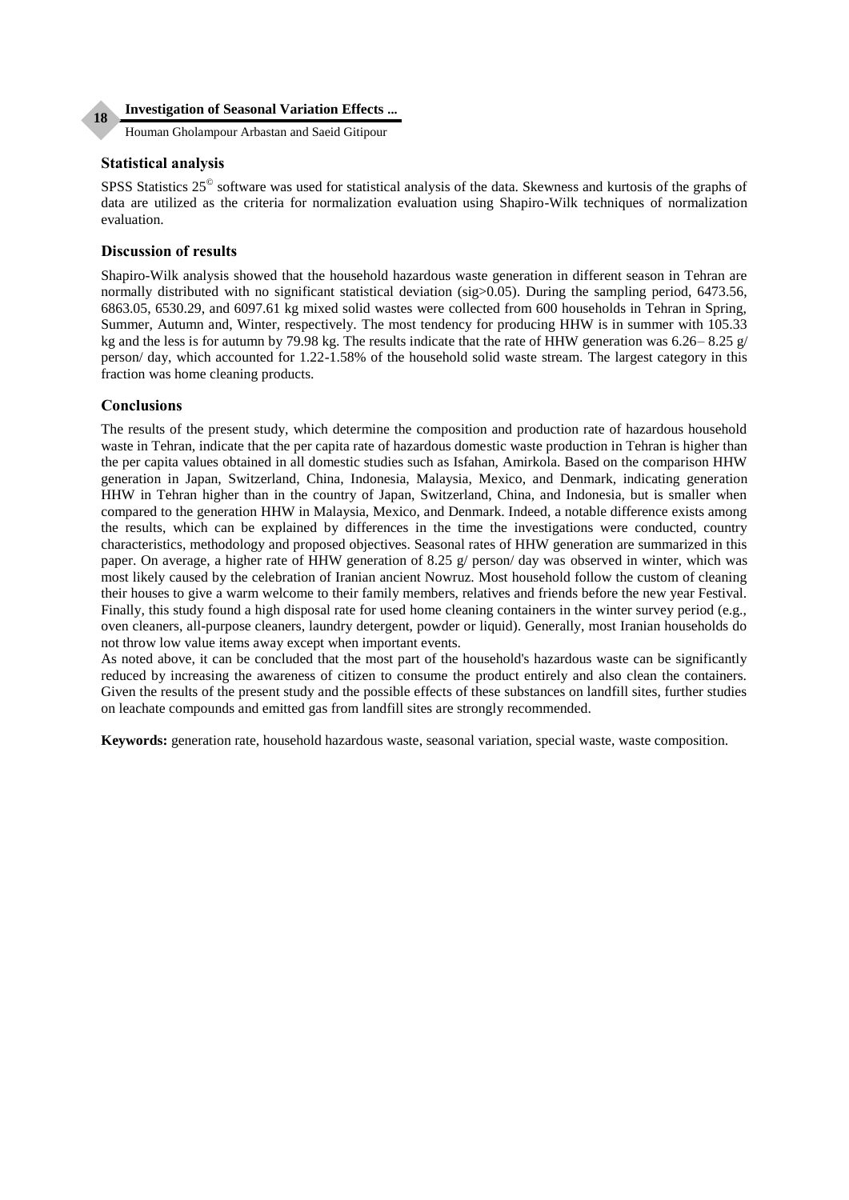**Investigation of Seasonal Variation Effects ...**

Houman Gholampour Arbastan and Saeid Gitipour

#### **Statistical analysis**

SPSS Statistics 25<sup>©</sup> software was used for statistical analysis of the data. Skewness and kurtosis of the graphs of data are utilized as the criteria for normalization evaluation using Shapiro-Wilk techniques of normalization evaluation.

#### **Discussion of results**

Shapiro-Wilk analysis showed that the household hazardous waste generation in different season in Tehran are normally distributed with no significant statistical deviation (sig>0.05). During the sampling period, 6473.56, 6863.05, 6530.29, and 6097.61 kg mixed solid wastes were collected from 600 households in Tehran in Spring, Summer, Autumn and, Winter, respectively. The most tendency for producing HHW is in summer with 105.33 kg and the less is for autumn by 79.98 kg. The results indicate that the rate of HHW generation was 6.26–8.25 g/ person/ day, which accounted for 1.22-1.58% of the household solid waste stream. The largest category in this fraction was home cleaning products.

#### **Conclusions**

The results of the present study, which determine the composition and production rate of hazardous household waste in Tehran, indicate that the per capita rate of hazardous domestic waste production in Tehran is higher than the per capita values obtained in all domestic studies such as Isfahan, Amirkola. Based on the comparison HHW generation in Japan, Switzerland, China, Indonesia, Malaysia, Mexico, and Denmark, indicating generation HHW in Tehran higher than in the country of Japan, Switzerland, China, and Indonesia, but is smaller when compared to the generation HHW in Malaysia, Mexico, and Denmark. Indeed, a notable difference exists among the results, which can be explained by differences in the time the investigations were conducted, country characteristics, methodology and proposed objectives. Seasonal rates of HHW generation are summarized in this paper. On average, a higher rate of HHW generation of 8.25 g/ person/ day was observed in winter, which was most likely caused by the celebration of Iranian ancient Nowruz. Most household follow the custom of cleaning their houses to give a warm welcome to their family members, relatives and friends before the new year Festival. Finally, this study found a high disposal rate for used home cleaning containers in the winter survey period (e.g., oven cleaners, all-purpose cleaners, laundry detergent, powder or liquid). Generally, most Iranian households do not throw low value items away except when important events.

As noted above, it can be concluded that the most part of the household's hazardous waste can be significantly reduced by increasing the awareness of citizen to consume the product entirely and also clean the containers. Given the results of the present study and the possible effects of these substances on landfill sites, further studies on leachate compounds and emitted gas from landfill sites are strongly recommended.

**Keywords:** generation rate, household hazardous waste, seasonal variation, special waste, waste composition.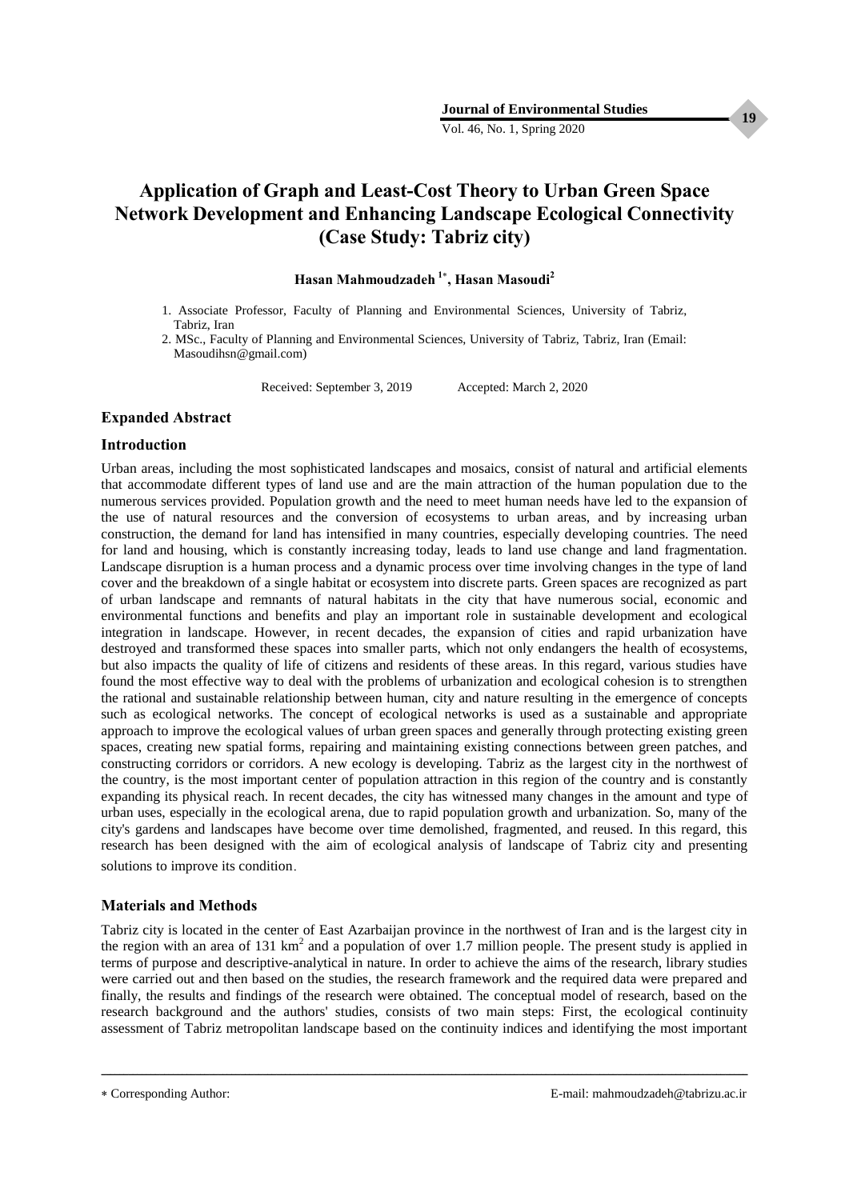Vol. 46, No. 1, Spring 2020

## **Application of Graph and Least-Cost Theory to Urban Green Space Network Development and Enhancing Landscape Ecological Connectivity (Case Study: Tabriz city)**

#### **Hasan Mahmoudzadeh <sup>1</sup> , Hasan Masoudi<sup>2</sup>**

1. Associate Professor, Faculty of Planning and Environmental Sciences, University of Tabriz, Tabriz, Iran

2. MSc., Faculty of Planning and Environmental Sciences, University of Tabriz, Tabriz, Iran (Email: Masoudihsn@gmail.com)

Received: September 3, 2019 Accepted: March 2, 2020

#### **Expanded Abstract**

#### **Introduction**

Urban areas, including the most sophisticated landscapes and mosaics, consist of natural and artificial elements that accommodate different types of land use and are the main attraction of the human population due to the numerous services provided. Population growth and the need to meet human needs have led to the expansion of the use of natural resources and the conversion of ecosystems to urban areas, and by increasing urban construction, the demand for land has intensified in many countries, especially developing countries. The need for land and housing, which is constantly increasing today, leads to land use change and land fragmentation. Landscape disruption is a human process and a dynamic process over time involving changes in the type of land cover and the breakdown of a single habitat or ecosystem into discrete parts. Green spaces are recognized as part of urban landscape and remnants of natural habitats in the city that have numerous social, economic and environmental functions and benefits and play an important role in sustainable development and ecological integration in landscape. However, in recent decades, the expansion of cities and rapid urbanization have destroyed and transformed these spaces into smaller parts, which not only endangers the health of ecosystems, but also impacts the quality of life of citizens and residents of these areas. In this regard, various studies have found the most effective way to deal with the problems of urbanization and ecological cohesion is to strengthen the rational and sustainable relationship between human, city and nature resulting in the emergence of concepts such as ecological networks. The concept of ecological networks is used as a sustainable and appropriate approach to improve the ecological values of urban green spaces and generally through protecting existing green spaces, creating new spatial forms, repairing and maintaining existing connections between green patches, and constructing corridors or corridors. A new ecology is developing. Tabriz as the largest city in the northwest of the country, is the most important center of population attraction in this region of the country and is constantly expanding its physical reach. In recent decades, the city has witnessed many changes in the amount and type of urban uses, especially in the ecological arena, due to rapid population growth and urbanization. So, many of the city's gardens and landscapes have become over time demolished, fragmented, and reused. In this regard, this research has been designed with the aim of ecological analysis of landscape of Tabriz city and presenting solutions to improve its condition.

#### **Materials and Methods**

Tabriz city is located in the center of East Azarbaijan province in the northwest of Iran and is the largest city in the region with an area of 131 km<sup>2</sup> and a population of over 1.7 million people. The present study is applied in terms of purpose and descriptive-analytical in nature. In order to achieve the aims of the research, library studies were carried out and then based on the studies, the research framework and the required data were prepared and finally, the results and findings of the research were obtained. The conceptual model of research, based on the research background and the authors' studies, consists of two main steps: First, the ecological continuity assessment of Tabriz metropolitan landscape based on the continuity indices and identifying the most important

ــــــــــــــــــــــــــــــــــــــــــــــــــــــــــــــــــــــــــــــــــــــــــــــــــــــــــــــــــــــــــــــــــــــــــــــــ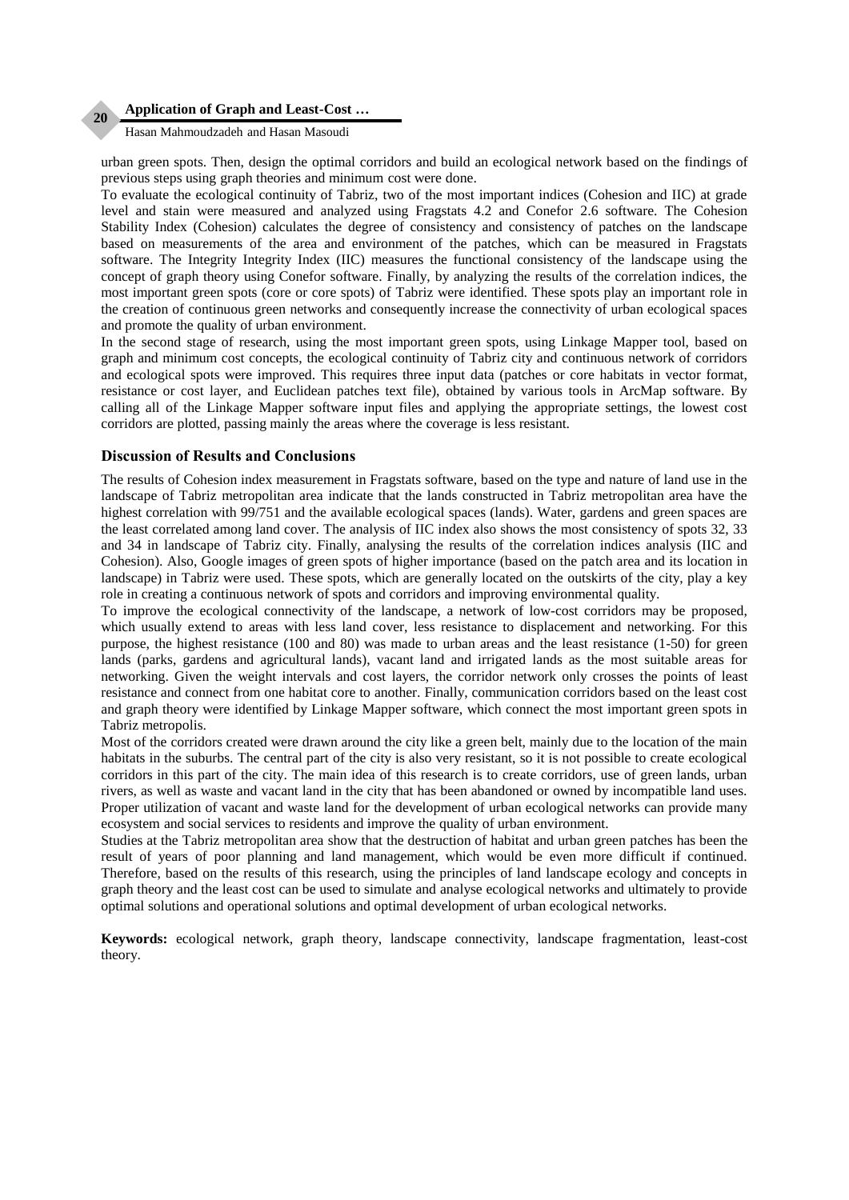#### **Application of Graph and Least-Cost …**

Hasan Mahmoudzadeh and Hasan Masoudi

**20**

urban green spots. Then, design the optimal corridors and build an ecological network based on the findings of previous steps using graph theories and minimum cost were done.

To evaluate the ecological continuity of Tabriz, two of the most important indices (Cohesion and IIC) at grade level and stain were measured and analyzed using Fragstats 4.2 and Conefor 2.6 software. The Cohesion Stability Index (Cohesion) calculates the degree of consistency and consistency of patches on the landscape based on measurements of the area and environment of the patches, which can be measured in Fragstats software. The Integrity Integrity Index (IIC) measures the functional consistency of the landscape using the concept of graph theory using Conefor software. Finally, by analyzing the results of the correlation indices, the most important green spots (core or core spots) of Tabriz were identified. These spots play an important role in the creation of continuous green networks and consequently increase the connectivity of urban ecological spaces and promote the quality of urban environment.

In the second stage of research, using the most important green spots, using Linkage Mapper tool, based on graph and minimum cost concepts, the ecological continuity of Tabriz city and continuous network of corridors and ecological spots were improved. This requires three input data (patches or core habitats in vector format, resistance or cost layer, and Euclidean patches text file), obtained by various tools in ArcMap software. By calling all of the Linkage Mapper software input files and applying the appropriate settings, the lowest cost corridors are plotted, passing mainly the areas where the coverage is less resistant.

#### **Discussion of Results and Conclusions**

The results of Cohesion index measurement in Fragstats software, based on the type and nature of land use in the landscape of Tabriz metropolitan area indicate that the lands constructed in Tabriz metropolitan area have the highest correlation with 99/751 and the available ecological spaces (lands). Water, gardens and green spaces are the least correlated among land cover. The analysis of IIC index also shows the most consistency of spots 32, 33 and 34 in landscape of Tabriz city. Finally, analysing the results of the correlation indices analysis (IIC and Cohesion). Also, Google images of green spots of higher importance (based on the patch area and its location in landscape) in Tabriz were used. These spots, which are generally located on the outskirts of the city, play a key role in creating a continuous network of spots and corridors and improving environmental quality.

To improve the ecological connectivity of the landscape, a network of low-cost corridors may be proposed, which usually extend to areas with less land cover, less resistance to displacement and networking. For this purpose, the highest resistance (100 and 80) was made to urban areas and the least resistance (1-50) for green lands (parks, gardens and agricultural lands), vacant land and irrigated lands as the most suitable areas for networking. Given the weight intervals and cost layers, the corridor network only crosses the points of least resistance and connect from one habitat core to another. Finally, communication corridors based on the least cost and graph theory were identified by Linkage Mapper software, which connect the most important green spots in Tabriz metropolis.

Most of the corridors created were drawn around the city like a green belt, mainly due to the location of the main habitats in the suburbs. The central part of the city is also very resistant, so it is not possible to create ecological corridors in this part of the city. The main idea of this research is to create corridors, use of green lands, urban rivers, as well as waste and vacant land in the city that has been abandoned or owned by incompatible land uses. Proper utilization of vacant and waste land for the development of urban ecological networks can provide many ecosystem and social services to residents and improve the quality of urban environment.

Studies at the Tabriz metropolitan area show that the destruction of habitat and urban green patches has been the result of years of poor planning and land management, which would be even more difficult if continued. Therefore, based on the results of this research, using the principles of land landscape ecology and concepts in graph theory and the least cost can be used to simulate and analyse ecological networks and ultimately to provide optimal solutions and operational solutions and optimal development of urban ecological networks.

**Keywords:** ecological network, graph theory, landscape connectivity, landscape fragmentation, least-cost theory.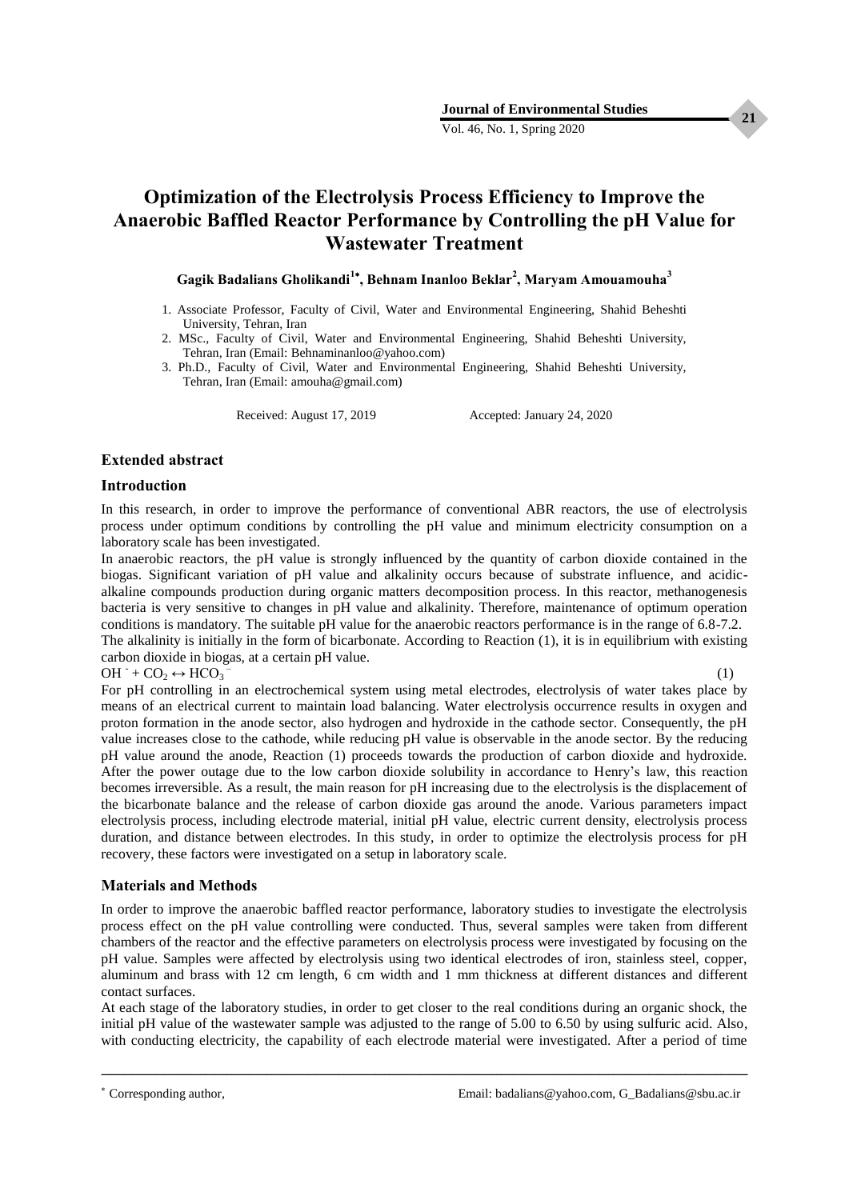Vol. 46, No. 1, Spring 2020

## **Optimization of the Electrolysis Process Efficiency to Improve the Anaerobic Baffled Reactor Performance by Controlling the pH Value for Wastewater Treatment**

#### **Gagik Badalians Gholikandi<sup>1</sup> , Behnam Inanloo Beklar<sup>2</sup> , Maryam Amouamouha<sup>3</sup>**

- 1. Associate Professor, Faculty of Civil, Water and Environmental Engineering, Shahid Beheshti University, Tehran, Iran
- 2. MSc., Faculty of Civil, Water and Environmental Engineering, Shahid Beheshti University, Tehran, Iran (Email: Behnaminanloo@yahoo.com)
- 3. Ph.D., Faculty of Civil, Water and Environmental Engineering, Shahid Beheshti University, Tehran, Iran (Email: amouha@gmail.com)

Received: August 17, 2019 Accepted: January 24, 2020

#### **Extended abstract**

#### **Introduction**

In this research, in order to improve the performance of conventional ABR reactors, the use of electrolysis process under optimum conditions by controlling the pH value and minimum electricity consumption on a laboratory scale has been investigated.

In anaerobic reactors, the pH value is strongly influenced by the quantity of carbon dioxide contained in the biogas. Significant variation of pH value and alkalinity occurs because of substrate influence, and acidicalkaline compounds production during organic matters decomposition process. In this reactor, methanogenesis bacteria is very sensitive to changes in pH value and alkalinity. Therefore, maintenance of optimum operation conditions is mandatory. The suitable pH value for the anaerobic reactors performance is in the range of 6.8-7.2. The alkalinity is initially in the form of bicarbonate. According to Reaction (1), it is in equilibrium with existing carbon dioxide in biogas, at a certain pH value.

 $OH^{-} + CO_2 \leftrightarrow HCO_3^{-}$ 

 (1) For pH controlling in an electrochemical system using metal electrodes, electrolysis of water takes place by means of an electrical current to maintain load balancing. Water electrolysis occurrence results in oxygen and proton formation in the anode sector, also hydrogen and hydroxide in the cathode sector. Consequently, the pH value increases close to the cathode, while reducing pH value is observable in the anode sector. By the reducing pH value around the anode, Reaction (1) proceeds towards the production of carbon dioxide and hydroxide. After the power outage due to the low carbon dioxide solubility in accordance to Henry's law, this reaction becomes irreversible. As a result, the main reason for pH increasing due to the electrolysis is the displacement of the bicarbonate balance and the release of carbon dioxide gas around the anode. Various parameters impact electrolysis process, including electrode material, initial pH value, electric current density, electrolysis process duration, and distance between electrodes. In this study, in order to optimize the electrolysis process for pH recovery, these factors were investigated on a setup in laboratory scale.

#### **Materials and Methods**

In order to improve the anaerobic baffled reactor performance, laboratory studies to investigate the electrolysis process effect on the pH value controlling were conducted. Thus, several samples were taken from different chambers of the reactor and the effective parameters on electrolysis process were investigated by focusing on the pH value. Samples were affected by electrolysis using two identical electrodes of iron, stainless steel, copper, aluminum and brass with 12 cm length, 6 cm width and 1 mm thickness at different distances and different contact surfaces.

At each stage of the laboratory studies, in order to get closer to the real conditions during an organic shock, the initial pH value of the wastewater sample was adjusted to the range of 5.00 to 6.50 by using sulfuric acid. Also, with conducting electricity, the capability of each electrode material were investigated. After a period of time

ــــــــــــــــــــــــــــــــــــــــــــــــــــــــــــــــــــــــــــــــــــــــــــــــــــــــــــــــــــــــــــــــــــــــــــــــ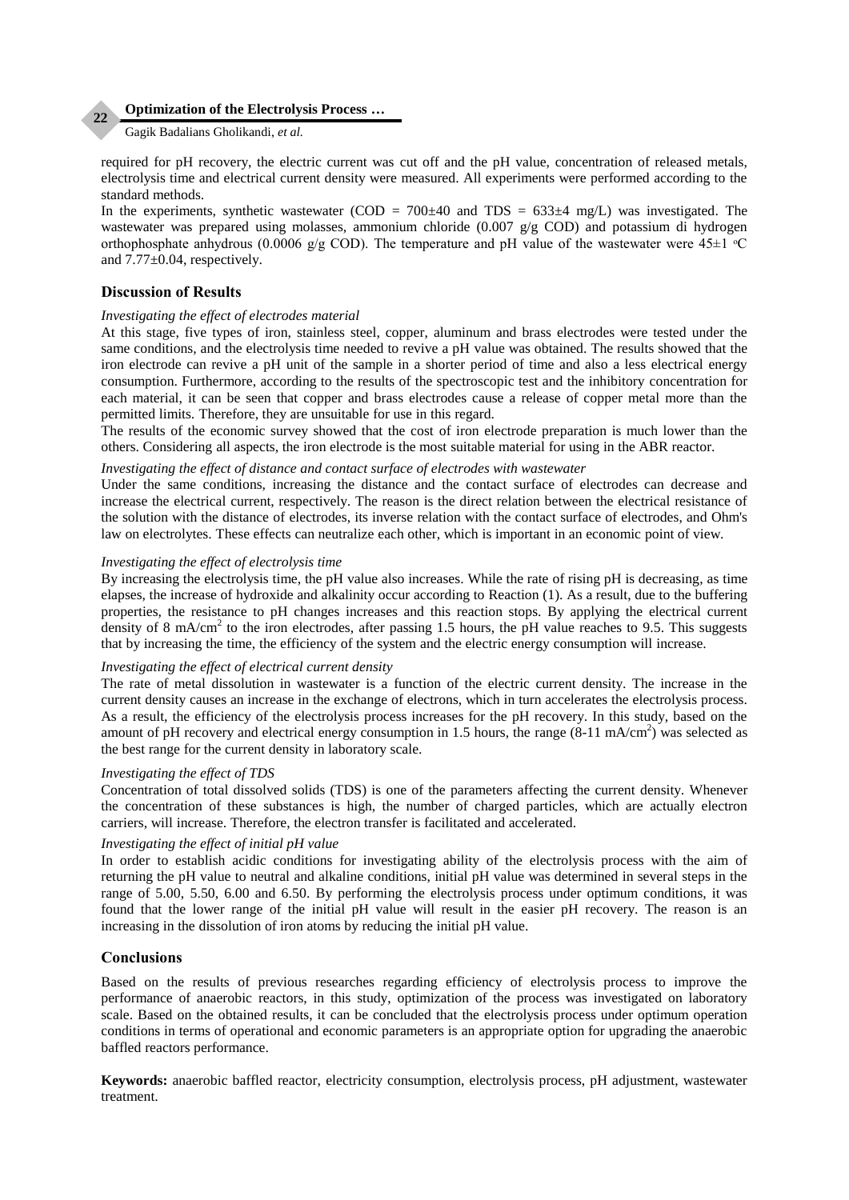#### **Optimization of the Electrolysis Process …**

#### Gagik Badalians Gholikandi, *et al.*

required for pH recovery, the electric current was cut off and the pH value, concentration of released metals, electrolysis time and electrical current density were measured. All experiments were performed according to the standard methods.

In the experiments, synthetic wastewater (COD =  $700\pm40$  and TDS =  $633\pm4$  mg/L) was investigated. The wastewater was prepared using molasses, ammonium chloride (0.007  $g/g$  COD) and potassium di hydrogen orthophosphate anhydrous (0.0006  $g/g$  COD). The temperature and pH value of the wastewater were 45 $\pm$ 1  $\degree$ C and 7.77±0.04, respectively.

#### **Discussion of Results**

**22**

#### *Investigating the effect of electrodes material*

At this stage, five types of iron, stainless steel, copper, aluminum and brass electrodes were tested under the same conditions, and the electrolysis time needed to revive a pH value was obtained. The results showed that the iron electrode can revive a pH unit of the sample in a shorter period of time and also a less electrical energy consumption. Furthermore, according to the results of the spectroscopic test and the inhibitory concentration for each material, it can be seen that copper and brass electrodes cause a release of copper metal more than the permitted limits. Therefore, they are unsuitable for use in this regard.

The results of the economic survey showed that the cost of iron electrode preparation is much lower than the others. Considering all aspects, the iron electrode is the most suitable material for using in the ABR reactor.

#### *Investigating the effect of distance and contact surface of electrodes with wastewater*

Under the same conditions, increasing the distance and the contact surface of electrodes can decrease and increase the electrical current, respectively. The reason is the direct relation between the electrical resistance of the solution with the distance of electrodes, its inverse relation with the contact surface of electrodes, and Ohm's law on electrolytes. These effects can neutralize each other, which is important in an economic point of view.

#### *Investigating the effect of electrolysis time*

By increasing the electrolysis time, the pH value also increases. While the rate of rising pH is decreasing, as time elapses, the increase of hydroxide and alkalinity occur according to Reaction (1). As a result, due to the buffering properties, the resistance to pH changes increases and this reaction stops. By applying the electrical current density of 8 mA/cm<sup>2</sup> to the iron electrodes, after passing 1.5 hours, the pH value reaches to 9.5. This suggests that by increasing the time, the efficiency of the system and the electric energy consumption will increase.

#### *Investigating the effect of electrical current density*

The rate of metal dissolution in wastewater is a function of the electric current density. The increase in the current density causes an increase in the exchange of electrons, which in turn accelerates the electrolysis process. As a result, the efficiency of the electrolysis process increases for the pH recovery. In this study, based on the amount of pH recovery and electrical energy consumption in 1.5 hours, the range  $(8-11 \text{ mA/cm}^2)$  was selected as the best range for the current density in laboratory scale.

#### *Investigating the effect of TDS*

Concentration of total dissolved solids (TDS) is one of the parameters affecting the current density. Whenever the concentration of these substances is high, the number of charged particles, which are actually electron carriers, will increase. Therefore, the electron transfer is facilitated and accelerated.

#### *Investigating the effect of initial pH value*

In order to establish acidic conditions for investigating ability of the electrolysis process with the aim of returning the pH value to neutral and alkaline conditions, initial pH value was determined in several steps in the range of 5.00, 5.50, 6.00 and 6.50. By performing the electrolysis process under optimum conditions, it was found that the lower range of the initial pH value will result in the easier pH recovery. The reason is an increasing in the dissolution of iron atoms by reducing the initial pH value.

#### **Conclusions**

Based on the results of previous researches regarding efficiency of electrolysis process to improve the performance of anaerobic reactors, in this study, optimization of the process was investigated on laboratory scale. Based on the obtained results, it can be concluded that the electrolysis process under optimum operation conditions in terms of operational and economic parameters is an appropriate option for upgrading the anaerobic baffled reactors performance.

**Keywords:** anaerobic baffled reactor, electricity consumption, electrolysis process, pH adjustment, wastewater treatment.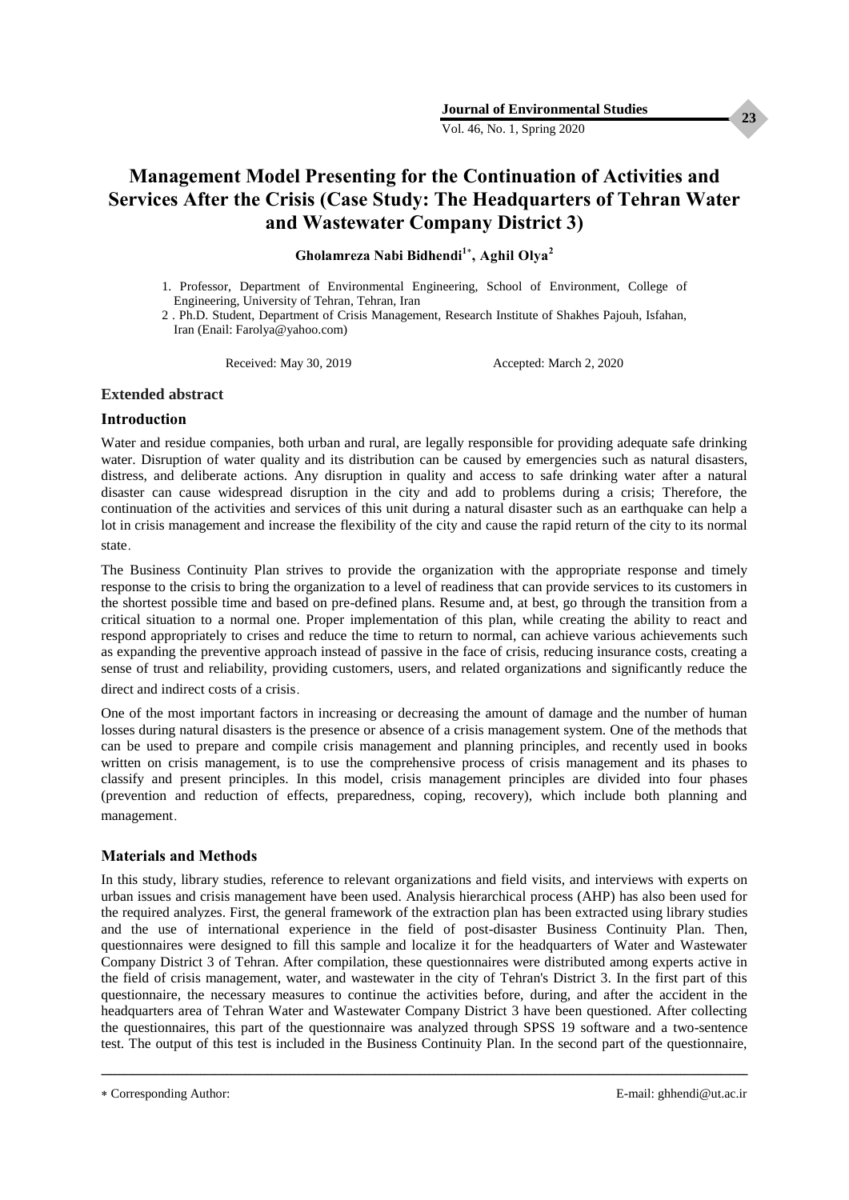**23**

Vol. 46, No. 1, Spring 2020

## **Management Model Presenting for the Continuation of Activities and Services After the Crisis (Case Study: The Headquarters of Tehran Water and Wastewater Company District 3)**

**Gholamreza Nabi Bidhendi<sup>1</sup> , Aghil Olya<sup>2</sup>**

- 1. Professor, Department of Environmental Engineering, School of Environment, College of Engineering, University of Tehran, Tehran, Iran
- 2 . Ph.D. Student, Department of Crisis Management, Research Institute of Shakhes Pajouh, Isfahan, Iran (Enail: Farolya@yahoo.com)

Received: May 30, 2019 Accepted: March 2, 2020

#### **Extended abstract**

#### **Introduction**

Water and residue companies, both urban and rural, are legally responsible for providing adequate safe drinking water. Disruption of water quality and its distribution can be caused by emergencies such as natural disasters, distress, and deliberate actions. Any disruption in quality and access to safe drinking water after a natural disaster can cause widespread disruption in the city and add to problems during a crisis; Therefore, the continuation of the activities and services of this unit during a natural disaster such as an earthquake can help a lot in crisis management and increase the flexibility of the city and cause the rapid return of the city to its normal state.

The Business Continuity Plan strives to provide the organization with the appropriate response and timely response to the crisis to bring the organization to a level of readiness that can provide services to its customers in the shortest possible time and based on pre-defined plans. Resume and, at best, go through the transition from a critical situation to a normal one. Proper implementation of this plan, while creating the ability to react and respond appropriately to crises and reduce the time to return to normal, can achieve various achievements such as expanding the preventive approach instead of passive in the face of crisis, reducing insurance costs, creating a sense of trust and reliability, providing customers, users, and related organizations and significantly reduce the

direct and indirect costs of a crisis.

One of the most important factors in increasing or decreasing the amount of damage and the number of human losses during natural disasters is the presence or absence of a crisis management system. One of the methods that can be used to prepare and compile crisis management and planning principles, and recently used in books written on crisis management, is to use the comprehensive process of crisis management and its phases to classify and present principles. In this model, crisis management principles are divided into four phases (prevention and reduction of effects, preparedness, coping, recovery), which include both planning and management.

### **Materials and Methods**

In this study, library studies, reference to relevant organizations and field visits, and interviews with experts on urban issues and crisis management have been used. Analysis hierarchical process (AHP) has also been used for the required analyzes. First, the general framework of the extraction plan has been extracted using library studies and the use of international experience in the field of post-disaster Business Continuity Plan. Then, questionnaires were designed to fill this sample and localize it for the headquarters of Water and Wastewater Company District 3 of Tehran. After compilation, these questionnaires were distributed among experts active in the field of crisis management, water, and wastewater in the city of Tehran's District 3. In the first part of this questionnaire, the necessary measures to continue the activities before, during, and after the accident in the headquarters area of Tehran Water and Wastewater Company District 3 have been questioned. After collecting the questionnaires, this part of the questionnaire was analyzed through SPSS 19 software and a two-sentence test. The output of this test is included in the Business Continuity Plan. In the second part of the questionnaire,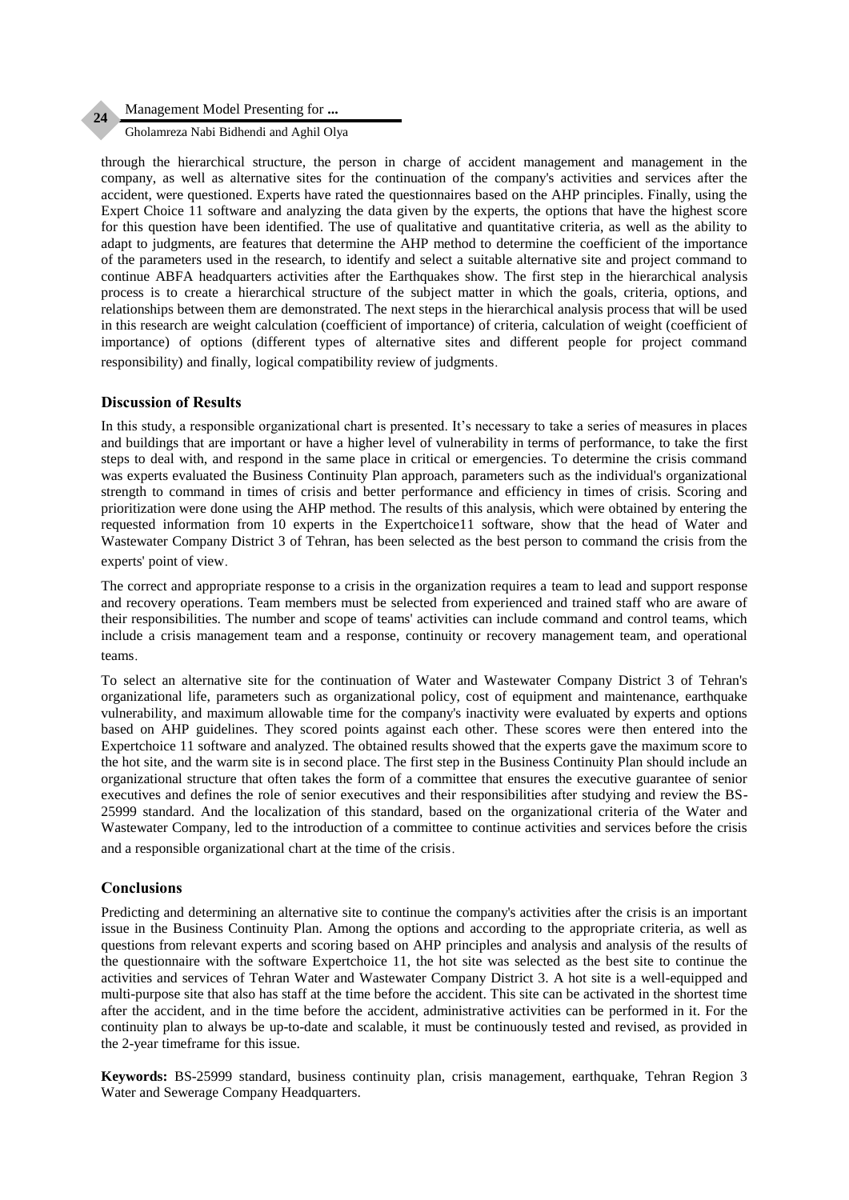#### Management Model Presenting for **...**

Gholamreza Nabi Bidhendi and Aghil Olya

through the hierarchical structure, the person in charge of accident management and management in the company, as well as alternative sites for the continuation of the company's activities and services after the accident, were questioned. Experts have rated the questionnaires based on the AHP principles. Finally, using the Expert Choice 11 software and analyzing the data given by the experts, the options that have the highest score for this question have been identified. The use of qualitative and quantitative criteria, as well as the ability to adapt to judgments, are features that determine the AHP method to determine the coefficient of the importance of the parameters used in the research, to identify and select a suitable alternative site and project command to continue ABFA headquarters activities after the Earthquakes show. The first step in the hierarchical analysis process is to create a hierarchical structure of the subject matter in which the goals, criteria, options, and relationships between them are demonstrated. The next steps in the hierarchical analysis process that will be used in this research are weight calculation (coefficient of importance) of criteria, calculation of weight (coefficient of importance) of options (different types of alternative sites and different people for project command responsibility) and finally, logical compatibility review of judgments.

#### **Discussion of Results**

In this study, a responsible organizational chart is presented. It's necessary to take a series of measures in places and buildings that are important or have a higher level of vulnerability in terms of performance, to take the first steps to deal with, and respond in the same place in critical or emergencies. To determine the crisis command was experts evaluated the Business Continuity Plan approach, parameters such as the individual's organizational strength to command in times of crisis and better performance and efficiency in times of crisis. Scoring and prioritization were done using the AHP method. The results of this analysis, which were obtained by entering the requested information from 10 experts in the Expertchoice11 software, show that the head of Water and Wastewater Company District 3 of Tehran, has been selected as the best person to command the crisis from the experts' point of view.

The correct and appropriate response to a crisis in the organization requires a team to lead and support response and recovery operations. Team members must be selected from experienced and trained staff who are aware of their responsibilities. The number and scope of teams' activities can include command and control teams, which include a crisis management team and a response, continuity or recovery management team, and operational teams.

To select an alternative site for the continuation of Water and Wastewater Company District 3 of Tehran's organizational life, parameters such as organizational policy, cost of equipment and maintenance, earthquake vulnerability, and maximum allowable time for the company's inactivity were evaluated by experts and options based on AHP guidelines. They scored points against each other. These scores were then entered into the Expertchoice 11 software and analyzed. The obtained results showed that the experts gave the maximum score to the hot site, and the warm site is in second place. The first step in the Business Continuity Plan should include an organizational structure that often takes the form of a committee that ensures the executive guarantee of senior executives and defines the role of senior executives and their responsibilities after studying and review the BS-25999 standard. And the localization of this standard, based on the organizational criteria of the Water and Wastewater Company, led to the introduction of a committee to continue activities and services before the crisis and a responsible organizational chart at the time of the crisis.

#### **Conclusions**

Predicting and determining an alternative site to continue the company's activities after the crisis is an important issue in the Business Continuity Plan. Among the options and according to the appropriate criteria, as well as questions from relevant experts and scoring based on AHP principles and analysis and analysis of the results of the questionnaire with the software Expertchoice 11, the hot site was selected as the best site to continue the activities and services of Tehran Water and Wastewater Company District 3. A hot site is a well-equipped and multi-purpose site that also has staff at the time before the accident. This site can be activated in the shortest time after the accident, and in the time before the accident, administrative activities can be performed in it. For the continuity plan to always be up-to-date and scalable, it must be continuously tested and revised, as provided in the 2-year timeframe for this issue.

**Keywords:** BS-25999 standard, business continuity plan, crisis management, earthquake, Tehran Region 3 Water and Sewerage Company Headquarters.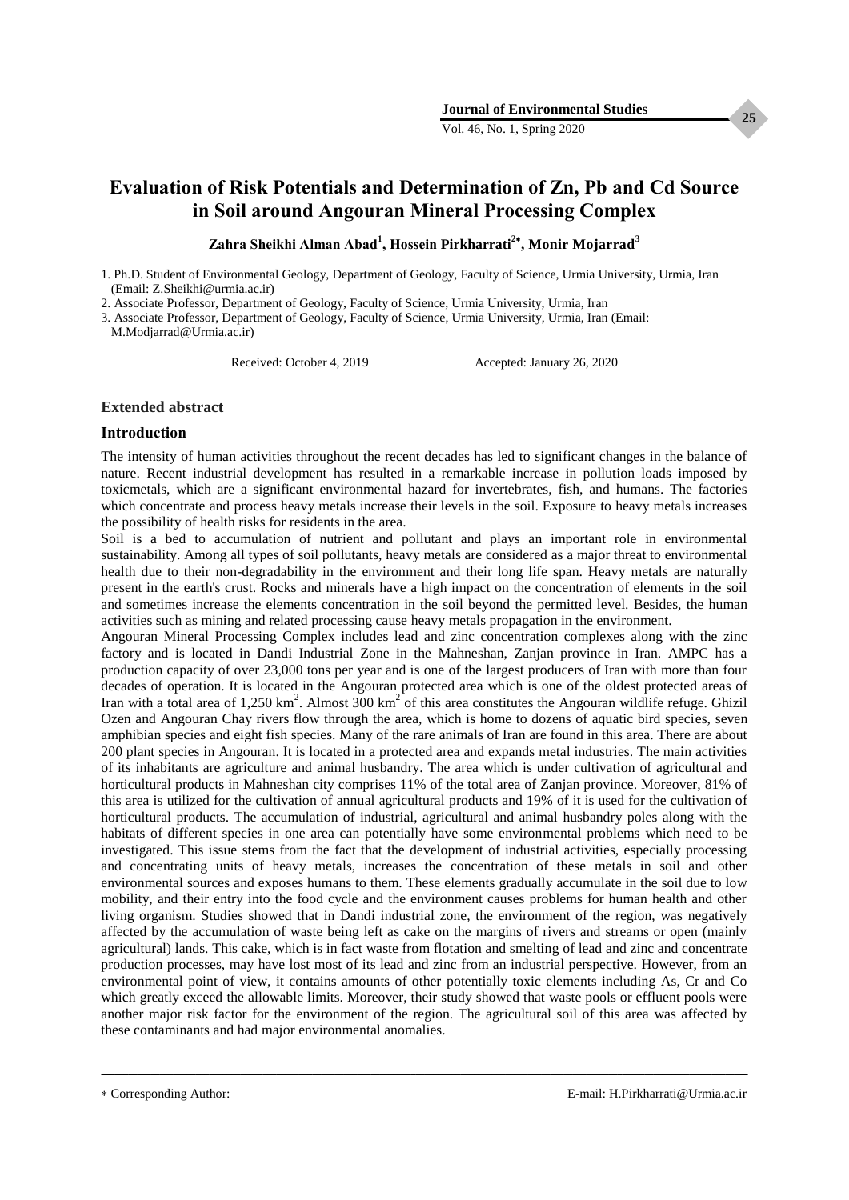Vol. 46, No. 1, Spring 2020

## **Evaluation of Risk Potentials and Determination of Zn, Pb and Cd Source in Soil around Angouran Mineral Processing Complex**

**Zahra Sheikhi Alman Abad<sup>1</sup> , Hossein Pirkharrati<sup>2</sup> , Monir Mojarrad<sup>3</sup>**

1. Ph.D. Student of Environmental Geology, Department of Geology, Faculty of Science, Urmia University, Urmia, Iran (Email: Z.Sheikhi@urmia.ac.ir)

2. Associate Professor, Department of Geology, Faculty of Science, Urmia University, Urmia, Iran

3. Associate Professor, Department of Geology, Faculty of Science, Urmia University, Urmia, Iran (Email: M.Modjarrad@Urmia.ac.ir)

Received: October 4, 2019 Accepted: January 26, 2020

#### **Extended abstract**

#### **Introduction**

The intensity of human activities throughout the recent decades has led to significant changes in the balance of nature. Recent industrial development has resulted in a remarkable increase in pollution loads imposed by toxicmetals, which are a significant environmental hazard for invertebrates, fish, and humans. The factories which concentrate and process heavy metals increase their levels in the soil. Exposure to heavy metals increases the possibility of health risks for residents in the area.

Soil is a bed to accumulation of nutrient and pollutant and plays an important role in environmental sustainability. Among all types of soil pollutants, heavy metals are considered as a major threat to environmental health due to their non-degradability in the environment and their long life span. Heavy metals are naturally present in the earth's crust. Rocks and minerals have a high impact on the concentration of elements in the soil and sometimes increase the elements concentration in the soil beyond the permitted level. Besides, the human activities such as mining and related processing cause heavy metals propagation in the environment.

Angouran Mineral Processing Complex includes lead and zinc concentration complexes along with the zinc factory and is located in Dandi Industrial Zone in the Mahneshan, Zanjan province in Iran. AMPC has a production capacity of over 23,000 tons per year and is one of the largest producers of Iran with more than four decades of operation. It is located in the Angouran protected area which is one of the oldest protected areas of Iran with a total area of 1,250 km<sup>2</sup>. Almost 300 km<sup>2</sup> of this area constitutes the Angouran wildlife refuge. Ghizil Ozen and Angouran Chay rivers flow through the area, which is home to dozens of aquatic bird species, seven amphibian species and eight fish species. Many of the rare animals of Iran are found in this area. There are about 200 plant species in Angouran. It is located in a protected area and expands metal industries. The main activities of its inhabitants are agriculture and animal husbandry. The area which is under cultivation of agricultural and horticultural products in Mahneshan city comprises 11% of the total area of Zanjan province. Moreover, 81% of this area is utilized for the cultivation of annual agricultural products and 19% of it is used for the cultivation of horticultural products. The accumulation of industrial, agricultural and animal husbandry poles along with the habitats of different species in one area can potentially have some environmental problems which need to be investigated. This issue stems from the fact that the development of industrial activities, especially processing and concentrating units of heavy metals, increases the concentration of these metals in soil and other environmental sources and exposes humans to them. These elements gradually accumulate in the soil due to low mobility, and their entry into the food cycle and the environment causes problems for human health and other living organism. Studies showed that in Dandi industrial zone, the environment of the region, was negatively affected by the accumulation of waste being left as cake on the margins of rivers and streams or open (mainly agricultural) lands. This cake, which is in fact waste from flotation and smelting of lead and zinc and concentrate production processes, may have lost most of its lead and zinc from an industrial perspective. However, from an environmental point of view, it contains amounts of other potentially toxic elements including As, Cr and Co which greatly exceed the allowable limits. Moreover, their study showed that waste pools or effluent pools were another major risk factor for the environment of the region. The agricultural soil of this area was affected by these contaminants and had major environmental anomalies.

ــــــــــــــــــــــــــــــــــــــــــــــــــــــــــــــــــــــــــــــــــــــــــــــــــــــــــــــــــــــــــــــــــــــــــــــــ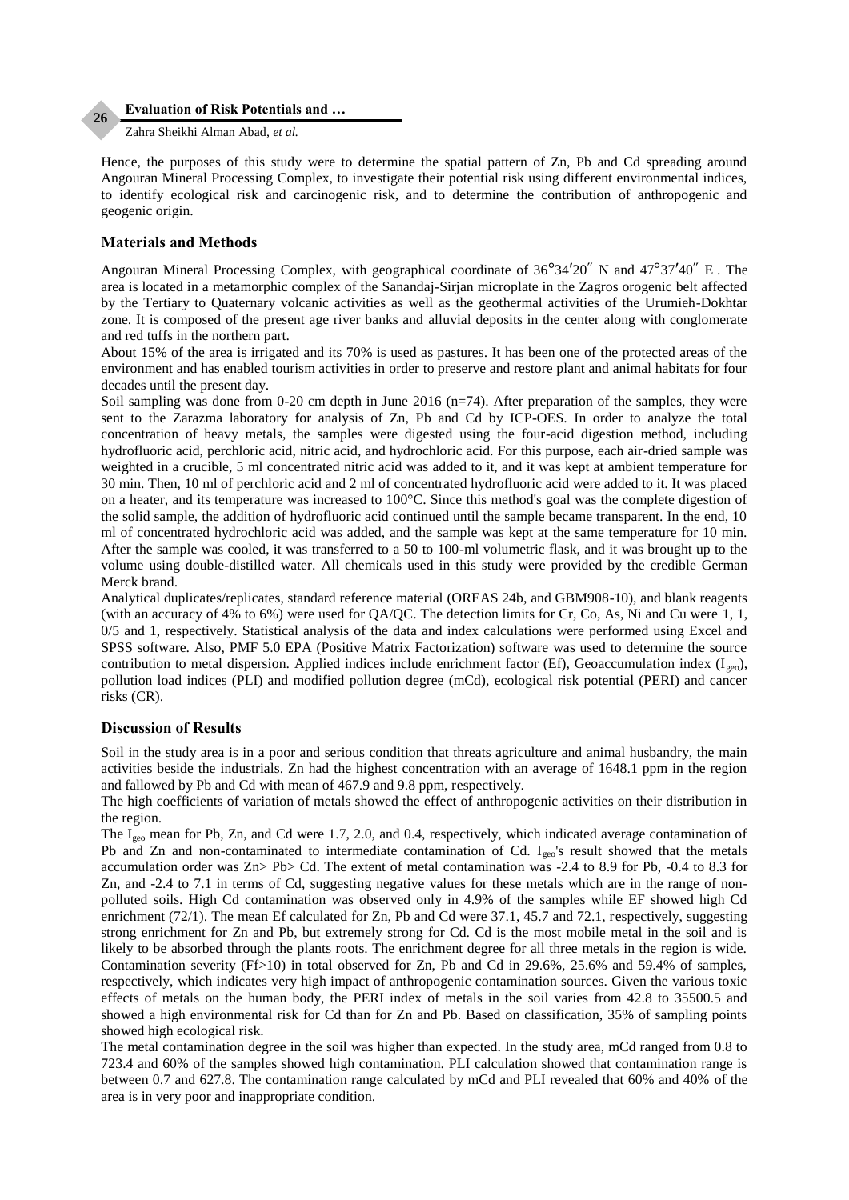#### **Evaluation of Risk Potentials and …**

Zahra Sheikhi Alman Abad, *et al.*

Hence, the purposes of this study were to determine the spatial pattern of Zn, Pb and Cd spreading around Angouran Mineral Processing Complex, to investigate their potential risk using different environmental indices, to identify ecological risk and carcinogenic risk, and to determine the contribution of anthropogenic and geogenic origin.

#### **Materials and Methods**

**26**

Angouran Mineral Processing Complex, with geographical coordinate of 36°34′20˝ N and 47°37′40˝ E . The area is located in a metamorphic complex of the Sanandaj-Sirjan microplate in the Zagros orogenic belt affected by the Tertiary to Quaternary volcanic activities as well as the geothermal activities of the Urumieh-Dokhtar zone. It is composed of the present age river banks and alluvial deposits in the center along with conglomerate and red tuffs in the northern part.

About 15% of the area is irrigated and its 70% is used as pastures. It has been one of the protected areas of the environment and has enabled tourism activities in order to preserve and restore plant and animal habitats for four decades until the present day.

Soil sampling was done from 0-20 cm depth in June 2016 (n=74). After preparation of the samples, they were sent to the Zarazma laboratory for analysis of Zn, Pb and Cd by ICP-OES. In order to analyze the total concentration of heavy metals, the samples were digested using the four-acid digestion method, including hydrofluoric acid, perchloric acid, nitric acid, and hydrochloric acid. For this purpose, each air-dried sample was weighted in a crucible, 5 ml concentrated nitric acid was added to it, and it was kept at ambient temperature for 30 min. Then, 10 ml of perchloric acid and 2 ml of concentrated hydrofluoric acid were added to it. It was placed on a heater, and its temperature was increased to 100°C. Since this method's goal was the complete digestion of the solid sample, the addition of hydrofluoric acid continued until the sample became transparent. In the end, 10 ml of concentrated hydrochloric acid was added, and the sample was kept at the same temperature for 10 min. After the sample was cooled, it was transferred to a 50 to 100-ml volumetric flask, and it was brought up to the volume using double-distilled water. All chemicals used in this study were provided by the credible German Merck brand.

Analytical duplicates/replicates, standard reference material (OREAS 24b, and GBM908-10), and blank reagents (with an accuracy of 4% to 6%) were used for QA/QC. The detection limits for Cr, Co, As, Ni and Cu were 1, 1, 0/5 and 1, respectively. Statistical analysis of the data and index calculations were performed using Excel and SPSS software. Also, PMF 5.0 EPA (Positive Matrix Factorization) software was used to determine the source contribution to metal dispersion. Applied indices include enrichment factor (Ef), Geoaccumulation index ( $I_{\text{geo}}$ ), pollution load indices (PLI) and modified pollution degree (mCd), ecological risk potential (PERI) and cancer risks (CR).

#### **Discussion of Results**

Soil in the study area is in a poor and serious condition that threats agriculture and animal husbandry, the main activities beside the industrials. Zn had the highest concentration with an average of 1648.1 ppm in the region and fallowed by Pb and Cd with mean of 467.9 and 9.8 ppm, respectively.

The high coefficients of variation of metals showed the effect of anthropogenic activities on their distribution in the region.

The I<sub>geo</sub> mean for Pb, Zn, and Cd were 1.7, 2.0, and 0.4, respectively, which indicated average contamination of Pb and Zn and non-contaminated to intermediate contamination of Cd.  $I_{geo}$ 's result showed that the metals accumulation order was Zn> Pb> Cd. The extent of metal contamination was -2.4 to 8.9 for Pb, -0.4 to 8.3 for Zn, and -2.4 to 7.1 in terms of Cd, suggesting negative values for these metals which are in the range of nonpolluted soils. High Cd contamination was observed only in 4.9% of the samples while EF showed high Cd enrichment (72/1). The mean Ef calculated for Zn, Pb and Cd were 37.1, 45.7 and 72.1, respectively, suggesting strong enrichment for Zn and Pb, but extremely strong for Cd. Cd is the most mobile metal in the soil and is likely to be absorbed through the plants roots. The enrichment degree for all three metals in the region is wide. Contamination severity (Ff>10) in total observed for Zn, Pb and Cd in 29.6%, 25.6% and 59.4% of samples, respectively, which indicates very high impact of anthropogenic contamination sources. Given the various toxic effects of metals on the human body, the PERI index of metals in the soil varies from 42.8 to 35500.5 and showed a high environmental risk for Cd than for Zn and Pb. Based on classification, 35% of sampling points showed high ecological risk.

The metal contamination degree in the soil was higher than expected. In the study area, mCd ranged from 0.8 to 723.4 and 60% of the samples showed high contamination. PLI calculation showed that contamination range is between 0.7 and 627.8. The contamination range calculated by mCd and PLI revealed that 60% and 40% of the area is in very poor and inappropriate condition.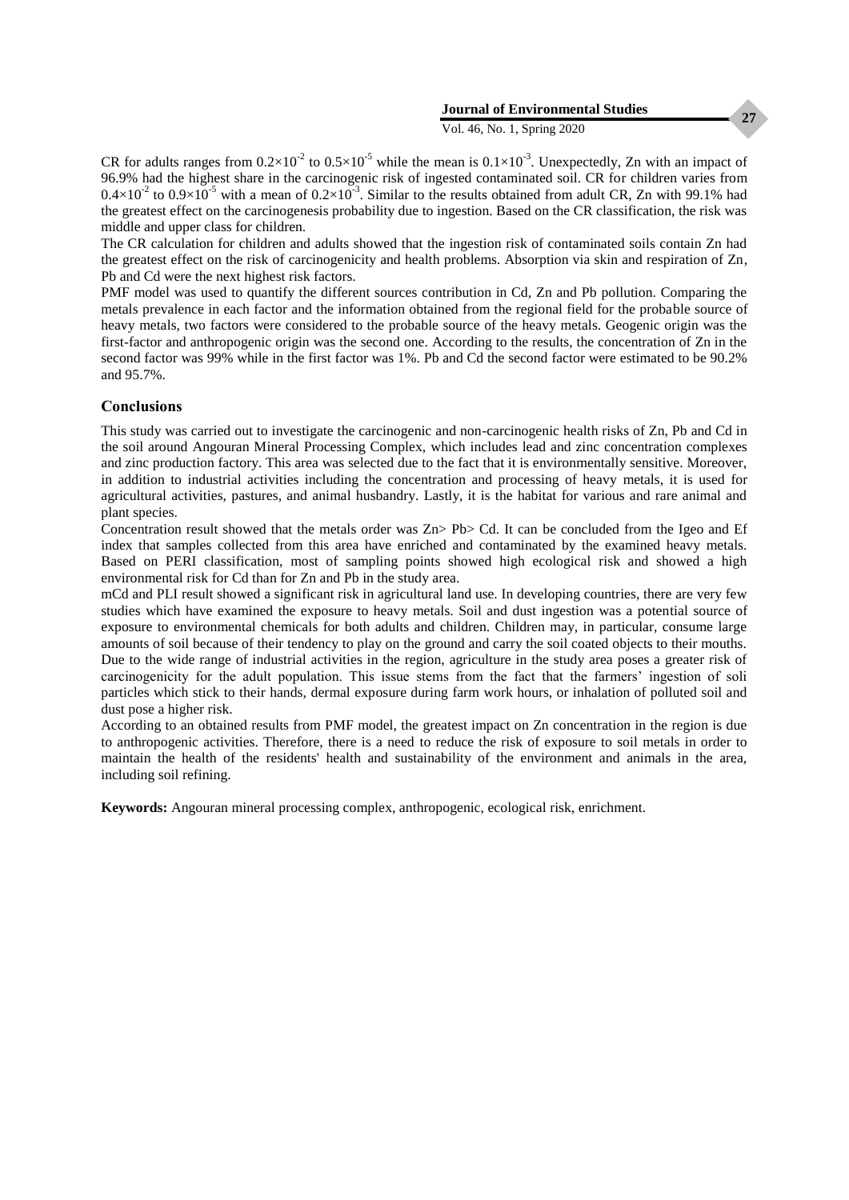**27**

#### Vol. 46, No. 1, Spring 2020

CR for adults ranges from  $0.2 \times 10^{-2}$  to  $0.5 \times 10^{-5}$  while the mean is  $0.1 \times 10^{-3}$ . Unexpectedly, Zn with an impact of 96.9% had the highest share in the carcinogenic risk of ingested contaminated soil. CR for children varies from  $0.4\times10^{-2}$  to  $0.9\times10^{-5}$  with a mean of  $0.2\times10^{-3}$ . Similar to the results obtained from adult CR, Zn with 99.1% had the greatest effect on the carcinogenesis probability due to ingestion. Based on the CR classification, the risk was middle and upper class for children.

The CR calculation for children and adults showed that the ingestion risk of contaminated soils contain Zn had the greatest effect on the risk of carcinogenicity and health problems. Absorption via skin and respiration of Zn, Pb and Cd were the next highest risk factors.

PMF model was used to quantify the different sources contribution in Cd, Zn and Pb pollution. Comparing the metals prevalence in each factor and the information obtained from the regional field for the probable source of heavy metals, two factors were considered to the probable source of the heavy metals. Geogenic origin was the first-factor and anthropogenic origin was the second one. According to the results, the concentration of Zn in the second factor was 99% while in the first factor was 1%. Pb and Cd the second factor were estimated to be 90.2% and 95.7%.

#### **Conclusions**

This study was carried out to investigate the carcinogenic and non-carcinogenic health risks of Zn, Pb and Cd in the soil around Angouran Mineral Processing Complex, which includes lead and zinc concentration complexes and zinc production factory. This area was selected due to the fact that it is environmentally sensitive. Moreover, in addition to industrial activities including the concentration and processing of heavy metals, it is used for agricultural activities, pastures, and animal husbandry. Lastly, it is the habitat for various and rare animal and plant species.

Concentration result showed that the metals order was Zn> Pb> Cd. It can be concluded from the Igeo and Ef index that samples collected from this area have enriched and contaminated by the examined heavy metals. Based on PERI classification, most of sampling points showed high ecological risk and showed a high environmental risk for Cd than for Zn and Pb in the study area.

mCd and PLI result showed a significant risk in agricultural land use. In developing countries, there are very few studies which have examined the exposure to heavy metals. Soil and dust ingestion was a potential source of exposure to environmental chemicals for both adults and children. Children may, in particular, consume large amounts of soil because of their tendency to play on the ground and carry the soil coated objects to their mouths. Due to the wide range of industrial activities in the region, agriculture in the study area poses a greater risk of carcinogenicity for the adult population. This issue stems from the fact that the farmers' ingestion of soli particles which stick to their hands, dermal exposure during farm work hours, or inhalation of polluted soil and dust pose a higher risk.

According to an obtained results from PMF model, the greatest impact on Zn concentration in the region is due to anthropogenic activities. Therefore, there is a need to reduce the risk of exposure to soil metals in order to maintain the health of the residents' health and sustainability of the environment and animals in the area, including soil refining.

**Keywords:** Angouran mineral processing complex, anthropogenic, ecological risk, enrichment.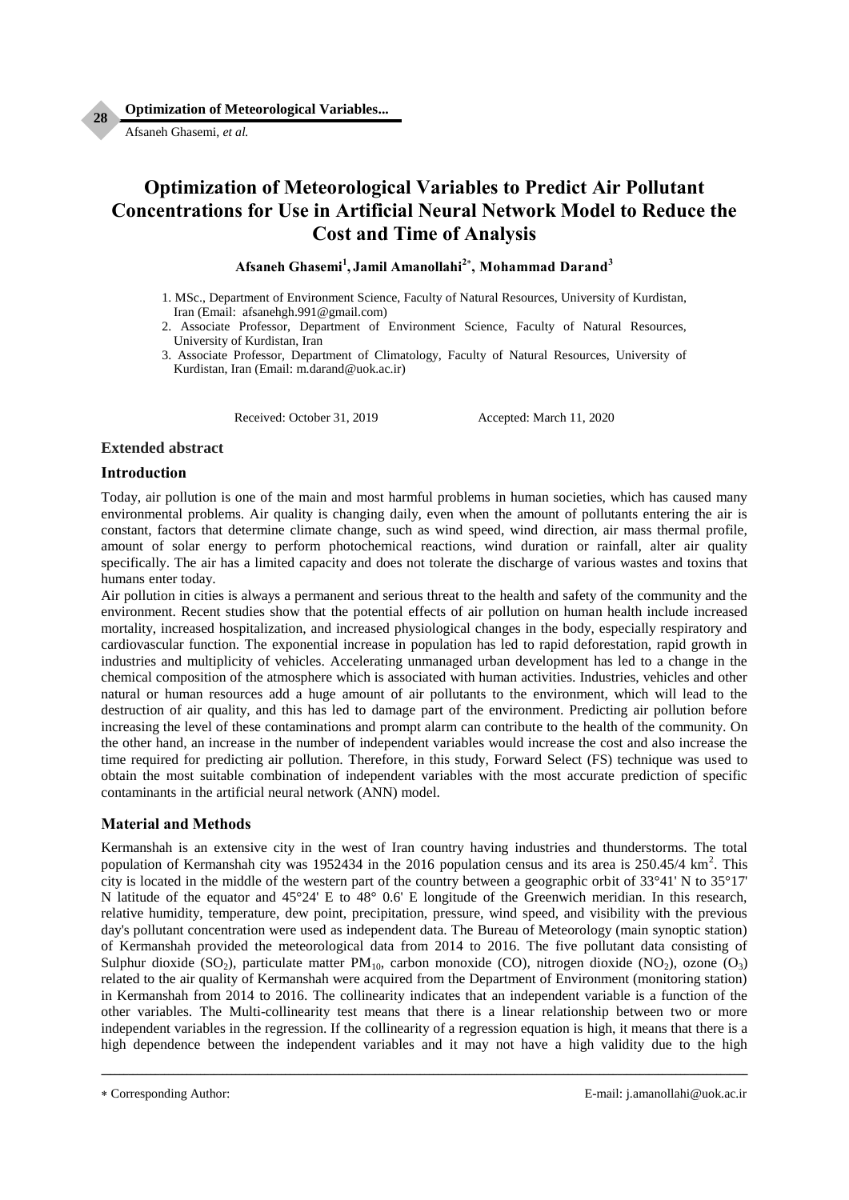**Optimization of Meteorological Variables...**

Afsaneh Ghasemi, *et al.*

## **Optimization of Meteorological Variables to Predict Air Pollutant Concentrations for Use in Artificial Neural Network Model to Reduce the Cost and Time of Analysis**

### **Afsaneh Ghasemi<sup>1</sup> , Jamil Amanollahi<sup>2</sup> , Mohammad Darand<sup>3</sup>**

- 1. MSc., Department of Environment Science, Faculty of Natural Resources, University of Kurdistan, Iran (Email: afsanehgh.991@gmail.com)
- 2. Associate Professor, Department of Environment Science, Faculty of Natural Resources, University of Kurdistan, Iran
- 3. Associate Professor, Department of Climatology, Faculty of Natural Resources, University of Kurdistan, Iran (Email: m.darand@uok.ac.ir)

Received: October 31, 2019 Accepted: March 11, 2020

#### **Extended abstract**

#### **Introduction**

Today, air pollution is one of the main and most harmful problems in human societies, which has caused many environmental problems. Air quality is changing daily, even when the amount of pollutants entering the air is constant, factors that determine climate change, such as wind speed, wind direction, air mass thermal profile, amount of solar energy to perform photochemical reactions, wind duration or rainfall, alter air quality specifically. The air has a limited capacity and does not tolerate the discharge of various wastes and toxins that humans enter today.

Air pollution in cities is always a permanent and serious threat to the health and safety of the community and the environment. Recent studies show that the potential effects of air pollution on human health include increased mortality, increased hospitalization, and increased physiological changes in the body, especially respiratory and cardiovascular function. The exponential increase in population has led to rapid deforestation, rapid growth in industries and multiplicity of vehicles. Accelerating unmanaged urban development has led to a change in the chemical composition of the atmosphere which is associated with human activities. Industries, vehicles and other natural or human resources add a huge amount of air pollutants to the environment, which will lead to the destruction of air quality, and this has led to damage part of the environment. Predicting air pollution before increasing the level of these contaminations and prompt alarm can contribute to the health of the community. On the other hand, an increase in the number of independent variables would increase the cost and also increase the time required for predicting air pollution. Therefore, in this study, Forward Select (FS) technique was used to obtain the most suitable combination of independent variables with the most accurate prediction of specific contaminants in the artificial neural network (ANN) model.

#### **Material and Methods**

Kermanshah is an extensive city in the west of Iran country having industries and thunderstorms. The total population of Kermanshah city was 1952434 in the 2016 population census and its area is  $250.45/4 \text{ km}^2$ . This city is located in the middle of the western part of the country between a geographic orbit of 33°41' N to 35°17' N latitude of the equator and 45°24' E to 48° 0.6' E longitude of the Greenwich meridian. In this research, relative humidity, temperature, dew point, precipitation, pressure, wind speed, and visibility with the previous day's pollutant concentration were used as independent data. The Bureau of Meteorology (main synoptic station) of Kermanshah provided the meteorological data from 2014 to 2016. The five pollutant data consisting of Sulphur dioxide (SO<sub>2</sub>), particulate matter PM<sub>10</sub>, carbon monoxide (CO), nitrogen dioxide (NO<sub>2</sub>), ozone (O<sub>3</sub>) related to the air quality of Kermanshah were acquired from the Department of Environment (monitoring station) in Kermanshah from 2014 to 2016. The collinearity indicates that an independent variable is a function of the other variables. The Multi-collinearity test means that there is a linear relationship between two or more independent variables in the regression. If the collinearity of a regression equation is high, it means that there is a high dependence between the independent variables and it may not have a high validity due to the high

ــــــــــــــــــــــــــــــــــــــــــــــــــــــــــــــــــــــــــــــــــــــــــــــــــــــــــــــــــــــــــــــــــــــــــــــــ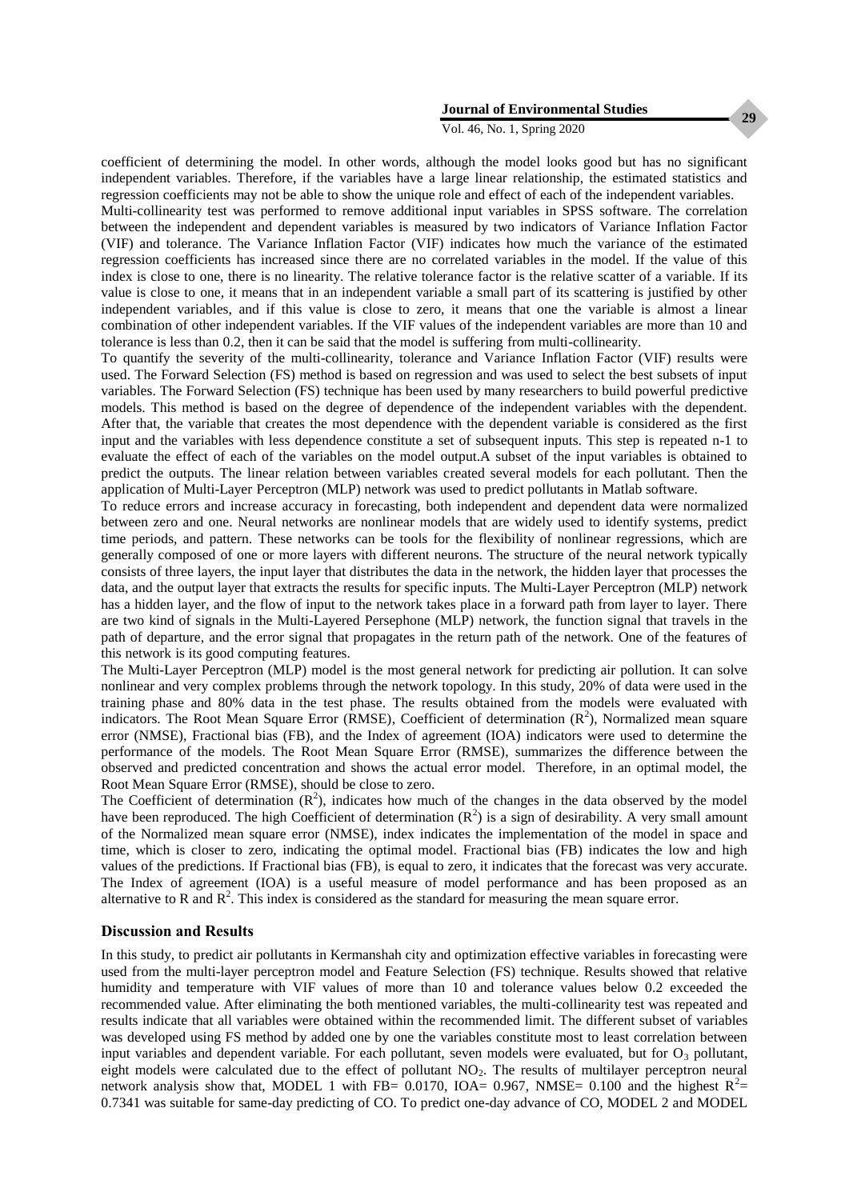Vol. 46, No. 1, Spring 2020

coefficient of determining the model. In other words, although the model looks good but has no significant independent variables. Therefore, if the variables have a large linear relationship, the estimated statistics and regression coefficients may not be able to show the unique role and effect of each of the independent variables. Multi-collinearity test was performed to remove additional input variables in SPSS software. The correlation

between the independent and dependent variables is measured by two indicators of Variance Inflation Factor (VIF) and tolerance. The Variance Inflation Factor (VIF) indicates how much the variance of the estimated regression coefficients has increased since there are no correlated variables in the model. If the value of this index is close to one, there is no linearity. The relative tolerance factor is the relative scatter of a variable. If its value is close to one, it means that in an independent variable a small part of its scattering is justified by other independent variables, and if this value is close to zero, it means that one the variable is almost a linear combination of other independent variables. If the VIF values of the independent variables are more than 10 and tolerance is less than 0.2, then it can be said that the model is suffering from multi-collinearity.

To quantify the severity of the multi-collinearity, tolerance and Variance Inflation Factor (VIF) results were used. The Forward Selection (FS) method is based on regression and was used to select the best subsets of input variables. The Forward Selection (FS) technique has been used by many researchers to build powerful predictive models. This method is based on the degree of dependence of the independent variables with the dependent. After that, the variable that creates the most dependence with the dependent variable is considered as the first input and the variables with less dependence constitute a set of subsequent inputs. This step is repeated n-1 to evaluate the effect of each of the variables on the model output.A subset of the input variables is obtained to predict the outputs. The linear relation between variables created several models for each pollutant. Then the application of Multi-Layer Perceptron (MLP) network was used to predict pollutants in Matlab software.

To reduce errors and increase accuracy in forecasting, both independent and dependent data were normalized between zero and one. Neural networks are nonlinear models that are widely used to identify systems, predict time periods, and pattern. These networks can be tools for the flexibility of nonlinear regressions, which are generally composed of one or more layers with different neurons. The structure of the neural network typically consists of three layers, the input layer that distributes the data in the network, the hidden layer that processes the data, and the output layer that extracts the results for specific inputs. The Multi-Layer Perceptron (MLP) network has a hidden layer, and the flow of input to the network takes place in a forward path from layer to layer. There are two kind of signals in the Multi-Layered Persephone (MLP) network, the function signal that travels in the path of departure, and the error signal that propagates in the return path of the network. One of the features of this network is its good computing features.

The Multi-Layer Perceptron (MLP) model is the most general network for predicting air pollution. It can solve nonlinear and very complex problems through the network topology. In this study, 20% of data were used in the training phase and 80% data in the test phase. The results obtained from the models were evaluated with indicators. The Root Mean Square Error (RMSE), Coefficient of determination  $(R^2)$ , Normalized mean square error (NMSE), Fractional bias (FB), and the Index of agreement (IOA) indicators were used to determine the performance of the models. The Root Mean Square Error (RMSE), summarizes the difference between the observed and predicted concentration and shows the actual error model. Therefore, in an optimal model, the Root Mean Square Error (RMSE), should be close to zero.

The Coefficient of determination  $(R^2)$ , indicates how much of the changes in the data observed by the model have been reproduced. The high Coefficient of determination  $(R^2)$  is a sign of desirability. A very small amount of the Normalized mean square error (NMSE), index indicates the implementation of the model in space and time, which is closer to zero, indicating the optimal model. Fractional bias (FB) indicates the low and high values of the predictions. If Fractional bias (FB), is equal to zero, it indicates that the forecast was very accurate. The Index of agreement (IOA) is a useful measure of model performance and has been proposed as an alternative to R and  $\mathbb{R}^2$ . This index is considered as the standard for measuring the mean square error.

#### **Discussion and Results**

In this study, to predict air pollutants in Kermanshah city and optimization effective variables in forecasting were used from the multi-layer perceptron model and Feature Selection (FS) technique. Results showed that relative humidity and temperature with VIF values of more than 10 and tolerance values below 0.2 exceeded the recommended value. After eliminating the both mentioned variables, the multi-collinearity test was repeated and results indicate that all variables were obtained within the recommended limit. The different subset of variables was developed using FS method by added one by one the variables constitute most to least correlation between input variables and dependent variable. For each pollutant, seven models were evaluated, but for O<sub>3</sub> pollutant, eight models were calculated due to the effect of pollutant  $NO<sub>2</sub>$ . The results of multilayer perceptron neural network analysis show that, MODEL 1 with FB= 0.0170, IOA= 0.967, NMSE= 0.100 and the highest  $R^2$ = 0.7341 was suitable for same-day predicting of CO. To predict one-day advance of CO, MODEL 2 and MODEL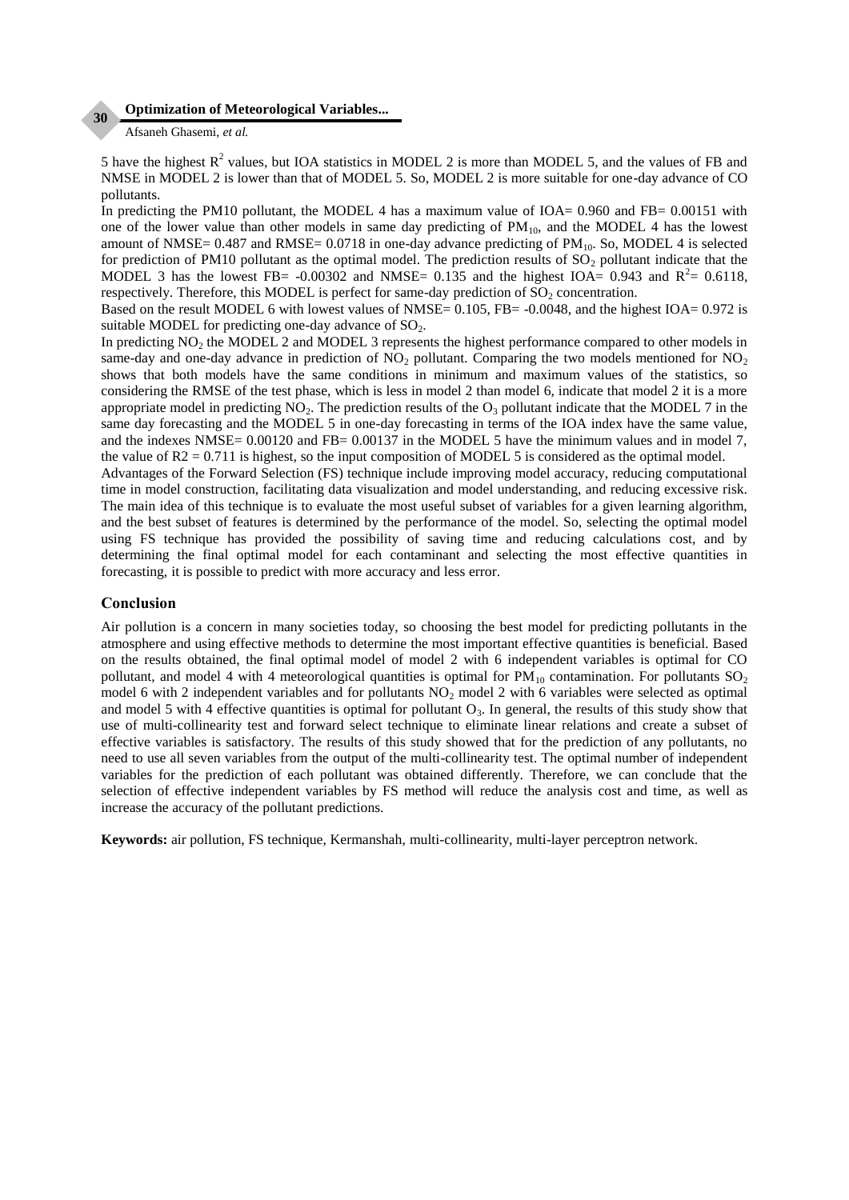#### **Optimization of Meteorological Variables...**

Afsaneh Ghasemi, *et al.*

**30**

5 have the highest  $R^2$  values, but IOA statistics in MODEL 2 is more than MODEL 5, and the values of FB and NMSE in MODEL 2 is lower than that of MODEL 5. So, MODEL 2 is more suitable for one-day advance of CO pollutants.

In predicting the PM10 pollutant, the MODEL 4 has a maximum value of IOA= 0.960 and FB= 0.00151 with one of the lower value than other models in same day predicting of  $PM_{10}$ , and the MODEL 4 has the lowest amount of NMSE=  $0.487$  and RMSE=  $0.0718$  in one-day advance predicting of PM<sub>10</sub>. So, MODEL 4 is selected for prediction of PM10 pollutant as the optimal model. The prediction results of  $SO_2$  pollutant indicate that the MODEL 3 has the lowest FB=  $-0.00302$  and NMSE= 0.135 and the highest IOA= 0.943 and R<sup>2</sup>= 0.6118, respectively. Therefore, this MODEL is perfect for same-day prediction of  $SO<sub>2</sub>$  concentration.

Based on the result MODEL 6 with lowest values of NMSE= 0.105, FB= -0.0048, and the highest IOA= 0.972 is suitable MODEL for predicting one-day advance of  $SO_2$ .

In predicting NO<sub>2</sub> the MODEL 2 and MODEL 3 represents the highest performance compared to other models in same-day and one-day advance in prediction of  $NO<sub>2</sub>$  pollutant. Comparing the two models mentioned for  $NO<sub>2</sub>$ shows that both models have the same conditions in minimum and maximum values of the statistics, so considering the RMSE of the test phase, which is less in model 2 than model 6, indicate that model 2 it is a more appropriate model in predicting NO<sub>2</sub>. The prediction results of the  $O_3$  pollutant indicate that the MODEL 7 in the same day forecasting and the MODEL 5 in one-day forecasting in terms of the IOA index have the same value, and the indexes NMSE= 0.00120 and FB= 0.00137 in the MODEL 5 have the minimum values and in model 7, the value of  $R2 = 0.711$  is highest, so the input composition of MODEL 5 is considered as the optimal model.

Advantages of the Forward Selection (FS) technique include improving model accuracy, reducing computational time in model construction, facilitating data visualization and model understanding, and reducing excessive risk. The main idea of this technique is to evaluate the most useful subset of variables for a given learning algorithm, and the best subset of features is determined by the performance of the model. So, selecting the optimal model using FS technique has provided the possibility of saving time and reducing calculations cost, and by determining the final optimal model for each contaminant and selecting the most effective quantities in forecasting, it is possible to predict with more accuracy and less error.

#### **Conclusion**

Air pollution is a concern in many societies today, so choosing the best model for predicting pollutants in the atmosphere and using effective methods to determine the most important effective quantities is beneficial. Based on the results obtained, the final optimal model of model 2 with 6 independent variables is optimal for CO pollutant, and model 4 with 4 meteorological quantities is optimal for  $PM_{10}$  contamination. For pollutants  $SO_2$ model 6 with 2 independent variables and for pollutants  $NO<sub>2</sub>$  model 2 with 6 variables were selected as optimal and model 5 with 4 effective quantities is optimal for pollutant  $O_3$ . In general, the results of this study show that use of multi-collinearity test and forward select technique to eliminate linear relations and create a subset of effective variables is satisfactory. The results of this study showed that for the prediction of any pollutants, no need to use all seven variables from the output of the multi-collinearity test. The optimal number of independent variables for the prediction of each pollutant was obtained differently. Therefore, we can conclude that the selection of effective independent variables by FS method will reduce the analysis cost and time, as well as increase the accuracy of the pollutant predictions.

**Keywords:** air pollution, FS technique, Kermanshah, multi-collinearity, multi-layer perceptron network.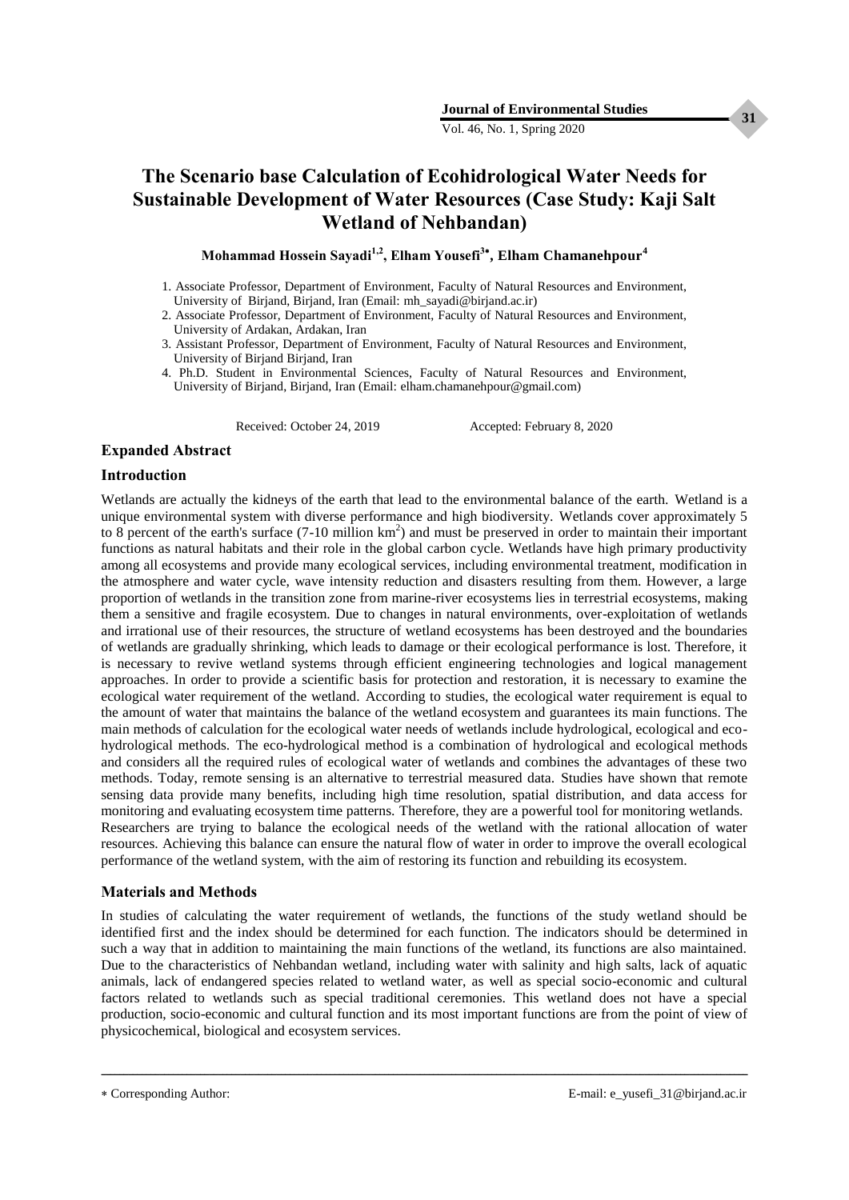Vol. 46, No. 1, Spring 2020

## **The Scenario base Calculation of Ecohidrological Water Needs for Sustainable Development of Water Resources (Case Study: Kaji Salt Wetland of Nehbandan)**

**Mohammad Hossein Sayadi1,2, Elham Yousefi<sup>3</sup> , Elham Chamanehpour<sup>4</sup>**

- 1. Associate Professor, Department of Environment, Faculty of Natural Resources and Environment, University of Birjand, Birjand, Iran (Email: mh\_sayadi@birjand.ac.ir)
- 2. Associate Professor, Department of Environment, Faculty of Natural Resources and Environment, University of Ardakan, Ardakan, Iran
- 3. Assistant Professor, Department of Environment, Faculty of Natural Resources and Environment, University of Birjand Birjand, Iran
- 4. Ph.D. Student in Environmental Sciences, Faculty of Natural Resources and Environment, University of Birjand, Birjand, Iran (Email: elham.chamanehpour@gmail.com)

Received: October 24, 2019 Accepted: February 8, 2020

#### **Expanded Abstract**

#### **Introduction**

Wetlands are actually the kidneys of the earth that lead to the environmental balance of the earth. Wetland is a unique environmental system with diverse performance and high biodiversity. Wetlands cover approximately 5 to 8 percent of the earth's surface  $(7-10 \text{ million km}^2)$  and must be preserved in order to maintain their important functions as natural habitats and their role in the global carbon cycle. Wetlands have high primary productivity among all ecosystems and provide many ecological services, including environmental treatment, modification in the atmosphere and water cycle, wave intensity reduction and disasters resulting from them. However, a large proportion of wetlands in the transition zone from marine-river ecosystems lies in terrestrial ecosystems, making them a sensitive and fragile ecosystem. Due to changes in natural environments, over-exploitation of wetlands and irrational use of their resources, the structure of wetland ecosystems has been destroyed and the boundaries of wetlands are gradually shrinking, which leads to damage or their ecological performance is lost. Therefore, it is necessary to revive wetland systems through efficient engineering technologies and logical management approaches. In order to provide a scientific basis for protection and restoration, it is necessary to examine the ecological water requirement of the wetland. According to studies, the ecological water requirement is equal to the amount of water that maintains the balance of the wetland ecosystem and guarantees its main functions. The main methods of calculation for the ecological water needs of wetlands include hydrological, ecological and ecohydrological methods. The eco-hydrological method is a combination of hydrological and ecological methods and considers all the required rules of ecological water of wetlands and combines the advantages of these two methods. Today, remote sensing is an alternative to terrestrial measured data. Studies have shown that remote sensing data provide many benefits, including high time resolution, spatial distribution, and data access for monitoring and evaluating ecosystem time patterns. Therefore, they are a powerful tool for monitoring wetlands. Researchers are trying to balance the ecological needs of the wetland with the rational allocation of water resources. Achieving this balance can ensure the natural flow of water in order to improve the overall ecological performance of the wetland system, with the aim of restoring its function and rebuilding its ecosystem.

#### **Materials and Methods**

In studies of calculating the water requirement of wetlands, the functions of the study wetland should be identified first and the index should be determined for each function. The indicators should be determined in such a way that in addition to maintaining the main functions of the wetland, its functions are also maintained. Due to the characteristics of Nehbandan wetland, including water with salinity and high salts, lack of aquatic animals, lack of endangered species related to wetland water, as well as special socio-economic and cultural factors related to wetlands such as special traditional ceremonies. This wetland does not have a special production, socio-economic and cultural function and its most important functions are from the point of view of physicochemical, biological and ecosystem services.

ــــــــــــــــــــــــــــــــــــــــــــــــــــــــــــــــــــــــــــــــــــــــــــــــــــــــــــــــــــــــــــــــــــــــــــــــ

Corresponding Author: E-mail: e\_yusefi\_31@birjand.ac.ir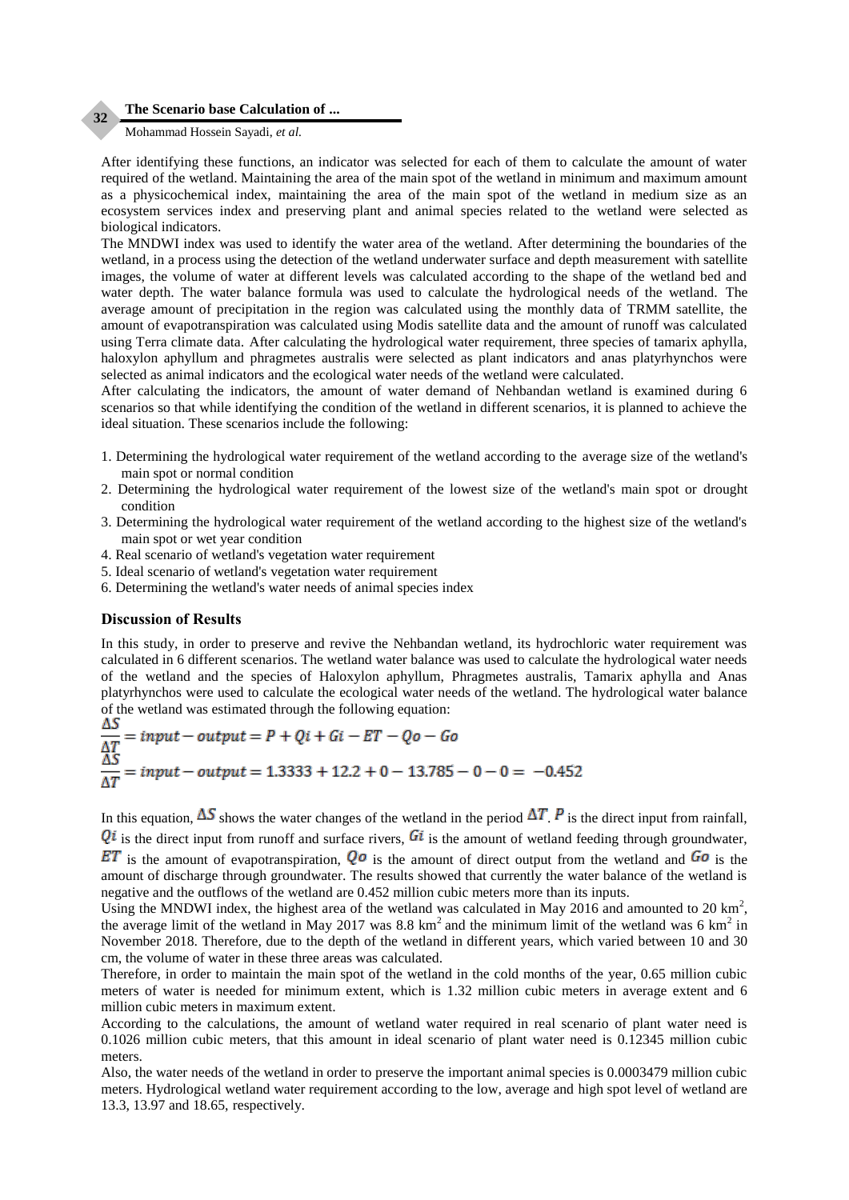#### **The Scenario base Calculation of ...**

#### Mohammad Hossein Sayadi, *et al.*

**32**

After identifying these functions, an indicator was selected for each of them to calculate the amount of water required of the wetland. Maintaining the area of the main spot of the wetland in minimum and maximum amount as a physicochemical index, maintaining the area of the main spot of the wetland in medium size as an ecosystem services index and preserving plant and animal species related to the wetland were selected as biological indicators.

The MNDWI index was used to identify the water area of the wetland. After determining the boundaries of the wetland, in a process using the detection of the wetland underwater surface and depth measurement with satellite images, the volume of water at different levels was calculated according to the shape of the wetland bed and water depth. The water balance formula was used to calculate the hydrological needs of the wetland. The average amount of precipitation in the region was calculated using the monthly data of TRMM satellite, the amount of evapotranspiration was calculated using Modis satellite data and the amount of runoff was calculated using Terra climate data. After calculating the hydrological water requirement, three species of tamarix aphylla, haloxylon aphyllum and phragmetes australis were selected as plant indicators and anas platyrhynchos were selected as animal indicators and the ecological water needs of the wetland were calculated.

After calculating the indicators, the amount of water demand of Nehbandan wetland is examined during 6 scenarios so that while identifying the condition of the wetland in different scenarios, it is planned to achieve the ideal situation. These scenarios include the following:

- 1. Determining the hydrological water requirement of the wetland according to the average size of the wetland's main spot or normal condition
- 2. Determining the hydrological water requirement of the lowest size of the wetland's main spot or drought condition
- 3. Determining the hydrological water requirement of the wetland according to the highest size of the wetland's main spot or wet year condition
- 4. Real scenario of wetland's vegetation water requirement
- 5. Ideal scenario of wetland's vegetation water requirement
- 6. Determining the wetland's water needs of animal species index

#### **Discussion of Results**

In this study, in order to preserve and revive the Nehbandan wetland, its hydrochloric water requirement was calculated in 6 different scenarios. The wetland water balance was used to calculate the hydrological water needs of the wetland and the species of Haloxylon aphyllum, Phragmetes australis, Tamarix aphylla and Anas platyrhynchos were used to calculate the ecological water needs of the wetland. The hydrological water balance of the wetland was estimated through the following equation:

$$
\frac{\Delta S}{\Delta T} = input - output = P + Qi + Gi - ET - Qo - Go
$$
  

$$
\frac{\Delta S}{\Delta T} = input - output = 1.3333 + 12.2 + 0 - 13.785 - 0 - 0 = -0.452
$$

In this equation,  $\Delta S$  shows the water changes of the wetland in the period  $\Delta T$ . P is the direct input from rainfall,  $Q_i$  is the direct input from runoff and surface rivers,  $Gi$  is the amount of wetland feeding through groundwater,

 $ET$  is the amount of evapotranspiration,  $Q\sigma$  is the amount of direct output from the wetland and  $Go$  is the amount of discharge through groundwater. The results showed that currently the water balance of the wetland is negative and the outflows of the wetland are 0.452 million cubic meters more than its inputs.

Using the MNDWI index, the highest area of the wetland was calculated in May 2016 and amounted to 20  $\text{km}^2$ , the average limit of the wetland in May 2017 was 8.8 km<sup>2</sup> and the minimum limit of the wetland was 6 km<sup>2</sup> in November 2018. Therefore, due to the depth of the wetland in different years, which varied between 10 and 30 cm, the volume of water in these three areas was calculated.

Therefore, in order to maintain the main spot of the wetland in the cold months of the year, 0.65 million cubic meters of water is needed for minimum extent, which is 1.32 million cubic meters in average extent and 6 million cubic meters in maximum extent.

According to the calculations, the amount of wetland water required in real scenario of plant water need is 0.1026 million cubic meters, that this amount in ideal scenario of plant water need is 0.12345 million cubic meters.

Also, the water needs of the wetland in order to preserve the important animal species is 0.0003479 million cubic meters. Hydrological wetland water requirement according to the low, average and high spot level of wetland are 13.3, 13.97 and 18.65, respectively.